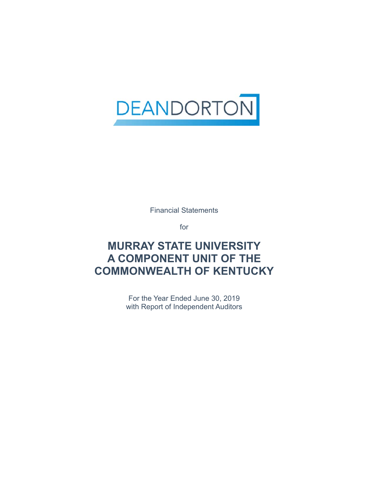

Financial Statements

for

# **MURRAY STATE UNIVERSITY A COMPONENT UNIT OF THE COMMONWEALTH OF KENTUCKY**

For the Year Ended June 30, 2019 with Report of Independent Auditors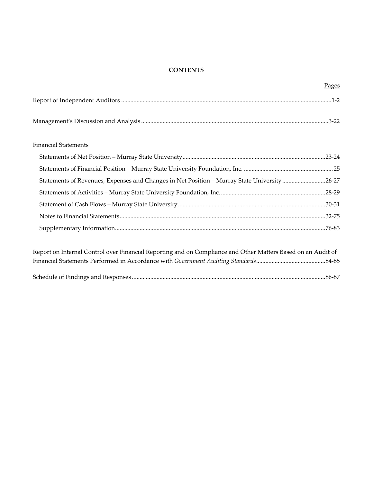### **CONTENTS**

| <u>Pages</u> |
|--------------|
|              |
|              |

### Financial Statements

| Statements of Revenues, Expenses and Changes in Net Position - Murray State University 26-27 |  |
|----------------------------------------------------------------------------------------------|--|
|                                                                                              |  |
|                                                                                              |  |
|                                                                                              |  |
|                                                                                              |  |

| Report on Internal Control over Financial Reporting and on Compliance and Other Matters Based on an Audit of |  |
|--------------------------------------------------------------------------------------------------------------|--|
|                                                                                                              |  |
|                                                                                                              |  |
|                                                                                                              |  |
|                                                                                                              |  |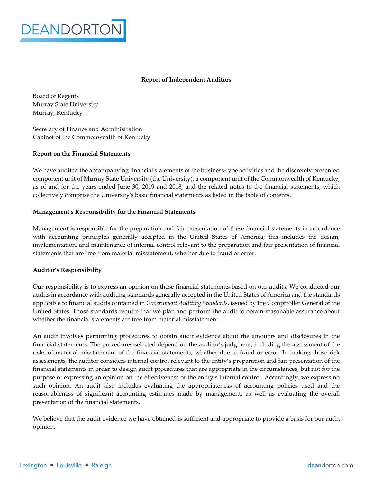

#### **Report of Independent Auditors**

Board of Regents Murray State University Murray, Kentucky

Secretary of Finance and Administration Cabinet of the Commonwealth of Kentucky

### **Report on the Financial Statements**

We have audited the accompanying financial statements of the business-type activities and the discretely presented component unit of Murray State University (the University), a component unit of the Commonwealth of Kentucky, as of and for the years ended June 30, 2019 and 2018, and the related notes to the financial statements, which collectively comprise the Universityʹs basic financial statements as listed in the table of contents.

### **Managementʹs Responsibility for the Financial Statements**

Management is responsible for the preparation and fair presentation of these financial statements in accordance with accounting principles generally accepted in the United States of America; this includes the design, implementation, and maintenance of internal control relevant to the preparation and fair presentation of financial statements that are free from material misstatement, whether due to fraud or error.

# **Auditor's Responsibility**

Our responsibility is to express an opinion on these financial statements based on our audits. We conducted our audits in accordance with auditing standards generally accepted in the United States of America and the standards applicable to financial audits contained in *Government Auditing Standards*, issued by the Comptroller General of the United States. Those standards require that we plan and perform the audit to obtain reasonable assurance about whether the financial statements are free from material misstatement.

An audit involves performing procedures to obtain audit evidence about the amounts and disclosures in the financial statements. The procedures selected depend on the auditor's judgment, including the assessment of the risks of material misstatement of the financial statements, whether due to fraud or error. In making those risk assessments, the auditor considers internal control relevant to the entity's preparation and fair presentation of the financial statements in order to design audit procedures that are appropriate in the circumstances, but not for the purpose of expressing an opinion on the effectiveness of the entity's internal control. Accordingly, we express no such opinion. An audit also includes evaluating the appropriateness of accounting policies used and the reasonableness of significant accounting estimates made by management, as well as evaluating the overall presentation of the financial statements.

We believe that the audit evidence we have obtained is sufficient and appropriate to provide a basis for our audit opinion.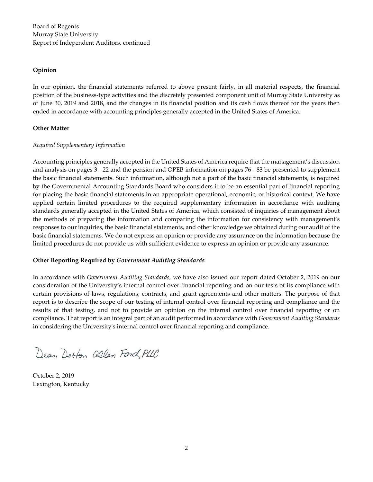Board of Regents Murray State University Report of Independent Auditors, continued

#### **Opinion**

In our opinion, the financial statements referred to above present fairly, in all material respects, the financial position of the business‐type activities and the discretely presented component unit of Murray State University as of June 30, 2019 and 2018, and the changes in its financial position and its cash flows thereof for the years then ended in accordance with accounting principles generally accepted in the United States of America.

### **Other Matter**

#### *Required Supplementary Information*

Accounting principles generally accepted in the United States of America require that the management's discussion and analysis on pages 3 ‐ 22 and the pension and OPEB information on pages 76 ‐ 83 be presented to supplement the basic financial statements. Such information, although not a part of the basic financial statements, is required by the Governmental Accounting Standards Board who considers it to be an essential part of financial reporting for placing the basic financial statements in an appropriate operational, economic, or historical context. We have applied certain limited procedures to the required supplementary information in accordance with auditing standards generally accepted in the United States of America, which consisted of inquiries of management about the methods of preparing the information and comparing the information for consistency with management's responses to our inquiries, the basic financial statements, and other knowledge we obtained during our audit of the basic financial statements. We do not express an opinion or provide any assurance on the information because the limited procedures do not provide us with sufficient evidence to express an opinion or provide any assurance.

### **Other Reporting Required by** *Government Auditing Standards*

In accordance with *Government Auditing Standards*, we have also issued our report dated October 2, 2019 on our consideration of the University's internal control over financial reporting and on our tests of its compliance with certain provisions of laws, regulations, contracts, and grant agreements and other matters. The purpose of that report is to describe the scope of our testing of internal control over financial reporting and compliance and the results of that testing, and not to provide an opinion on the internal control over financial reporting or on compliance. That report is an integral part of an audit performed in accordance with *Government Auditing Standards* in considering the Universityʹs internal control over financial reporting and compliance.

Dean Dotton allen Ford, PLLC

October 2, 2019 Lexington, Kentucky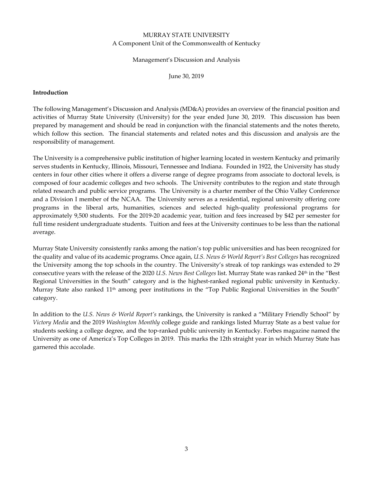#### Management's Discussion and Analysis

June 30, 2019

#### **Introduction**

The following Management's Discussion and Analysis (MD&A) provides an overview of the financial position and activities of Murray State University (University) for the year ended June 30, 2019. This discussion has been prepared by management and should be read in conjunction with the financial statements and the notes thereto, which follow this section. The financial statements and related notes and this discussion and analysis are the responsibility of management.

The University is a comprehensive public institution of higher learning located in western Kentucky and primarily serves students in Kentucky, Illinois, Missouri, Tennessee and Indiana. Founded in 1922, the University has study centers in four other cities where it offers a diverse range of degree programs from associate to doctoral levels, is composed of four academic colleges and two schools. The University contributes to the region and state through related research and public service programs. The University is a charter member of the Ohio Valley Conference and a Division I member of the NCAA. The University serves as a residential, regional university offering core programs in the liberal arts, humanities, sciences and selected high‐quality professional programs for approximately 9,500 students. For the 2019‐20 academic year, tuition and fees increased by \$42 per semester for full time resident undergraduate students. Tuition and fees at the University continues to be less than the national average.

Murray State University consistently ranks among the nation's top public universities and has been recognized for the quality and value of its academic programs. Once again, *U.S. News & World Report's Best Colleges* has recognized the University among the top schools in the country. The University's streak of top rankings was extended to 29 consecutive years with the release of the 2020 *U.S. News Best Colleges* list. Murray State was ranked 24<sup>th</sup> in the "Best Regional Universities in the South" category and is the highest-ranked regional public university in Kentucky. Murray State also ranked 11<sup>th</sup> among peer institutions in the "Top Public Regional Universities in the South" category.

In addition to the *U.S. News & World Report's* rankings, the University is ranked a "Military Friendly School" by *Victory Media* and the 2019 *Washington Monthly* college guide and rankings listed Murray State as a best value for students seeking a college degree, and the top-ranked public university in Kentucky. Forbes magazine named the University as one of America's Top Colleges in 2019. This marks the 12th straight year in which Murray State has garnered this accolade.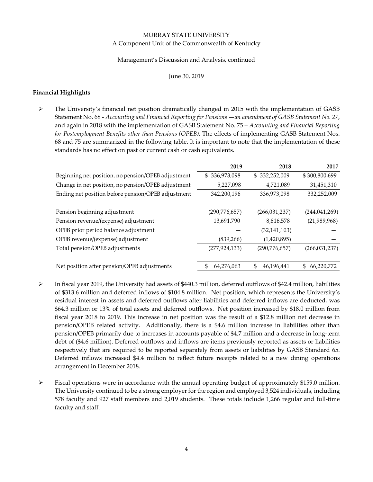#### Management's Discussion and Analysis, continued

#### June 30, 2019

### **Financial Highlights**

 The University's financial net position dramatically changed in 2015 with the implementation of GASB Statement No. 68 ‐ *Accounting and Financial Reporting for Pensions* —*an amendment of GASB Statement No. 27*, and again in 2018 with the implementation of GASB Statement No. 75 – *Accounting and Financial Reporting for Postemployment Benefits other than Pensions (OPEB).* The effects of implementing GASB Statement Nos. 68 and 75 are summarized in the following table. It is important to note that the implementation of these standards has no effect on past or current cash or cash equivalents.

|                                                    | 2019            | 2018             | 2017             |
|----------------------------------------------------|-----------------|------------------|------------------|
| Beginning net position, no pension/OPEB adjustment | \$336,973,098   | \$332,252,009    | \$300,800,699    |
| Change in net position, no pension/OPEB adjustment | 5,227,098       | 4,721,089        | 31,451,310       |
| Ending net position before pension/OPEB adjustment | 342,200,196     | 336,973,098      | 332,252,009      |
|                                                    |                 |                  |                  |
| Pension beginning adjustment                       | (290,776,657)   | (266, 031, 237)  | (244, 041, 269)  |
| Pension revenue/(expense) adjustment               | 13,691,790      | 8,816,578        | (21,989,968)     |
| OPEB prior period balance adjustment               |                 | (32, 141, 103)   |                  |
| OPEB revenue/(expense) adjustment                  | (839, 266)      | (1,420,895)      |                  |
| Total pension/OPEB adjustments                     | (277, 924, 133) | (290, 776, 657)  | (266, 031, 237)  |
|                                                    |                 |                  |                  |
| Net position after pension/OPEB adjustments        | 64,276,063      | \$<br>46,196,441 | \$<br>66,220,772 |

- In fiscal year 2019, the University had assets of \$440.3 million, deferred outflows of \$42.4 million, liabilities of \$313.6 million and deferred inflows of \$104.8 million. Net position, which represents the University's residual interest in assets and deferred outflows after liabilities and deferred inflows are deducted, was \$64.3 million or 13% of total assets and deferred outflows. Net position increased by \$18.0 million from fiscal year 2018 to 2019. This increase in net position was the result of a \$12.8 million net decrease in pension/OPEB related activity. Additionally, there is a \$4.6 million increase in liabilities other than pension/OPEB primarily due to increases in accounts payable of \$4.7 million and a decrease in long‐term debt of (\$4.6 million). Deferred outflows and inflows are items previously reported as assets or liabilities respectively that are required to be reported separately from assets or liabilities by GASB Standard 65. Deferred inflows increased \$4.4 million to reflect future receipts related to a new dining operations arrangement in December 2018.
- $\triangleright$  Fiscal operations were in accordance with the annual operating budget of approximately \$159.0 million. The University continued to be a strong employer for the region and employed 3,524 individuals, including 578 faculty and 927 staff members and 2,019 students. These totals include 1,266 regular and full‐time faculty and staff.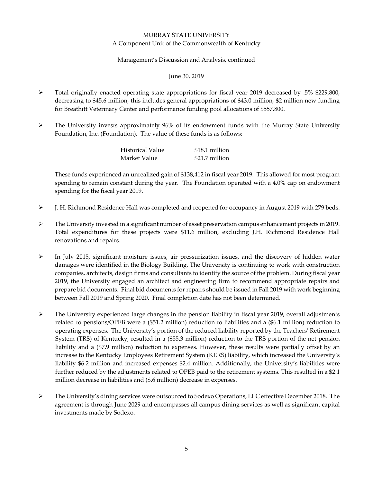### Management's Discussion and Analysis, continued

June 30, 2019

- Total originally enacted operating state appropriations for fiscal year 2019 decreased by .5% \$229,800, decreasing to \$45.6 million, this includes general appropriations of \$43.0 million, \$2 million new funding for Breathitt Veterinary Center and performance funding pool allocations of \$557,800.
- $\triangleright$  The University invests approximately 96% of its endowment funds with the Murray State University Foundation, Inc. (Foundation). The value of these funds is as follows:

| Historical Value | \$18.1 million |
|------------------|----------------|
| Market Value     | \$21.7 million |

These funds experienced an unrealized gain of \$138,412 in fiscal year 2019. This allowed for most program spending to remain constant during the year. The Foundation operated with a 4.0% cap on endowment spending for the fiscal year 2019.

- J. H. Richmond Residence Hall was completed and reopened for occupancy in August 2019 with 279 beds.
- The University invested in a significant number of asset preservation campus enhancement projects in 2019. Total expenditures for these projects were \$11.6 million, excluding J.H. Richmond Residence Hall renovations and repairs.
- $\triangleright$  In July 2015, significant moisture issues, air pressurization issues, and the discovery of hidden water damages were identified in the Biology Building. The University is continuing to work with construction companies, architects, design firms and consultants to identify the source of the problem. During fiscal year 2019, the University engaged an architect and engineering firm to recommend appropriate repairs and prepare bid documents. Final bid documents for repairs should be issued in Fall 2019 with work beginning between Fall 2019 and Spring 2020. Final completion date has not been determined.
- $\triangleright$  The University experienced large changes in the pension liability in fiscal year 2019, overall adjustments related to pensions/OPEB were a (\$51.2 million) reduction to liabilities and a (\$6.1 million) reduction to operating expenses. The University's portion of the reduced liability reported by the Teachers' Retirement System (TRS) of Kentucky, resulted in a (\$55.3 million) reduction to the TRS portion of the net pension liability and a (\$7.9 million) reduction to expenses. However, these results were partially offset by an increase to the Kentucky Employees Retirement System (KERS) liability, which increased the University's liability \$6.2 million and increased expenses \$2.4 million. Additionally, the University's liabilities were further reduced by the adjustments related to OPEB paid to the retirement systems. This resulted in a \$2.1 million decrease in liabilities and (\$.6 million) decrease in expenses.
- The University's dining services were outsourced to Sodexo Operations, LLC effective December 2018. The agreement is through June 2029 and encompasses all campus dining services as well as significant capital investments made by Sodexo.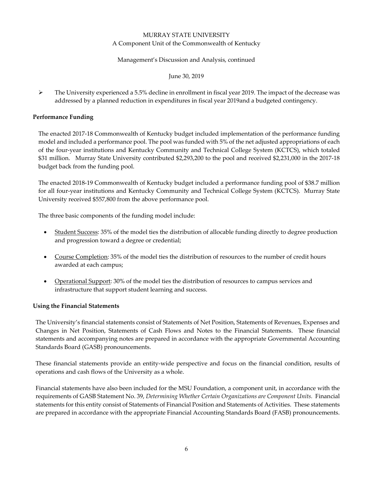### Management's Discussion and Analysis, continued

June 30, 2019

 $\triangleright$  The University experienced a 5.5% decline in enrollment in fiscal year 2019. The impact of the decrease was addressed by a planned reduction in expenditures in fiscal year 2019and a budgeted contingency.

### **Performance Funding**

The enacted 2017‐18 Commonwealth of Kentucky budget included implementation of the performance funding model and included a performance pool. The pool was funded with 5% of the net adjusted appropriations of each of the four‐year institutions and Kentucky Community and Technical College System (KCTCS), which totaled \$31 million. Murray State University contributed \$2,293,200 to the pool and received \$2,231,000 in the 2017‐18 budget back from the funding pool.

The enacted 2018‐19 Commonwealth of Kentucky budget included a performance funding pool of \$38.7 million for all four‐year institutions and Kentucky Community and Technical College System (KCTCS). Murray State University received \$557,800 from the above performance pool.

The three basic components of the funding model include:

- Student Success: 35% of the model ties the distribution of allocable funding directly to degree production and progression toward a degree or credential;
- Course Completion: 35% of the model ties the distribution of resources to the number of credit hours awarded at each campus;
- Operational Support: 30% of the model ties the distribution of resources to campus services and infrastructure that support student learning and success.

### **Using the Financial Statements**

The University's financial statements consist of Statements of Net Position, Statements of Revenues, Expenses and Changes in Net Position, Statements of Cash Flows and Notes to the Financial Statements. These financial statements and accompanying notes are prepared in accordance with the appropriate Governmental Accounting Standards Board (GASB) pronouncements.

These financial statements provide an entity‐wide perspective and focus on the financial condition, results of operations and cash flows of the University as a whole.

Financial statements have also been included for the MSU Foundation, a component unit, in accordance with the requirements of GASB Statement No. 39, *Determining Whether Certain Organizations are Component Units.* Financial statements for this entity consist of Statements of Financial Position and Statements of Activities. These statements are prepared in accordance with the appropriate Financial Accounting Standards Board (FASB) pronouncements.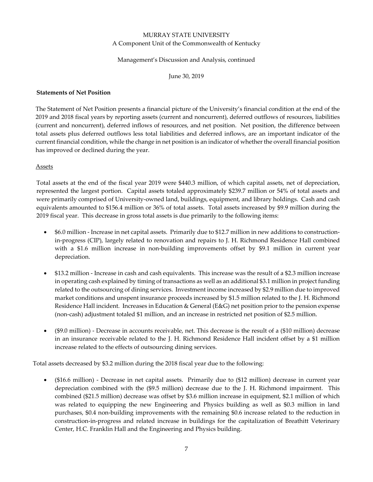#### Management's Discussion and Analysis, continued

June 30, 2019

### **Statements of Net Position**

The Statement of Net Position presents a financial picture of the University's financial condition at the end of the 2019 and 2018 fiscal years by reporting assets (current and noncurrent), deferred outflows of resources, liabilities (current and noncurrent), deferred inflows of resources, and net position. Net position, the difference between total assets plus deferred outflows less total liabilities and deferred inflows, are an important indicator of the current financial condition, while the change in net position is an indicator of whether the overall financial position has improved or declined during the year.

### Assets

Total assets at the end of the fiscal year 2019 were \$440.3 million, of which capital assets, net of depreciation, represented the largest portion. Capital assets totaled approximately \$239.7 million or 54% of total assets and were primarily comprised of University-owned land, buildings, equipment, and library holdings. Cash and cash equivalents amounted to \$156.4 million or 36% of total assets. Total assets increased by \$9.9 million during the 2019 fiscal year. This decrease in gross total assets is due primarily to the following items:

- \$6.0 million ‐ Increase in net capital assets. Primarily due to \$12.7 million in new additions to construction‐ in‐progress (CIP), largely related to renovation and repairs to J. H. Richmond Residence Hall combined with a \$1.6 million increase in non-building improvements offset by \$9.1 million in current year depreciation.
- \$13.2 million ‐ Increase in cash and cash equivalents. This increase was the result of a \$2.3 million increase in operating cash explained by timing of transactions as well as an additional \$3.1 million in project funding related to the outsourcing of dining services. Investment income increased by \$2.9 million due to improved market conditions and unspent insurance proceeds increased by \$1.5 million related to the J. H. Richmond Residence Hall incident. Increases in Education & General (E&G) net position prior to the pension expense (non‐cash) adjustment totaled \$1 million, and an increase in restricted net position of \$2.5 million.
- (\$9.0 million) ‐ Decrease in accounts receivable, net. This decrease is the result of a (\$10 million) decrease in an insurance receivable related to the J. H. Richmond Residence Hall incident offset by a \$1 million increase related to the effects of outsourcing dining services.

Total assets decreased by \$3.2 million during the 2018 fiscal year due to the following:

 (\$16.6 million) ‐ Decrease in net capital assets. Primarily due to (\$12 million) decrease in current year depreciation combined with the (\$9.5 million) decrease due to the J. H. Richmond impairment. This combined (\$21.5 million) decrease was offset by \$3.6 million increase in equipment, \$2.1 million of which was related to equipping the new Engineering and Physics building as well as \$0.3 million in land purchases, \$0.4 non‐building improvements with the remaining \$0.6 increase related to the reduction in construction‐in‐progress and related increase in buildings for the capitalization of Breathitt Veterinary Center, H.C. Franklin Hall and the Engineering and Physics building.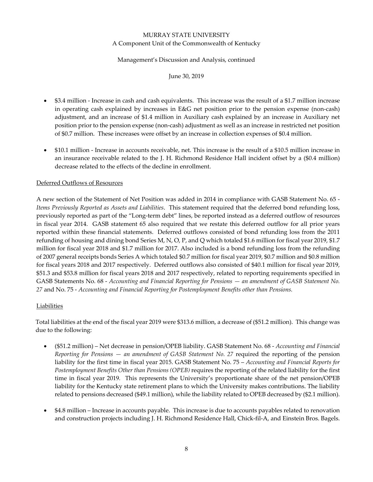#### Management's Discussion and Analysis, continued

June 30, 2019

- \$3.4 million ‐ Increase in cash and cash equivalents. This increase was the result of a \$1.7 million increase in operating cash explained by increases in E&G net position prior to the pension expense (non‐cash) adjustment, and an increase of \$1.4 million in Auxiliary cash explained by an increase in Auxiliary net position prior to the pension expense (non‐cash) adjustment as well as an increase in restricted net position of \$0.7 million. These increases were offset by an increase in collection expenses of \$0.4 million.
- \$10.1 million ‐ Increase in accounts receivable, net. This increase is the result of a \$10.5 million increase in an insurance receivable related to the J. H. Richmond Residence Hall incident offset by a (\$0.4 million) decrease related to the effects of the decline in enrollment.

### Deferred Outflows of Resources

A new section of the Statement of Net Position was added in 2014 in compliance with GASB Statement No. 65 ‐ *Items Previously Reported as Assets and Liabilities*. This statement required that the deferred bond refunding loss, previously reported as part of the "Long‐term debt" lines, be reported instead as a deferred outflow of resources in fiscal year 2014. GASB statement 65 also required that we restate this deferred outflow for all prior years reported within these financial statements. Deferred outflows consisted of bond refunding loss from the 2011 refunding of housing and dining bond Series M, N, O, P, and Q which totaled \$1.6 million for fiscal year 2019, \$1.7 million for fiscal year 2018 and \$1.7 million for 2017. Also included is a bond refunding loss from the refunding of 2007 general receipts bonds Series A which totaled \$0.7 million for fiscal year 2019, \$0.7 million and \$0.8 million for fiscal years 2018 and 2017 respectively. Deferred outflows also consisted of \$40.1 million for fiscal year 2019, \$51.3 and \$53.8 million for fiscal years 2018 and 2017 respectively, related to reporting requirements specified in GASB Statements No. 68 ‐ *Accounting and Financial Reporting for Pensions — an amendment of GASB Statement No. 27* and No. 75 ‐ *Accounting and Financial Reporting for Postemployment Benefits other than Pensions.*

### Liabilities

Total liabilities at the end of the fiscal year 2019 were \$313.6 million, a decrease of (\$51.2 million). This change was due to the following:

- (\$51.2 million) Net decrease in pension/OPEB liability. GASB Statement No. 68 ‐ *Accounting and Financial Reporting for Pensions — an amendment of GASB Statement No. 27* required the reporting of the pension liability for the first time in fiscal year 2015. GASB Statement No. 75 – *Accounting and Financial Reports for Postemployment Benefits Other than Pensions (OPEB)* requires the reporting of the related liability for the first time in fiscal year 2019*.* This represents the University's proportionate share of the net pension/OPEB liability for the Kentucky state retirement plans to which the University makes contributions. The liability related to pensions decreased (\$49.1 million), while the liability related to OPEB decreased by (\$2.1 million).
- \$4.8 million Increase in accounts payable. This increase is due to accounts payables related to renovation and construction projects including J. H. Richmond Residence Hall, Chick‐fil‐A, and Einstein Bros. Bagels.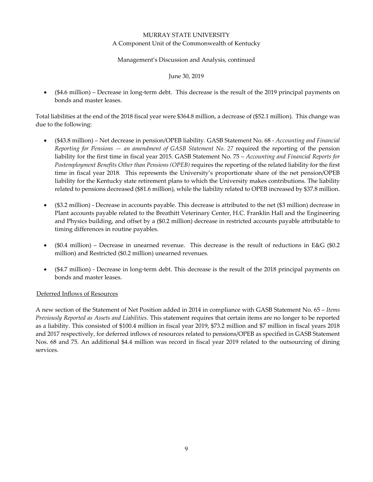### Management's Discussion and Analysis, continued

### June 30, 2019

 (\$4.6 million) – Decrease in long‐term debt. This decrease is the result of the 2019 principal payments on bonds and master leases.

Total liabilities at the end of the 2018 fiscal year were \$364.8 million, a decrease of (\$52.1 million). This change was due to the following:

- (\$43.8 million) Net decrease in pension/OPEB liability. GASB Statement No. 68 ‐ *Accounting and Financial Reporting for Pensions — an amendment of GASB Statement No. 27* required the reporting of the pension liability for the first time in fiscal year 2015. GASB Statement No. 75 – *Accounting and Financial Reports for Postemployment Benefits Other than Pensions (OPEB)* requires the reporting of the related liability for the first time in fiscal year 2018. This represents the University's proportionate share of the net pension/OPEB liability for the Kentucky state retirement plans to which the University makes contributions. The liability related to pensions decreased (\$81.6 million), while the liability related to OPEB increased by \$37.8 million.
- (\$3.2 million) ‐ Decrease in accounts payable. This decrease is attributed to the net (\$3 million) decrease in Plant accounts payable related to the Breathitt Veterinary Center, H.C. Franklin Hall and the Engineering and Physics building, and offset by a (\$0.2 million) decrease in restricted accounts payable attributable to timing differences in routine payables.
- (\$0.4 million) Decrease in unearned revenue. This decrease is the result of reductions in E&G (\$0.2 million) and Restricted (\$0.2 million) unearned revenues.
- (\$4.7 million) ‐ Decrease in long‐term debt. This decrease is the result of the 2018 principal payments on bonds and master leases.

### Deferred Inflows of Resources

A new section of the Statement of Net Position added in 2014 in compliance with GASB Statement No. 65 – *Items Previously Reported as Assets and Liabilities*. This statement requires that certain items are no longer to be reported as a liability. This consisted of \$100.4 million in fiscal year 2019, \$73.2 million and \$7 million in fiscal years 2018 and 2017 respectively, for deferred inflows of resources related to pensions/OPEB as specified in GASB Statement Nos. 68 and 75. An additional \$4.4 million was record in fiscal year 2019 related to the outsourcing of dining services.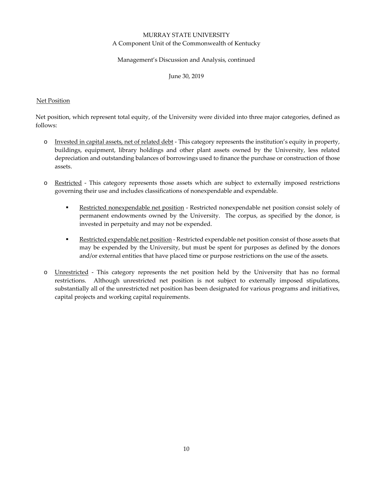### Management's Discussion and Analysis, continued

### June 30, 2019

### Net Position

Net position, which represent total equity, of the University were divided into three major categories, defined as follows:

- o Invested in capital assets, net of related debt ‐ This category represents the institution's equity in property, buildings, equipment, library holdings and other plant assets owned by the University, less related depreciation and outstanding balances of borrowings used to finance the purchase or construction of those assets.
- o Restricted ‐ This category represents those assets which are subject to externally imposed restrictions governing their use and includes classifications of nonexpendable and expendable.
	- Restricted nonexpendable net position Restricted nonexpendable net position consist solely of permanent endowments owned by the University. The corpus, as specified by the donor, is invested in perpetuity and may not be expended.
	- Restricted expendable net position Restricted expendable net position consist of those assets that may be expended by the University, but must be spent for purposes as defined by the donors and/or external entities that have placed time or purpose restrictions on the use of the assets.
- o Unrestricted This category represents the net position held by the University that has no formal restrictions. Although unrestricted net position is not subject to externally imposed stipulations, substantially all of the unrestricted net position has been designated for various programs and initiatives, capital projects and working capital requirements.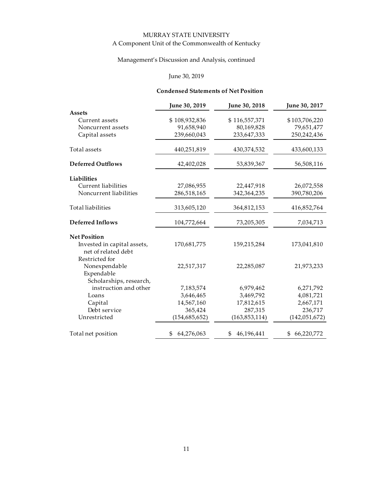# Management's Discussion and Analysis, continued

### June 30, 2019

# **Condensed Statements of Net Position**

|                                                    | June 30, 2019    | June 30, 2018    | June 30, 2017   |
|----------------------------------------------------|------------------|------------------|-----------------|
| <b>Assets</b>                                      |                  |                  |                 |
| Current assets                                     | \$108,932,836    | \$116,557,371    | \$103,706,220   |
| Noncurrent assets                                  | 91,658,940       | 80,169,828       | 79,651,477      |
| Capital assets                                     | 239,660,043      | 233,647,333      | 250,242,436     |
| Total assets                                       | 440,251,819      | 430,374,532      | 433,600,133     |
| <b>Deferred Outflows</b>                           | 42,402,028       | 53,839,367       | 56,508,116      |
| <b>Liabilities</b>                                 |                  |                  |                 |
| Current liabilities                                | 27,086,955       | 22,447,918       | 26,072,558      |
| Noncurrent liabilities                             | 286,518,165      | 342,364,235      | 390,780,206     |
| <b>Total liabilities</b>                           | 313,605,120      | 364,812,153      | 416,852,764     |
| <b>Deferred Inflows</b>                            | 104,772,664      | 73,205,305       | 7,034,713       |
| Net Position                                       |                  |                  |                 |
| Invested in capital assets,<br>net of related debt | 170,681,775      | 159,215,284      | 173,041,810     |
| Restricted for                                     |                  |                  |                 |
| Nonexpendable                                      | 22,517,317       | 22,285,087       | 21,973,233      |
| Expendable<br>Scholarships, research,              |                  |                  |                 |
| instruction and other                              | 7,183,574        | 6,979,462        | 6,271,792       |
| Loans                                              | 3,646,465        | 3,469,792        | 4,081,721       |
| Capital                                            | 14,567,160       | 17,812,615       | 2,667,171       |
| Debt service                                       | 365,424          | 287,315          | 236,717         |
| Unrestricted                                       | (154, 685, 652)  | (163, 853, 114)  | (142, 051, 672) |
| Total net position                                 | 64,276,063<br>\$ | 46,196,441<br>\$ | 66,220,772<br>S |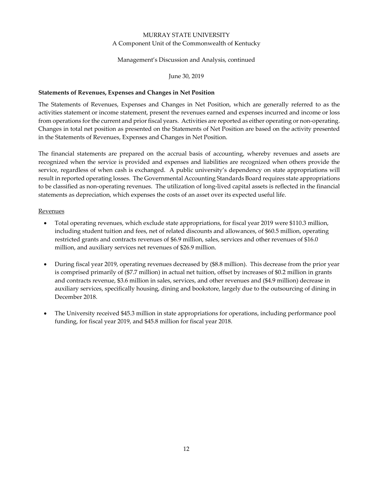#### Management's Discussion and Analysis, continued

### June 30, 2019

### **Statements of Revenues, Expenses and Changes in Net Position**

The Statements of Revenues, Expenses and Changes in Net Position, which are generally referred to as the activities statement or income statement, present the revenues earned and expenses incurred and income or loss from operations for the current and prior fiscal years. Activities are reported as either operating or non-operating. Changes in total net position as presented on the Statements of Net Position are based on the activity presented in the Statements of Revenues, Expenses and Changes in Net Position.

The financial statements are prepared on the accrual basis of accounting, whereby revenues and assets are recognized when the service is provided and expenses and liabilities are recognized when others provide the service, regardless of when cash is exchanged. A public university's dependency on state appropriations will result in reported operating losses. The Governmental Accounting Standards Board requires state appropriations to be classified as non‐operating revenues. The utilization of long‐lived capital assets is reflected in the financial statements as depreciation, which expenses the costs of an asset over its expected useful life.

### **Revenues**

- Total operating revenues, which exclude state appropriations, for fiscal year 2019 were \$110.3 million, including student tuition and fees, net of related discounts and allowances, of \$60.5 million, operating restricted grants and contracts revenues of \$6.9 million, sales, services and other revenues of \$16.0 million, and auxiliary services net revenues of \$26.9 million.
- During fiscal year 2019, operating revenues decreased by (\$8.8 million). This decrease from the prior year is comprised primarily of (\$7.7 million) in actual net tuition, offset by increases of \$0.2 million in grants and contracts revenue, \$3.6 million in sales, services, and other revenues and (\$4.9 million) decrease in auxiliary services, specifically housing, dining and bookstore, largely due to the outsourcing of dining in December 2018.
- The University received \$45.3 million in state appropriations for operations, including performance pool funding, for fiscal year 2019, and \$45.8 million for fiscal year 2018.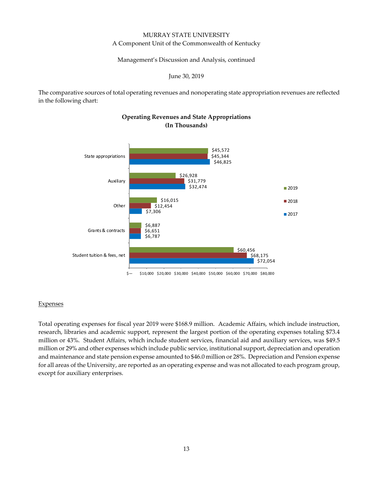Management's Discussion and Analysis, continued

June 30, 2019

The comparative sources of total operating revenues and nonoperating state appropriation revenues are reflected in the following chart:



# **Operating Revenues and State Appropriations (In Thousands)**

### Expenses

Total operating expenses for fiscal year 2019 were \$168.9 million. Academic Affairs, which include instruction, research, libraries and academic support, represent the largest portion of the operating expenses totaling \$73.4 million or 43%. Student Affairs, which include student services, financial aid and auxiliary services, was \$49.5 million or 29% and other expenses which include public service, institutional support, depreciation and operation and maintenance and state pension expense amounted to \$46.0 million or 28%. Depreciation and Pension expense for all areas of the University, are reported as an operating expense and was not allocated to each program group, except for auxiliary enterprises.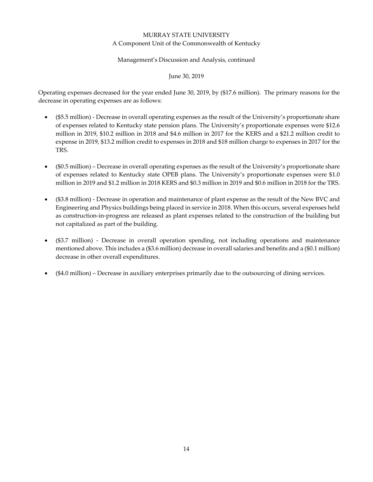### Management's Discussion and Analysis, continued

June 30, 2019

Operating expenses decreased for the year ended June 30, 2019, by (\$17.6 million). The primary reasons for the decrease in operating expenses are as follows:

- (\$5.5 million) ‐ Decrease in overall operating expenses as the result of the University's proportionate share of expenses related to Kentucky state pension plans. The University's proportionate expenses were \$12.6 million in 2019, \$10.2 million in 2018 and \$4.6 million in 2017 for the KERS and a \$21.2 million credit to expense in 2019, \$13.2 million credit to expenses in 2018 and \$18 million charge to expenses in 2017 for the TRS.
- (\$0.5 million) Decrease in overall operating expenses as the result of the University's proportionate share of expenses related to Kentucky state OPEB plans. The University's proportionate expenses were \$1.0 million in 2019 and \$1.2 million in 2018 KERS and \$0.3 million in 2019 and \$0.6 million in 2018 for the TRS.
- (\$3.8 million) ‐ Decrease in operation and maintenance of plant expense as the result of the New BVC and Engineering and Physics buildings being placed in service in 2018. When this occurs, several expenses held as construction‐in‐progress are released as plant expenses related to the construction of the building but not capitalized as part of the building.
- (\$3.7 million) Decrease in overall operation spending, not including operations and maintenance mentioned above. This includes a (\$3.6 million) decrease in overall salaries and benefits and a (\$0.1 million) decrease in other overall expenditures.
- (\$4.0 million) Decrease in auxiliary enterprises primarily due to the outsourcing of dining services.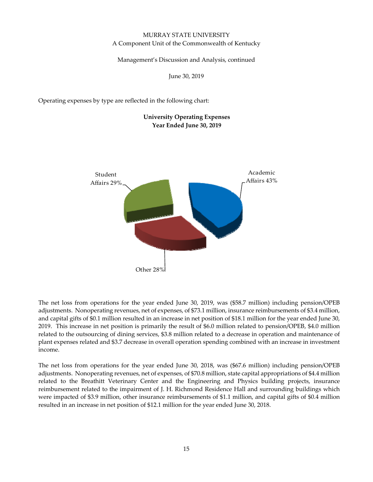Management's Discussion and Analysis, continued

June 30, 2019

Operating expenses by type are reflected in the following chart:

## **University Operating Expenses Year Ended June 30, 2019**



The net loss from operations for the year ended June 30, 2019, was (\$58.7 million) including pension/OPEB adjustments. Nonoperating revenues, net of expenses, of \$73.1 million, insurance reimbursements of \$3.4 million, and capital gifts of \$0.1 million resulted in an increase in net position of \$18.1 million for the year ended June 30, 2019. This increase in net position is primarily the result of \$6.0 million related to pension/OPEB, \$4.0 million related to the outsourcing of dining services, \$3.8 million related to a decrease in operation and maintenance of plant expenses related and \$3.7 decrease in overall operation spending combined with an increase in investment income.

The net loss from operations for the year ended June 30, 2018, was (\$67.6 million) including pension/OPEB adjustments. Nonoperating revenues, net of expenses, of \$70.8 million, state capital appropriations of \$4.4 million related to the Breathitt Veterinary Center and the Engineering and Physics building projects, insurance reimbursement related to the impairment of J. H. Richmond Residence Hall and surrounding buildings which were impacted of \$3.9 million, other insurance reimbursements of \$1.1 million, and capital gifts of \$0.4 million resulted in an increase in net position of \$12.1 million for the year ended June 30, 2018.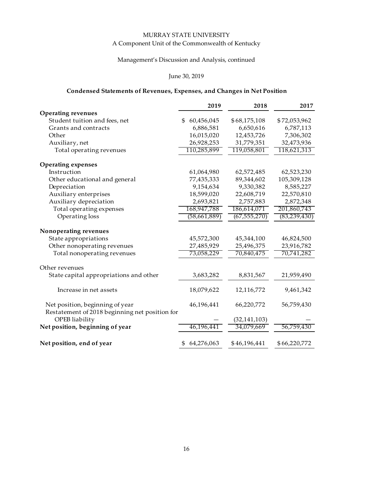# Management's Discussion and Analysis, continued

### June 30, 2019

# **Condensed Statements of Revenues, Expenses, and Changes in Net Position**

|                                                                  | 2019             | 2018           | 2017           |
|------------------------------------------------------------------|------------------|----------------|----------------|
| <b>Operating revenues</b>                                        |                  |                |                |
| Student tuition and fees, net                                    | 60,456,045<br>\$ | \$68,175,108   | \$72,053,962   |
| Grants and contracts                                             | 6,886,581        | 6,650,616      | 6,787,113      |
| Other                                                            | 16,015,020       | 12,453,726     | 7,306,302      |
| Auxiliary, net                                                   | 26,928,253       | 31,779,351     | 32,473,936     |
| Total operating revenues                                         | 110,285,899      | 119,058,801    | 118,621,313    |
| <b>Operating expenses</b>                                        |                  |                |                |
| Instruction                                                      | 61,064,980       | 62,572,485     | 62,523,230     |
| Other educational and general                                    | 77,435,333       | 89,344,602     | 105,309,128    |
| Depreciation                                                     | 9,154,634        | 9,330,382      | 8,585,227      |
| Auxiliary enterprises                                            | 18,599,020       | 22,608,719     | 22,570,810     |
| Auxiliary depreciation                                           | 2,693,821        | 2,757,883      | 2,872,348      |
| Total operating expenses                                         | 168, 947, 788    | 186,614,071    | 201,860,743    |
| Operating loss                                                   | (58,661,889)     | (67, 555, 270) | (83, 239, 430) |
| Nonoperating revenues                                            |                  |                |                |
| State appropriations                                             | 45,572,300       | 45,344,100     | 46,824,500     |
| Other nonoperating revenues                                      | 27,485,929       | 25,496,375     | 23,916,782     |
| Total nonoperating revenues                                      | 73,058,229       | 70,840,475     | 70,741,282     |
|                                                                  |                  |                |                |
| Other revenues                                                   |                  |                |                |
| State capital appropriations and other                           | 3,683,282        | 8,831,567      | 21,959,490     |
| Increase in net assets                                           | 18,079,622       | 12,116,772     | 9,461,342      |
| Net position, beginning of year                                  | 46,196,441       | 66,220,772     | 56,759,430     |
| Restatement of 2018 beginning net position for<br>OPEB liability |                  | (32, 141, 103) |                |
| Net position, beginning of year                                  | 46,196,441       | 34,079,669     | 56,759,430     |
| Net position, end of year                                        | 64,276,063       | \$46,196,441   | \$66,220,772   |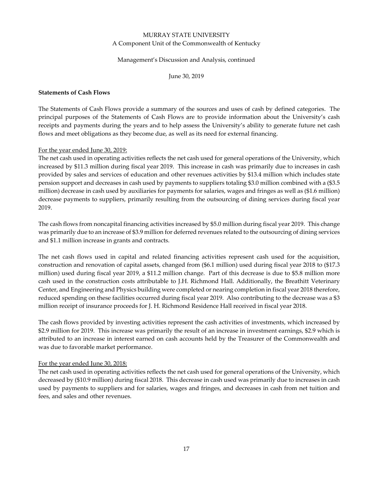#### Management's Discussion and Analysis, continued

June 30, 2019

### **Statements of Cash Flows**

The Statements of Cash Flows provide a summary of the sources and uses of cash by defined categories. The principal purposes of the Statements of Cash Flows are to provide information about the University's cash receipts and payments during the years and to help assess the University's ability to generate future net cash flows and meet obligations as they become due, as well as its need for external financing.

### For the year ended June 30, 2019:

The net cash used in operating activities reflects the net cash used for general operations of the University, which increased by \$11.3 million during fiscal year 2019. This increase in cash was primarily due to increases in cash provided by sales and services of education and other revenues activities by \$13.4 million which includes state pension support and decreases in cash used by payments to suppliers totaling \$3.0 million combined with a (\$3.5 million) decrease in cash used by auxiliaries for payments for salaries, wages and fringes as well as (\$1.6 million) decrease payments to suppliers, primarily resulting from the outsourcing of dining services during fiscal year 2019.

The cash flows from noncapital financing activities increased by \$5.0 million during fiscal year 2019. This change was primarily due to an increase of \$3.9 million for deferred revenues related to the outsourcing of dining services and \$1.1 million increase in grants and contracts.

The net cash flows used in capital and related financing activities represent cash used for the acquisition, construction and renovation of capital assets, changed from (\$6.1 million) used during fiscal year 2018 to (\$17.3 million) used during fiscal year 2019, a \$11.2 million change. Part of this decrease is due to \$5.8 million more cash used in the construction costs attributable to J.H. Richmond Hall. Additionally, the Breathitt Veterinary Center, and Engineering and Physics building were completed or nearing completion in fiscal year 2018 therefore, reduced spending on these facilities occurred during fiscal year 2019. Also contributing to the decrease was a \$3 million receipt of insurance proceeds for J. H. Richmond Residence Hall received in fiscal year 2018.

The cash flows provided by investing activities represent the cash activities of investments, which increased by \$2.9 million for 2019. This increase was primarily the result of an increase in investment earnings, \$2.9 which is attributed to an increase in interest earned on cash accounts held by the Treasurer of the Commonwealth and was due to favorable market performance.

### For the year ended June 30, 2018:

The net cash used in operating activities reflects the net cash used for general operations of the University, which decreased by (\$10.9 million) during fiscal 2018. This decrease in cash used was primarily due to increases in cash used by payments to suppliers and for salaries, wages and fringes, and decreases in cash from net tuition and fees, and sales and other revenues.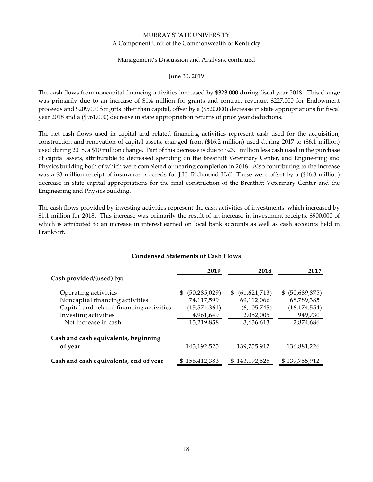#### Management's Discussion and Analysis, continued

#### June 30, 2019

The cash flows from noncapital financing activities increased by \$323,000 during fiscal year 2018. This change was primarily due to an increase of \$1.4 million for grants and contract revenue, \$227,000 for Endowment proceeds and \$209,000 for gifts other than capital, offset by a (\$520,000) decrease in state appropriations for fiscal year 2018 and a (\$961,000) decrease in state appropriation returns of prior year deductions.

The net cash flows used in capital and related financing activities represent cash used for the acquisition, construction and renovation of capital assets, changed from (\$16.2 million) used during 2017 to (\$6.1 million) used during 2018, a \$10 million change. Part of this decrease is due to \$23.1 million less cash used in the purchase of capital assets, attributable to decreased spending on the Breathitt Veterinary Center, and Engineering and Physics building both of which were completed or nearing completion in 2018. Also contributing to the increase was a \$3 million receipt of insurance proceeds for J.H. Richmond Hall. These were offset by a (\$16.8 million) decrease in state capital appropriations for the final construction of the Breathitt Veterinary Center and the Engineering and Physics building.

The cash flows provided by investing activities represent the cash activities of investments, which increased by \$1.1 million for 2018. This increase was primarily the result of an increase in investment receipts, \$900,000 of which is attributed to an increase in interest earned on local bank accounts as well as cash accounts held in Frankfort.

| Cash provided/(used) by:                 | 2019                 | 2018                  | 2017            |
|------------------------------------------|----------------------|-----------------------|-----------------|
|                                          |                      |                       |                 |
| Operating activities                     | (50, 285, 029)<br>S. | (61, 621, 713)<br>SS. | \$ (50,689,875) |
| Noncapital financing activities          | 74,117,599           | 69,112,066            | 68,789,385      |
| Capital and related financing activities | (15, 574, 361)       | (6,105,745)           | (16, 174, 554)  |
| Investing activities                     | 4,961,649            | 2,052,005             | 949,730         |
| Net increase in cash                     | 13,219,858           | 3,436,613             | 2,874,686       |
| Cash and cash equivalents, beginning     |                      |                       |                 |
| of year                                  | 143,192,525          | 139,755,912           | 136,881,226     |
|                                          |                      |                       |                 |
| Cash and cash equivalents, end of year   | 156,412,383          | \$143,192,525         | \$139,755,912   |

### **Condensed Statements of Cash Flows**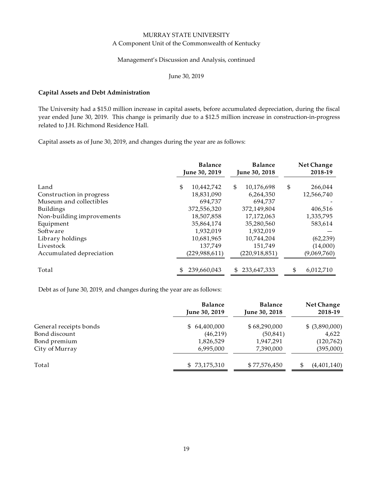### Management's Discussion and Analysis, continued

#### June 30, 2019

### **Capital Assets and Debt Administration**

The University had a \$15.0 million increase in capital assets, before accumulated depreciation, during the fiscal year ended June 30, 2019. This change is primarily due to a \$12.5 million increase in construction‐in‐progress related to J.H. Richmond Residence Hall.

Capital assets as of June 30, 2019, and changes during the year are as follows:

|                           | <b>Balance</b><br>June 30, 2019 | <b>Balance</b><br>June 30, 2018 |                 |
|---------------------------|---------------------------------|---------------------------------|-----------------|
| Land                      | \$<br>10,442,742                | \$<br>10,176,698                | \$<br>266,044   |
| Construction in progress  | 18,831,090                      | 6,264,350                       | 12,566,740      |
| Museum and collectibles   | 694.737                         | 694.737                         |                 |
| Buildings                 | 372,556,320                     | 372,149,804                     | 406,516         |
| Non-building improvements | 18,507,858                      | 17,172,063                      | 1,335,795       |
| Equipment                 | 35,864,174                      | 35,280,560                      | 583,614         |
| Software                  | 1,932,019                       | 1,932,019                       |                 |
| Library holdings          | 10,681,965                      | 10,744,204                      | (62, 239)       |
| Livestock                 | 137.749                         | 151,749                         | (14,000)        |
| Accumulated depreciation  | (229,988,611)                   | (220, 918, 851)                 | (9,069,760)     |
| Total                     | 239,660,043                     | 233,647,333<br>S.               | \$<br>6,012,710 |

Debt as of June 30, 2019, and changes during the year are as follows:

|                        | <b>Balance</b><br>June 30, 2019 | <b>Balance</b><br>June 30, 2018 | Net Change<br>2018-19 |  |  |
|------------------------|---------------------------------|---------------------------------|-----------------------|--|--|
| General receipts bonds | \$ 64,400,000                   | \$68,290,000                    | $$$ (3,890,000)       |  |  |
| Bond discount          | (46,219)                        | (50, 841)                       | 4,622                 |  |  |
| Bond premium           | 1,826,529                       | 1,947,291                       | (120,762)             |  |  |
| City of Murray         | 6,995,000                       | 7,390,000                       | (395,000)             |  |  |
| Total                  | \$73,175,310                    | \$77,576,450                    | (4,401,140)<br>\$     |  |  |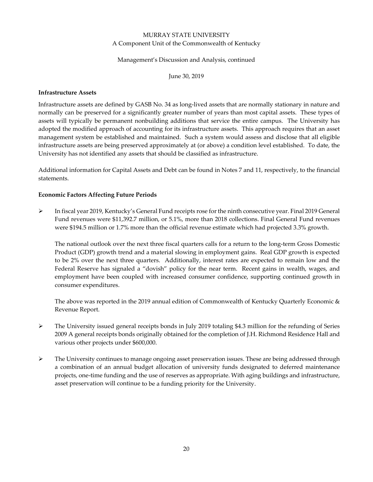#### Management's Discussion and Analysis, continued

June 30, 2019

### **Infrastructure Assets**

Infrastructure assets are defined by GASB No. 34 as long‐lived assets that are normally stationary in nature and normally can be preserved for a significantly greater number of years than most capital assets. These types of assets will typically be permanent nonbuilding additions that service the entire campus. The University has adopted the modified approach of accounting for its infrastructure assets. This approach requires that an asset management system be established and maintained. Such a system would assess and disclose that all eligible infrastructure assets are being preserved approximately at (or above) a condition level established. To date, the University has not identified any assets that should be classified as infrastructure.

Additional information for Capital Assets and Debt can be found in Notes 7 and 11, respectively, to the financial statements.

### **Economic Factors Affecting Future Periods**

 In fiscal year 2019, Kentucky's General Fund receipts rose for the ninth consecutive year. Final 2019 General Fund revenues were \$11,392.7 million, or 5.1%, more than 2018 collections. Final General Fund revenues were \$194.5 million or 1.7% more than the official revenue estimate which had projected 3.3% growth.

The national outlook over the next three fiscal quarters calls for a return to the long-term Gross Domestic Product (GDP) growth trend and a material slowing in employment gains. Real GDP growth is expected to be 2% over the next three quarters. Additionally, interest rates are expected to remain low and the Federal Reserve has signaled a "dovish" policy for the near term. Recent gains in wealth, wages, and employment have been coupled with increased consumer confidence, supporting continued growth in consumer expenditures.

The above was reported in the 2019 annual edition of Commonwealth of Kentucky Quarterly Economic & Revenue Report.

- $\triangleright$  The University issued general receipts bonds in July 2019 totaling \$4.3 million for the refunding of Series 2009 A general receipts bonds originally obtained for the completion of J.H. Richmond Residence Hall and various other projects under \$600,000.
- The University continues to manage ongoing asset preservation issues. These are being addressed through a combination of an annual budget allocation of university funds designated to deferred maintenance projects, one‐time funding and the use of reserves as appropriate. With aging buildings and infrastructure, asset preservation will continue to be a funding priority for the University.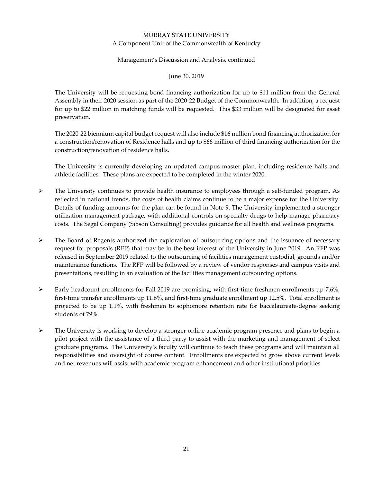#### Management's Discussion and Analysis, continued

### June 30, 2019

The University will be requesting bond financing authorization for up to \$11 million from the General Assembly in their 2020 session as part of the 2020‐22 Budget of the Commonwealth. In addition, a request for up to \$22 million in matching funds will be requested. This \$33 million will be designated for asset preservation.

The 2020‐22 biennium capital budget request will also include \$16 million bond financing authorization for a construction/renovation of Residence halls and up to \$66 million of third financing authorization for the construction/renovation of residence halls.

The University is currently developing an updated campus master plan, including residence halls and athletic facilities. These plans are expected to be completed in the winter 2020.

- The University continues to provide health insurance to employees through a self‐funded program. As reflected in national trends, the costs of health claims continue to be a major expense for the University. Details of funding amounts for the plan can be found in Note 9. The University implemented a stronger utilization management package, with additional controls on specialty drugs to help manage pharmacy costs. The Segal Company (Sibson Consulting) provides guidance for all health and wellness programs.
- The Board of Regents authorized the exploration of outsourcing options and the issuance of necessary request for proposals (RFP) that may be in the best interest of the University in June 2019. An RFP was released in September 2019 related to the outsourcing of facilities management custodial, grounds and/or maintenance functions. The RFP will be followed by a review of vendor responses and campus visits and presentations, resulting in an evaluation of the facilities management outsourcing options.
- Early headcount enrollments for Fall 2019 are promising, with first-time freshmen enrollments up  $7.6\%$ , first-time transfer enrollments up 11.6%, and first-time graduate enrollment up 12.5%. Total enrollment is projected to be up 1.1%, with freshmen to sophomore retention rate for baccalaureate‐degree seeking students of 79%.
- $\triangleright$  The University is working to develop a stronger online academic program presence and plans to begin a pilot project with the assistance of a third‐party to assist with the marketing and management of select graduate programs. The University's faculty will continue to teach these programs and will maintain all responsibilities and oversight of course content. Enrollments are expected to grow above current levels and net revenues will assist with academic program enhancement and other institutional priorities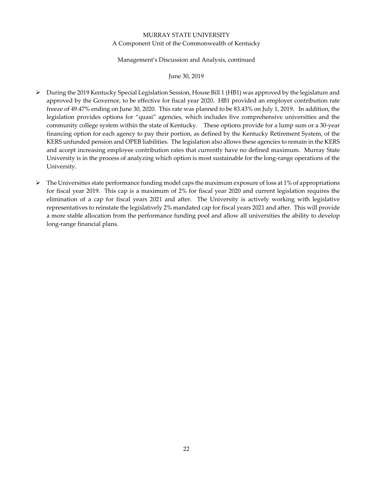### Management's Discussion and Analysis, continued

### June 30, 2019

- During the 2019 Kentucky Special Legislation Session, House Bill 1 (HB1) was approved by the legislature and approved by the Governor, to be effective for fiscal year 2020. HB1 provided an employer contribution rate freeze of 49.47% ending on June 30, 2020. This rate was planned to be 83.43% on July 1, 2019. In addition, the legislation provides options for "quasi" agencies, which includes five comprehensive universities and the community college system within the state of Kentucky. These options provide for a lump sum or a 30-year financing option for each agency to pay their portion, as defined by the Kentucky Retirement System, of the KERS unfunded pension and OPEB liabilities. The legislation also allows these agencies to remain in the KERS and accept increasing employee contribution rates that currently have no defined maximum. Murray State University is in the process of analyzing which option is most sustainable for the long‐range operations of the University.
- $\triangleright$  The Universities state performance funding model caps the maximum exposure of loss at 1% of appropriations for fiscal year 2019. This cap is a maximum of 2% for fiscal year 2020 and current legislation requires the elimination of a cap for fiscal years 2021 and after. The University is actively working with legislative representatives to reinstate the legislatively 2% mandated cap for fiscal years 2021 and after. This will provide a more stable allocation from the performance funding pool and allow all universities the ability to develop long‐range financial plans.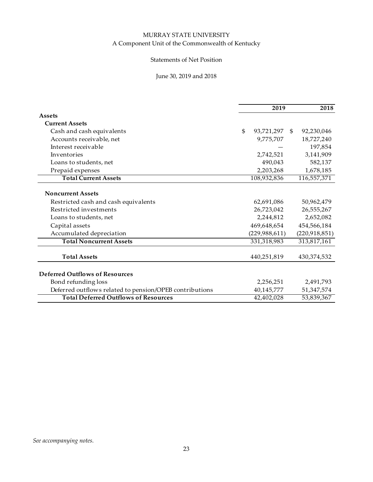# Statements of Net Position

# June 30, 2019 and 2018

|                                                         | 2019             |    | 2018            |
|---------------------------------------------------------|------------------|----|-----------------|
| <b>Assets</b>                                           |                  |    |                 |
| <b>Current Assets</b>                                   |                  |    |                 |
| Cash and cash equivalents                               | \$<br>93,721,297 | \$ | 92,230,046      |
| Accounts receivable, net                                | 9,775,707        |    | 18,727,240      |
| Interest receivable                                     |                  |    | 197,854         |
| Inventories                                             | 2,742,521        |    | 3,141,909       |
| Loans to students, net                                  | 490,043          |    | 582,137         |
| Prepaid expenses                                        | 2,203,268        |    | 1,678,185       |
| <b>Total Current Assets</b>                             | 108,932,836      |    | 116,557,371     |
| <b>Noncurrent Assets</b>                                |                  |    |                 |
| Restricted cash and cash equivalents                    | 62,691,086       |    | 50,962,479      |
| Restricted investments                                  | 26,723,042       |    | 26,555,267      |
| Loans to students, net                                  | 2,244,812        |    | 2,652,082       |
| Capital assets                                          | 469,648,654      |    | 454,566,184     |
| Accumulated depreciation                                | (229, 988, 611)  |    | (220, 918, 851) |
| <b>Total Noncurrent Assets</b>                          | 331,318,983      |    | 313,817,161     |
| <b>Total Assets</b>                                     | 440,251,819      |    | 430,374,532     |
|                                                         |                  |    |                 |
| <b>Deferred Outflows of Resources</b>                   |                  |    |                 |
| Bond refunding loss                                     | 2,256,251        |    | 2,491,793       |
| Deferred outflows related to pension/OPEB contributions | 40,145,777       |    | 51,347,574      |
| <b>Total Deferred Outflows of Resources</b>             | 42,402,028       |    | 53,839,367      |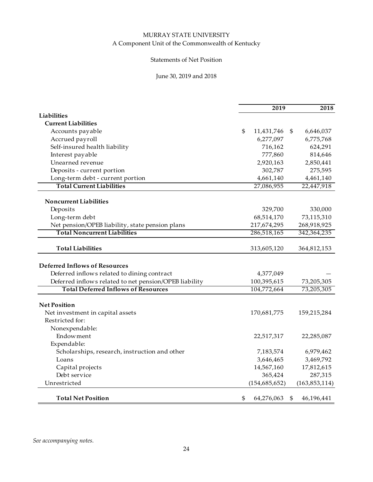# Statements of Net Position

# June 30, 2019 and 2018

|                                                                                                      | 2019             |                | 2018            |
|------------------------------------------------------------------------------------------------------|------------------|----------------|-----------------|
| Liabilities                                                                                          |                  |                |                 |
| <b>Current Liabilities</b>                                                                           |                  |                |                 |
| Accounts payable                                                                                     | \$<br>11,431,746 | $\mathfrak{S}$ | 6,646,037       |
| Accrued payroll                                                                                      | 6,277,097        |                | 6,775,768       |
| Self-insured health liability                                                                        | 716,162          |                | 624,291         |
| Interest payable                                                                                     | 777,860          |                | 814,646         |
| Unearned revenue                                                                                     | 2,920,163        |                | 2,850,441       |
| Deposits - current portion                                                                           | 302,787          |                | 275,595         |
| Long-term debt - current portion                                                                     | 4,661,140        |                | 4,461,140       |
| <b>Total Current Liabilities</b>                                                                     | 27,086,955       |                | 22,447,918      |
| <b>Noncurrent Liabilities</b>                                                                        |                  |                |                 |
| Deposits                                                                                             | 329,700          |                | 330,000         |
| Long-term debt                                                                                       | 68,514,170       |                | 73,115,310      |
| Net pension/OPEB liability, state pension plans                                                      | 217,674,295      |                | 268,918,925     |
| <b>Total Noncurrent Liabilities</b>                                                                  | 286,518,165      |                | 342,364,235     |
| <b>Total Liabilities</b>                                                                             | 313,605,120      |                | 364,812,153     |
|                                                                                                      |                  |                |                 |
| <b>Deferred Inflows of Resources</b>                                                                 |                  |                |                 |
| Deferred inflows related to dining contract                                                          | 4,377,049        |                |                 |
| Deferred inflows related to net pension/OPEB liability<br><b>Total Deferred Inflows of Resources</b> | 100,395,615      |                | 73,205,305      |
|                                                                                                      | 104,772,664      |                | 73,205,305      |
| <b>Net Position</b>                                                                                  |                  |                |                 |
| Net investment in capital assets                                                                     | 170,681,775      |                | 159,215,284     |
| Restricted for:                                                                                      |                  |                |                 |
| Nonexpendable:                                                                                       |                  |                |                 |
| <b>Endowment</b>                                                                                     | 22,517,317       |                | 22,285,087      |
| Expendable:                                                                                          |                  |                |                 |
| Scholarships, research, instruction and other                                                        | 7,183,574        |                | 6,979,462       |
| Loans                                                                                                | 3,646,465        |                | 3,469,792       |
| Capital projects                                                                                     | 14,567,160       |                | 17,812,615      |
| Debt service                                                                                         | 365,424          |                | 287,315         |
| Unrestricted                                                                                         | (154, 685, 652)  |                | (163, 853, 114) |
| <b>Total Net Position</b>                                                                            | \$<br>64,276,063 | \$             | 46,196,441      |

*See accompanying notes.*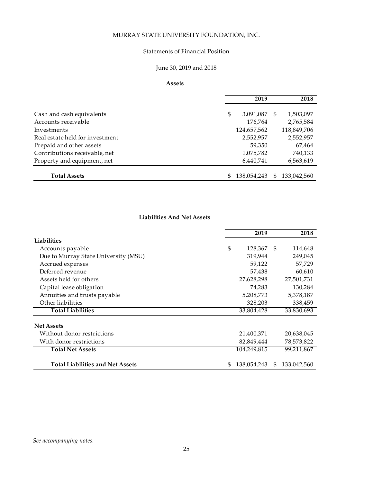# MURRAY STATE UNIVERSITY FOUNDATION, INC.

## Statements of Financial Position

# June 30, 2019 and 2018

#### **Assets**

|                                 | 2019            |    | 2018        |
|---------------------------------|-----------------|----|-------------|
| Cash and cash equivalents       | \$<br>3,091,087 | -S | 1,503,097   |
| Accounts receivable             | 176,764         |    | 2,765,584   |
| Investments                     | 124,657,562     |    | 118,849,706 |
| Real estate held for investment | 2,552,957       |    | 2,552,957   |
| Prepaid and other assets        | 59,350          |    | 67,464      |
| Contributions receivable, net   | 1,075,782       |    | 740,133     |
| Property and equipment, net     | 6,440,741       |    | 6,563,619   |
| <b>Total Assets</b>             | 138,054,243     | £. | 133,042,560 |

### **Liabilities And Net Assets**

|                                         | 2019              |     | 2018        |
|-----------------------------------------|-------------------|-----|-------------|
| <b>Liabilities</b>                      |                   |     |             |
| Accounts payable                        | \$<br>128,367     | \$  | 114,648     |
| Due to Murray State University (MSU)    | 319,944           |     | 249,045     |
| Accrued expenses                        | 59,122            |     | 57,729      |
| Deferred revenue                        | 57,438            |     | 60,610      |
| Assets held for others                  | 27,628,298        |     | 27,501,731  |
| Capital lease obligation                | 74,283            |     | 130,284     |
| Annuities and trusts payable            | 5,208,773         |     | 5,378,187   |
| Other liabilities                       | 328,203           |     | 338,459     |
| <b>Total Liabilities</b>                | 33,804,428        |     | 33,830,693  |
| <b>Net Assets</b>                       |                   |     |             |
| Without donor restrictions              | 21,400,371        |     | 20,638,045  |
| With donor restrictions                 | 82,849,444        |     | 78,573,822  |
| <b>Total Net Assets</b>                 | 104,249,815       |     | 99,211,867  |
| <b>Total Liabilities and Net Assets</b> | \$<br>138,054,243 | \$. | 133,042,560 |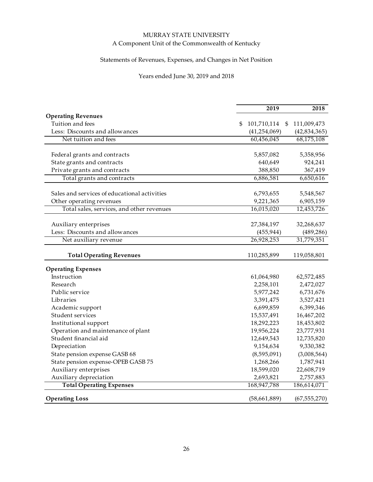# Statements of Revenues, Expenses, and Changes in Net Position

# Years ended June 30, 2019 and 2018

|                                                                       | 2019              | 2018                   |
|-----------------------------------------------------------------------|-------------------|------------------------|
| <b>Operating Revenues</b>                                             |                   |                        |
| Tuition and fees                                                      | \$<br>101,710,114 | \$<br>111,009,473      |
| Less: Discounts and allowances                                        | (41, 254, 069)    | (42, 834, 365)         |
| Net tuition and fees                                                  | 60,456,045        | 68,175,108             |
|                                                                       |                   |                        |
| Federal grants and contracts                                          | 5,857,082         | 5,358,956              |
| State grants and contracts                                            | 640,649           | 924,241                |
| Private grants and contracts                                          | 388,850           | 367,419                |
| Total grants and contracts                                            | 6,886,581         | 6,650,616              |
| Sales and services of educational activities                          | 6,793,655         |                        |
|                                                                       | 9,221,365         | 5,548,567<br>6,905,159 |
| Other operating revenues<br>Total sales, services, and other revenues | 16,015,020        | 12,453,726             |
|                                                                       |                   |                        |
| Auxiliary enterprises                                                 | 27,384,197        | 32,268,637             |
| Less: Discounts and allowances                                        | (455, 944)        | (489, 286)             |
| Net auxiliary revenue                                                 | 26,928,253        | 31,779,351             |
|                                                                       |                   |                        |
| <b>Total Operating Revenues</b>                                       | 110,285,899       | 119,058,801            |
| <b>Operating Expenses</b>                                             |                   |                        |
| Instruction                                                           | 61,064,980        | 62,572,485             |
| Research                                                              | 2,258,101         | 2,472,027              |
| Public service                                                        | 5,977,242         | 6,731,676              |
| Libraries                                                             | 3,391,475         | 3,527,421              |
| Academic support                                                      | 6,699,859         | 6,399,346              |
| Student services                                                      | 15,537,491        | 16,467,202             |
| Institutional support                                                 | 18,292,223        | 18,453,802             |
| Operation and maintenance of plant                                    | 19,956,224        | 23,777,931             |
| Student financial aid                                                 | 12,649,543        | 12,735,820             |
| Depreciation                                                          | 9,154,634         | 9,330,382              |
| State pension expense GASB 68                                         | (8,595,091)       | (3,008,564)            |
| State pension expense-OPEB GASB 75                                    | 1,268,266         | 1,787,941              |
| Auxiliary enterprises                                                 | 18,599,020        | 22,608,719             |
| Auxiliary depreciation                                                | 2,693,821         | 2,757,883              |
| <b>Total Operating Expenses</b>                                       | 168,947,788       | 186,614,071            |
| <b>Operating Loss</b>                                                 | (58,661,889)      | (67, 555, 270)         |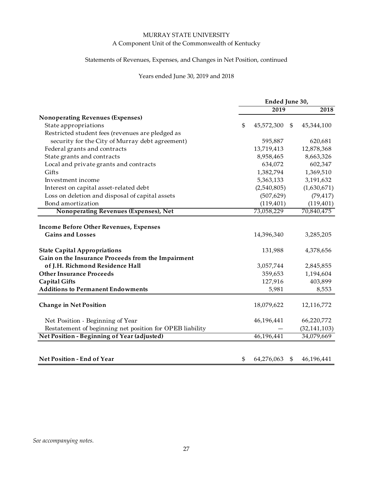# Statements of Revenues, Expenses, and Changes in Net Position, continued

# Years ended June 30, 2019 and 2018

|                                                                          | Ended June 30, |                    |                |
|--------------------------------------------------------------------------|----------------|--------------------|----------------|
|                                                                          |                | 2019               | 2018           |
| <b>Nonoperating Revenues (Expenses)</b>                                  |                |                    |                |
| State appropriations                                                     | \$             | 45,572,300<br>- \$ | 45,344,100     |
| Restricted student fees (revenues are pledged as                         |                |                    |                |
| security for the City of Murray debt agreement)                          |                | 595,887            | 620,681        |
| Federal grants and contracts                                             |                | 13,719,413         | 12,878,368     |
| State grants and contracts                                               |                | 8,958,465          | 8,663,326      |
| Local and private grants and contracts                                   |                | 634,072            | 602,347        |
| Gifts                                                                    |                | 1,382,794          | 1,369,510      |
| Investment income                                                        |                | 5,363,133          | 3,191,632      |
| Interest on capital asset-related debt                                   |                | (2,540,805)        | (1,630,671)    |
| Loss on deletion and disposal of capital assets                          |                | (507, 629)         | (79, 417)      |
| Bond amortization                                                        |                | (119, 401)         | (119, 401)     |
| Nonoperating Revenues (Expenses), Net                                    |                | 73,058,229         | 70,840,475     |
| <b>Income Before Other Revenues, Expenses</b><br><b>Gains and Losses</b> |                | 14,396,340         | 3,285,205      |
| <b>State Capital Appropriations</b>                                      |                | 131,988            | 4,378,656      |
| Gain on the Insurance Proceeds from the Impairment                       |                |                    |                |
| of J.H. Richmond Residence Hall                                          |                | 3,057,744          | 2,845,855      |
| <b>Other Insurance Proceeds</b>                                          |                | 359,653            | 1,194,604      |
| <b>Capital Gifts</b>                                                     |                | 127,916            | 403,899        |
| <b>Additions to Permanent Endowments</b>                                 |                | 5,981              | 8,553          |
| <b>Change in Net Position</b>                                            |                | 18,079,622         | 12,116,772     |
| Net Position - Beginning of Year                                         |                | 46,196,441         | 66,220,772     |
| Restatement of beginning net position for OPEB liability                 |                |                    | (32, 141, 103) |
| Net Position - Beginning of Year (adjusted)                              |                | 46,196,441         | 34,079,669     |
|                                                                          |                |                    |                |
| Net Position - End of Year                                               | \$             | 64,276,063<br>\$   | 46,196,441     |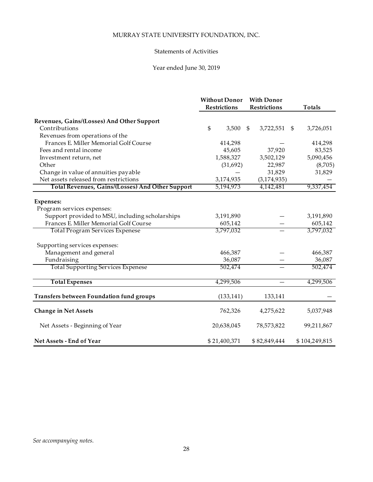# MURRAY STATE UNIVERSITY FOUNDATION, INC.

### Statements of Activities

# Year ended June 30, 2019

|                                                  |                | <b>Without Donor</b> |      | <b>With Donor</b>   |               |
|--------------------------------------------------|----------------|----------------------|------|---------------------|---------------|
|                                                  |                | <b>Restrictions</b>  |      | <b>Restrictions</b> | Totals        |
|                                                  |                |                      |      |                     |               |
| Revenues, Gains/(Losses) And Other Support       |                |                      |      |                     |               |
| Contributions                                    | $\mathfrak{S}$ | 3,500                | - \$ | 3,722,551 \$        | 3,726,051     |
| Revenues from operations of the                  |                |                      |      |                     |               |
| Frances E. Miller Memorial Golf Course           |                | 414,298              |      |                     | 414,298       |
| Fees and rental income                           |                | 45,605               |      | 37,920              | 83,525        |
| Investment return, net                           |                | 1,588,327            |      | 3,502,129           | 5,090,456     |
| Other                                            |                | (31,692)             |      | 22,987              | (8,705)       |
| Change in value of annuities payable             |                |                      |      | 31,829              | 31,829        |
| Net assets released from restrictions            |                | 3,174,935            |      | (3, 174, 935)       |               |
| Total Revenues, Gains/(Losses) And Other Support |                | 5,194,973            |      | 4,142,481           | 9,337,454     |
|                                                  |                |                      |      |                     |               |
| <b>Expenses:</b>                                 |                |                      |      |                     |               |
| Program services expenses:                       |                |                      |      |                     |               |
| Support provided to MSU, including scholarships  |                | 3,191,890            |      |                     | 3,191,890     |
| Frances E. Miller Memorial Golf Course           |                | 605,142              |      |                     | 605,142       |
| Total Program Services Expenese                  |                | 3,797,032            |      |                     | 3,797,032     |
| Supporting services expenses:                    |                |                      |      |                     |               |
| Management and general                           |                | 466,387              |      |                     | 466,387       |
| Fundraising                                      |                | 36,087               |      |                     | 36,087        |
| <b>Total Supporting Services Expenese</b>        |                | 502,474              |      |                     | 502,474       |
|                                                  |                |                      |      |                     |               |
| <b>Total Expenses</b>                            |                | 4,299,506            |      |                     | 4,299,506     |
|                                                  |                |                      |      |                     |               |
| Transfers between Foundation fund groups         |                | (133, 141)           |      | 133,141             |               |
| <b>Change in Net Assets</b>                      |                | 762,326              |      | 4,275,622           | 5,037,948     |
| Net Assets - Beginning of Year                   |                | 20,638,045           |      | 78,573,822          | 99,211,867    |
| Net Assets - End of Year                         |                | \$21,400,371         |      | \$82,849,444        | \$104,249,815 |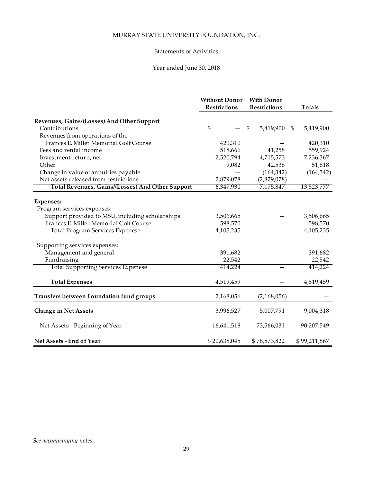# MURRAY STATE UNIVERSITY FOUNDATION, INC.

### Statements of Activities

# Year ended June 30, 2018

|                                                         | <b>Without Donor</b> | <b>With Donor</b>     |               |
|---------------------------------------------------------|----------------------|-----------------------|---------------|
|                                                         | <b>Restrictions</b>  | <b>Restrictions</b>   | <b>Totals</b> |
| Revenues, Gains/(Losses) And Other Support              |                      |                       |               |
| Contributions                                           | \$                   | 5,419,900<br>\$<br>\$ | 5,419,900     |
| Revenues from operations of the                         |                      |                       |               |
| Frances E. Miller Memorial Golf Course                  | 420,310              |                       | 420,310       |
| Fees and rental income                                  | 518,666              | 41,258                | 559,924       |
|                                                         | 2,520,794            |                       | 7,236,367     |
| Investment return, net<br>Other                         | 9,082                | 4,715,573<br>42,536   |               |
|                                                         |                      |                       | 51,618        |
| Change in value of annuities payable                    |                      | (164, 342)            | (164, 342)    |
| Net assets released from restrictions                   | 2,879,078            | (2,879,078)           |               |
| <b>Total Revenues, Gains/(Losses) And Other Support</b> | 6,347,930            | 7,175,847             | 13,523,777    |
|                                                         |                      |                       |               |
| Expenses:                                               |                      |                       |               |
| Program services expenses:                              |                      |                       |               |
| Support provided to MSU, including scholarships         | 3,506,665            |                       | 3,506,665     |
| Frances E. Miller Memorial Golf Course                  | 598,570              |                       | 598,570       |
| <b>Total Program Services Expenese</b>                  | 4,105,235            |                       | 4,105,235     |
|                                                         |                      |                       |               |
| Supporting services expenses:                           |                      |                       |               |
| Management and general                                  | 391,682              |                       | 391,682       |
| Fundraising                                             | 22,542               |                       | 22,542        |
| <b>Total Supporting Services Expenese</b>               | 414,224              |                       | 414,224       |
|                                                         |                      |                       |               |
| <b>Total Expenses</b>                                   | 4,519,459            |                       | 4,519,459     |
|                                                         |                      |                       |               |
| <b>Transfers between Foundation fund groups</b>         | 2,168,056            | (2,168,056)           |               |
| <b>Change in Net Assets</b>                             | 3,996,527            | 5,007,791             | 9,004,318     |
|                                                         |                      |                       |               |
| Net Assets - Beginning of Year                          | 16,641,518           | 73,566,031            | 90,207,549    |
| Net Assets - End of Year                                | \$20,638,045         | \$78,573,822          | \$99,211,867  |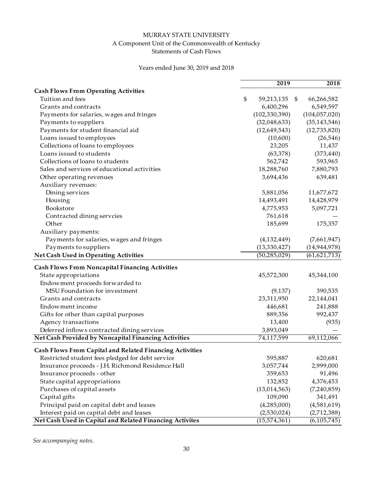# MURRAY STATE UNIVERSITY A Component Unit of the Commonwealth of Kentucky Statements of Cash Flows

# Years ended June 30, 2019 and 2018

|                                                                 | 2019             | 2018             |
|-----------------------------------------------------------------|------------------|------------------|
| <b>Cash Flows From Operating Activities</b>                     |                  |                  |
| Tuition and fees                                                | \$<br>59,213,135 | \$<br>66,266,582 |
| Grants and contracts                                            | 6,400,296        | 6,549,597        |
| Payments for salaries, wages and fringes                        | (102, 330, 390)  | (104, 057, 020)  |
| Payments to suppliers                                           | (32,048,633)     | (35, 143, 546)   |
| Payments for student financial aid                              | (12,649,543)     | (12,735,820)     |
| Loans issued to employees                                       | (10,600)         | (26, 546)        |
| Collections of loans to employees                               | 23,205           | 11,437           |
| Loans issued to students                                        | (63, 378)        | (373, 440)       |
| Collections of loans to students                                | 562,742          | 593,965          |
| Sales and services of educational activities                    | 18,288,760       | 7,880,793        |
| Other operating revenues                                        | 3,694,436        | 639,481          |
| Auxiliary revenues:                                             |                  |                  |
| Dining services                                                 | 5,881,056        | 11,677,672       |
| Housing                                                         | 14,493,491       | 14,428,979       |
| Bookstore                                                       | 4,775,953        | 5,097,721        |
| Contracted dining servcies                                      | 761,618          |                  |
| Other                                                           | 185,699          | 175,357          |
| Auxiliary payments:                                             |                  |                  |
| Payments for salaries, wages and fringes                        | (4, 132, 449)    | (7,661,947)      |
| Payments to suppliers                                           | (13, 330, 427)   | (14, 944, 978)   |
| Net Cash Used in Operating Activities                           | (50, 285, 029)   | (61, 621, 713)   |
| <b>Cash Flows From Noncapital Financing Activities</b>          |                  |                  |
| State appropriations                                            | 45,572,300       | 45,344,100       |
| Endowment proceeds forwarded to                                 |                  |                  |
| MSU Foundation for investment                                   | (9, 137)         | 390,535          |
| Grants and contracts                                            | 23,311,950       | 22,144,041       |
| Endowment income                                                | 446,681          | 241,888          |
| Gifts for other than capital purposes                           | 889,356          | 992,437          |
| Agency transactions                                             | 13,400           | (935)            |
| Deferred inflows contracted dining services                     | 3,893,049        |                  |
| Net Cash Provided by Noncapital Financing Activities            | 74,117,599       | 69,112,066       |
| <b>Cash Flows From Capital and Related Financing Activities</b> |                  |                  |
| Restricted student fees pledged for debt service                | 595,887          | 620,681          |
| Insurance proceeds - J.H. Richmond Residence Hall               | 3,057,744        | 2,999,000        |
| Insurance proceeds - other                                      | 359,653          | 91,496           |
| State capital appropriations                                    | 132,852          | 4,376,453        |
| Purchases of capital assets                                     | (13,014,563)     | (7,240,859)      |
| Capital gifts                                                   | 109,090          | 341,491          |
| Principal paid on capital debt and leases                       | (4,285,000)      | (4,581,619)      |
| Interest paid on capital debt and leases                        | (2,530,024)      | (2,712,388)      |
| Net Cash Used in Capital and Related Financing Activites        | (15, 574, 361)   | (6, 105, 745)    |

*See accompanying notes.*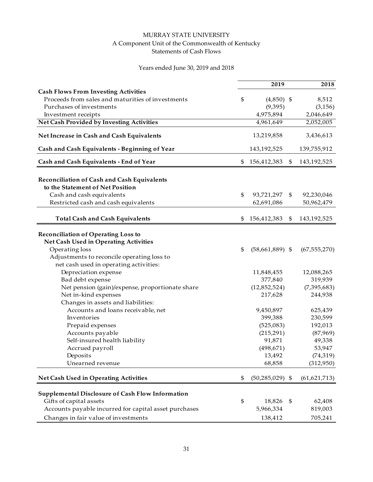# MURRAY STATE UNIVERSITY A Component Unit of the Commonwealth of Kentucky Statements of Cash Flows

# Years ended June 30, 2019 and 2018

|                                                                                        |                | 2019                | 2018              |
|----------------------------------------------------------------------------------------|----------------|---------------------|-------------------|
| <b>Cash Flows From Investing Activities</b>                                            |                |                     |                   |
| Proceeds from sales and maturities of investments                                      | \$             | $(4,850)$ \$        | 8,512             |
| Purchases of investments                                                               |                | (9,395)             | (3, 156)          |
| Investment receipts                                                                    |                | 4,975,894           | 2,046,649         |
| Net Cash Provided by Investing Activities                                              |                | 4,961,649           | 2,052,005         |
| Net Increase in Cash and Cash Equivalents                                              |                | 13,219,858          | 3,436,613         |
| Cash and Cash Equivalents - Beginning of Year                                          |                | 143,192,525         | 139,755,912       |
| Cash and Cash Equivalents - End of Year                                                | \$             | 156,412,383         | \$<br>143,192,525 |
|                                                                                        |                |                     |                   |
| <b>Reconciliation of Cash and Cash Equivalents</b><br>to the Statement of Net Position |                |                     |                   |
| Cash and cash equivalents                                                              | $\mathfrak{S}$ | 93,721,297          | \$<br>92,230,046  |
| Restricted cash and cash equivalents                                                   |                | 62,691,086          | 50,962,479        |
|                                                                                        |                |                     |                   |
| <b>Total Cash and Cash Equivalents</b>                                                 | \$             | 156,412,383         | \$<br>143,192,525 |
| <b>Reconciliation of Operating Loss to</b>                                             |                |                     |                   |
| Net Cash Used in Operating Activities                                                  |                |                     |                   |
| Operating loss                                                                         | \$             | $(58,661,889)$ \$   | (67, 555, 270)    |
| Adjustments to reconcile operating loss to                                             |                |                     |                   |
| net cash used in operating activities:                                                 |                |                     |                   |
| Depreciation expense                                                                   |                | 11,848,455          | 12,088,265        |
| Bad debt expense                                                                       |                | 377,840             | 319,939           |
| Net pension (gain)/expense, proportionate share                                        |                | (12,852,524)        | (7, 395, 683)     |
| Net in-kind expenses                                                                   |                | 217,628             | 244,938           |
| Changes in assets and liabilities:                                                     |                |                     |                   |
| Accounts and loans receivable, net                                                     |                | 9,450,897           | 625,439           |
| Inventories                                                                            |                | 399,388             | 230,599           |
| Prepaid expenses                                                                       |                | (525,083)           | 192,013           |
| Accounts payable                                                                       |                | (215, 291)          | (87,969)          |
| Self-insured health liability                                                          |                | 91,871              | 49,338            |
| Accrued payroll                                                                        |                | (498, 671)          | 53,947            |
| Deposits                                                                               |                | 13,492              | (74, 319)         |
| Unearned revenue                                                                       |                | 68,858              | (312,950)         |
| Net Cash Used in Operating Activities                                                  | \$             | $(50, 285, 029)$ \$ | (61, 621, 713)    |
|                                                                                        |                |                     |                   |
| Supplemental Disclosure of Cash Flow Information                                       |                |                     |                   |
| Gifts of capital assets                                                                | \$             | 18,826              | \$<br>62,408      |
| Accounts payable incurred for capital asset purchases                                  |                | 5,966,334           | 819,003           |
| Changes in fair value of investments                                                   |                | 138,412             | 705,241           |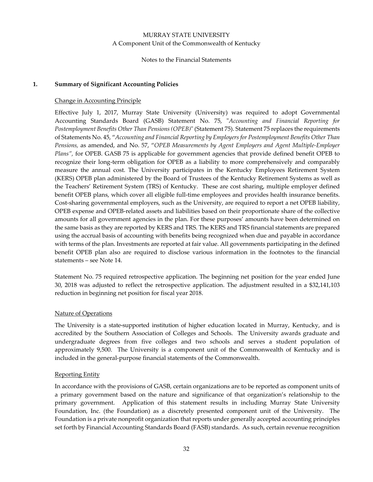#### Notes to the Financial Statements

### **1. Summary of Significant Accounting Policies**

#### Change in Accounting Principle

Effective July 1, 2017, Murray State University (University) was required to adopt Governmental Accounting Standards Board (GASB) Statement No. 75, ʺ*Accounting and Financial Reporting for Postemployment Benefits Other Than Pensions (OPEB)*ʺ (Statement 75). Statement 75 replaces the requirements of Statements No. 45, "*Accounting and Financial Reporting by Employers for Postemployment Benefits Other Than Pensions,* as amended, and No. 57, "*OPEB Measurements by Agent Employers and Agent Multiple‐Employer Plans",* for OPEB. GASB 75 is applicable for government agencies that provide defined benefit OPEB to recognize their long‐term obligation for OPEB as a liability to more comprehensively and comparably measure the annual cost. The University participates in the Kentucky Employees Retirement System (KERS) OPEB plan administered by the Board of Trustees of the Kentucky Retirement Systems as well as the Teachers' Retirement System (TRS) of Kentucky. These are cost sharing, multiple employer defined benefit OPEB plans, which cover all eligible full‐time employees and provides health insurance benefits. Cost-sharing governmental employers, such as the University, are required to report a net OPEB liability, OPEB expense and OPEB‐related assets and liabilities based on their proportionate share of the collective amounts for all government agencies in the plan. For these purposes' amounts have been determined on the same basis as they are reported by KERS and TRS. The KERS and TRS financial statements are prepared using the accrual basis of accounting with benefits being recognized when due and payable in accordance with terms of the plan. Investments are reported at fair value. All governments participating in the defined benefit OPEB plan also are required to disclose various information in the footnotes to the financial statements – see Note 14.

Statement No. 75 required retrospective application. The beginning net position for the year ended June 30, 2018 was adjusted to reflect the retrospective application. The adjustment resulted in a \$32,141,103 reduction in beginning net position for fiscal year 2018.

#### Nature of Operations

The University is a state‐supported institution of higher education located in Murray, Kentucky, and is accredited by the Southern Association of Colleges and Schools. The University awards graduate and undergraduate degrees from five colleges and two schools and serves a student population of approximately 9,500. The University is a component unit of the Commonwealth of Kentucky and is included in the general‐purpose financial statements of the Commonwealth.

### Reporting Entity

In accordance with the provisions of GASB, certain organizations are to be reported as component units of a primary government based on the nature and significance of that organization's relationship to the primary government. Application of this statement results in including Murray State University Foundation, Inc. (the Foundation) as a discretely presented component unit of the University. The Foundation is a private nonprofit organization that reports under generally accepted accounting principles set forth by Financial Accounting Standards Board (FASB) standards. As such, certain revenue recognition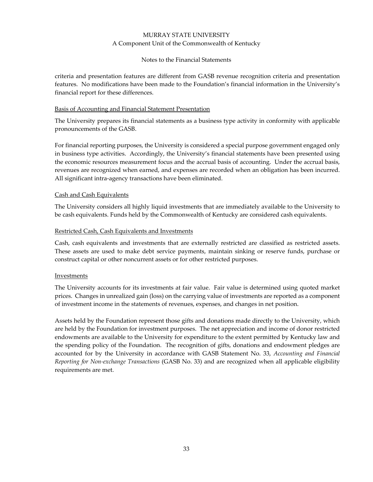#### Notes to the Financial Statements

criteria and presentation features are different from GASB revenue recognition criteria and presentation features. No modifications have been made to the Foundation's financial information in the University's financial report for these differences.

### Basis of Accounting and Financial Statement Presentation

The University prepares its financial statements as a business type activity in conformity with applicable pronouncements of the GASB.

For financial reporting purposes, the University is considered a special purpose government engaged only in business type activities. Accordingly, the University's financial statements have been presented using the economic resources measurement focus and the accrual basis of accounting. Under the accrual basis, revenues are recognized when earned, and expenses are recorded when an obligation has been incurred. All significant intra‐agency transactions have been eliminated.

### Cash and Cash Equivalents

The University considers all highly liquid investments that are immediately available to the University to be cash equivalents. Funds held by the Commonwealth of Kentucky are considered cash equivalents.

### Restricted Cash, Cash Equivalents and Investments

Cash, cash equivalents and investments that are externally restricted are classified as restricted assets. These assets are used to make debt service payments, maintain sinking or reserve funds, purchase or construct capital or other noncurrent assets or for other restricted purposes.

#### Investments

The University accounts for its investments at fair value. Fair value is determined using quoted market prices. Changes in unrealized gain (loss) on the carrying value of investments are reported as a component of investment income in the statements of revenues, expenses, and changes in net position.

Assets held by the Foundation represent those gifts and donations made directly to the University, which are held by the Foundation for investment purposes. The net appreciation and income of donor restricted endowments are available to the University for expenditure to the extent permitted by Kentucky law and the spending policy of the Foundation. The recognition of gifts, donations and endowment pledges are accounted for by the University in accordance with GASB Statement No. 33, *Accounting and Financial Reporting for Non‐exchange Transactions* (GASB No. 33) and are recognized when all applicable eligibility requirements are met.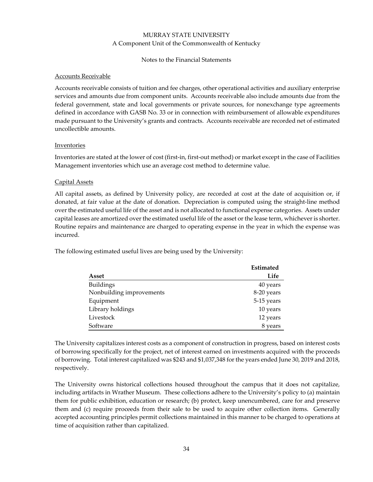#### Notes to the Financial Statements

### Accounts Receivable

Accounts receivable consists of tuition and fee charges, other operational activities and auxiliary enterprise services and amounts due from component units. Accounts receivable also include amounts due from the federal government, state and local governments or private sources, for nonexchange type agreements defined in accordance with GASB No. 33 or in connection with reimbursement of allowable expenditures made pursuant to the University's grants and contracts. Accounts receivable are recorded net of estimated uncollectible amounts.

### Inventories

Inventories are stated at the lower of cost (first-in, first-out method) or market except in the case of Facilities Management inventories which use an average cost method to determine value.

### Capital Assets

All capital assets, as defined by University policy, are recorded at cost at the date of acquisition or, if donated, at fair value at the date of donation. Depreciation is computed using the straight‐line method over the estimated useful life of the asset and is not allocated to functional expense categories. Assets under capital leases are amortized over the estimated useful life of the asset or the lease term, whichever is shorter. Routine repairs and maintenance are charged to operating expense in the year in which the expense was incurred.

The following estimated useful lives are being used by the University:

|                          | Estimated  |
|--------------------------|------------|
| Asset                    | Life       |
| <b>Buildings</b>         | 40 years   |
| Nonbuilding improvements | 8-20 years |
| Equipment                | 5-15 years |
| Library holdings         | 10 years   |
| Livestock                | 12 years   |
| Software                 | 8 years    |

The University capitalizes interest costs as a component of construction in progress, based on interest costs of borrowing specifically for the project, net of interest earned on investments acquired with the proceeds of borrowing. Total interest capitalized was \$243 and \$1,037,348 for the years ended June 30, 2019 and 2018, respectively.

The University owns historical collections housed throughout the campus that it does not capitalize, including artifacts in Wrather Museum. These collections adhere to the University's policy to (a) maintain them for public exhibition, education or research; (b) protect, keep unencumbered, care for and preserve them and (c) require proceeds from their sale to be used to acquire other collection items. Generally accepted accounting principles permit collections maintained in this manner to be charged to operations at time of acquisition rather than capitalized.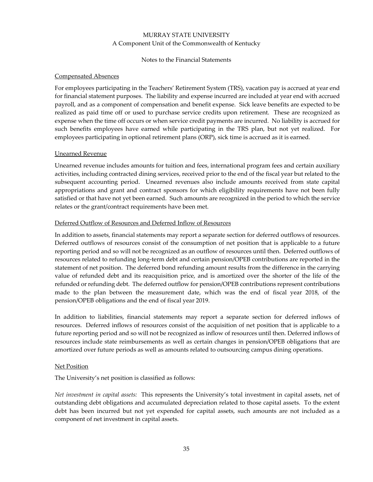### Notes to the Financial Statements

## Compensated Absences

For employees participating in the Teachers' Retirement System (TRS), vacation pay is accrued at year end for financial statement purposes. The liability and expense incurred are included at year end with accrued payroll, and as a component of compensation and benefit expense. Sick leave benefits are expected to be realized as paid time off or used to purchase service credits upon retirement. These are recognized as expense when the time off occurs or when service credit payments are incurred. No liability is accrued for such benefits employees have earned while participating in the TRS plan, but not yet realized. For employees participating in optional retirement plans (ORP), sick time is accrued as it is earned.

## Unearned Revenue

Unearned revenue includes amounts for tuition and fees, international program fees and certain auxiliary activities, including contracted dining services, received prior to the end of the fiscal year but related to the subsequent accounting period. Unearned revenues also include amounts received from state capital appropriations and grant and contract sponsors for which eligibility requirements have not been fully satisfied or that have not yet been earned. Such amounts are recognized in the period to which the service relates or the grant/contract requirements have been met.

## Deferred Outflow of Resources and Deferred Inflow of Resources

In addition to assets, financial statements may report a separate section for deferred outflows of resources. Deferred outflows of resources consist of the consumption of net position that is applicable to a future reporting period and so will not be recognized as an outflow of resources until then. Deferred outflows of resources related to refunding long‐term debt and certain pension/OPEB contributions are reported in the statement of net position. The deferred bond refunding amount results from the difference in the carrying value of refunded debt and its reacquisition price, and is amortized over the shorter of the life of the refunded or refunding debt. The deferred outflow for pension/OPEB contributions represent contributions made to the plan between the measurement date, which was the end of fiscal year 2018, of the pension/OPEB obligations and the end of fiscal year 2019.

In addition to liabilities, financial statements may report a separate section for deferred inflows of resources. Deferred inflows of resources consist of the acquisition of net position that is applicable to a future reporting period and so will not be recognized as inflow of resources until then. Deferred inflows of resources include state reimbursements as well as certain changes in pension/OPEB obligations that are amortized over future periods as well as amounts related to outsourcing campus dining operations.

# Net Position

The University's net position is classified as follows:

*Net investment in capital assets:* This represents the University's total investment in capital assets, net of outstanding debt obligations and accumulated depreciation related to those capital assets. To the extent debt has been incurred but not yet expended for capital assets, such amounts are not included as a component of net investment in capital assets.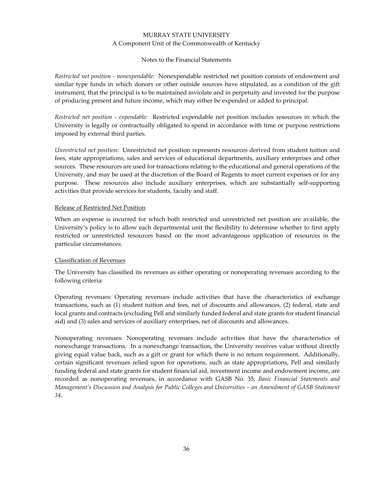### Notes to the Financial Statements

*Restricted net position ‐ nonexpendable:* Nonexpendable restricted net position consists of endowment and similar type funds in which donors or other outside sources have stipulated, as a condition of the gift instrument, that the principal is to be maintained inviolate and in perpetuity and invested for the purpose of producing present and future income, which may either be expended or added to principal.

*Restricted net position ‐ expendable:* Restricted expendable net position includes resources in which the University is legally or contractually obligated to spend in accordance with time or purpose restrictions imposed by external third parties.

*Unrestricted net position:* Unrestricted net position represents resources derived from student tuition and fees, state appropriations, sales and services of educational departments, auxiliary enterprises and other sources. These resources are used for transactions relating to the educational and general operations of the University, and may be used at the discretion of the Board of Regents to meet current expenses or for any purpose. These resources also include auxiliary enterprises, which are substantially self‐supporting activities that provide services for students, faculty and staff.

## Release of Restricted Net Position

When an expense is incurred for which both restricted and unrestricted net position are available, the University's policy is to allow each departmental unit the flexibility to determine whether to first apply restricted or unrestricted resources based on the most advantageous application of resources in the particular circumstances.

# Classification of Revenues

The University has classified its revenues as either operating or nonoperating revenues according to the following criteria:

Operating revenues: Operating revenues include activities that have the characteristics of exchange transactions, such as (1) student tuition and fees, net of discounts and allowances, (2) federal, state and local grants and contracts (excluding Pell and similarly funded federal and state grants for student financial aid) and (3) sales and services of auxiliary enterprises, net of discounts and allowances.

Nonoperating revenues: Nonoperating revenues include activities that have the characteristics of nonexchange transactions. In a nonexchange transaction, the University receives value without directly giving equal value back, such as a gift or grant for which there is no return requirement. Additionally, certain significant revenues relied upon for operations, such as state appropriations, Pell and similarly funding federal and state grants for student financial aid, investment income and endowment income, are recorded as nonoperating revenues, in accordance with GASB No. 35, *Basic Financial Statements and Management's Discussion and Analysis for Public Colleges and Universities – an Amendment of GASB Statement 34*.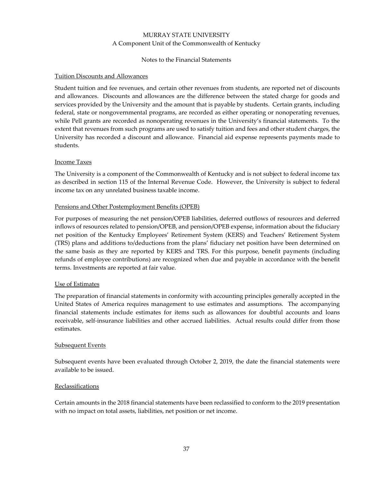### Notes to the Financial Statements

### Tuition Discounts and Allowances

Student tuition and fee revenues, and certain other revenues from students, are reported net of discounts and allowances. Discounts and allowances are the difference between the stated charge for goods and services provided by the University and the amount that is payable by students. Certain grants, including federal, state or nongovernmental programs, are recorded as either operating or nonoperating revenues, while Pell grants are recorded as nonoperating revenues in the University's financial statements. To the extent that revenues from such programs are used to satisfy tuition and fees and other student charges, the University has recorded a discount and allowance. Financial aid expense represents payments made to students.

## Income Taxes

The University is a component of the Commonwealth of Kentucky and is not subject to federal income tax as described in section 115 of the Internal Revenue Code. However, the University is subject to federal income tax on any unrelated business taxable income.

## Pensions and Other Postemployment Benefits (OPEB)

For purposes of measuring the net pension/OPEB liabilities, deferred outflows of resources and deferred inflows of resources related to pension/OPEB, and pension/OPEB expense, information about the fiduciary net position of the Kentucky Employees' Retirement System (KERS) and Teachers' Retirement System (TRS) plans and additions to/deductions from the plans' fiduciary net position have been determined on the same basis as they are reported by KERS and TRS. For this purpose, benefit payments (including refunds of employee contributions) are recognized when due and payable in accordance with the benefit terms. Investments are reported at fair value.

# Use of Estimates

The preparation of financial statements in conformity with accounting principles generally accepted in the United States of America requires management to use estimates and assumptions. The accompanying financial statements include estimates for items such as allowances for doubtful accounts and loans receivable, self‐insurance liabilities and other accrued liabilities. Actual results could differ from those estimates.

#### Subsequent Events

Subsequent events have been evaluated through October 2, 2019, the date the financial statements were available to be issued.

#### Reclassifications

Certain amounts in the 2018 financial statements have been reclassified to conform to the 2019 presentation with no impact on total assets, liabilities, net position or net income.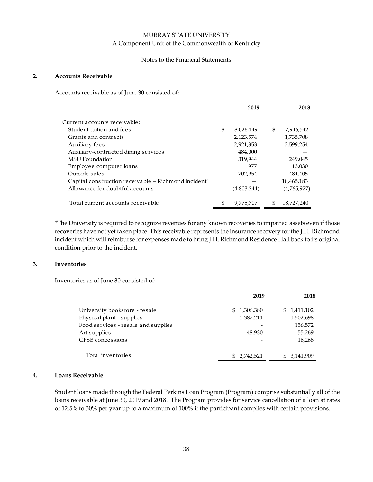### Notes to the Financial Statements

### **2. Accounts Receivable**

Accounts receivable as of June 30 consisted of:

|                                                      | 2019            |     | 2018        |
|------------------------------------------------------|-----------------|-----|-------------|
| Current accounts receivable:                         |                 |     |             |
| Student tuition and fees                             | \$<br>8,026,149 | \$. | 7,946,542   |
| Grants and contracts                                 | 2,123,574       |     | 1,735,708   |
| Auxiliary fees                                       | 2,921,353       |     | 2,599,254   |
| Auxiliary-contracted dining services                 | 484,000         |     |             |
| <b>MSU</b> Foundation                                | 319,944         |     | 249,045     |
| Employee computer loans                              | 977             |     | 13.030      |
| Outside sales                                        | 702,954         |     | 484,405     |
| Capital construction receivable - Richmond incident* |                 |     | 10,465,183  |
| Allowance for doubtful accounts                      | (4,803,244)     |     | (4,765,927) |
| Total current accounts receivable                    | \$<br>9,775,707 |     | 18.727.240  |

\*The University is required to recognize revenues for any known recoveries to impaired assets even if those recoveries have not yet taken place. This receivable represents the insurance recovery for the J.H. Richmond incident which will reimburse for expenses made to bring J.H. Richmond Residence Hall back to its original condition prior to the incident.

#### **3. Inventories**

Inventories as of June 30 consisted of:

|                                                            | 2019                     | 2018                          |
|------------------------------------------------------------|--------------------------|-------------------------------|
| University bookstore - resale<br>Physical plant - supplies | \$1,306,380<br>1,387,211 | 1,411,102<br>SS.<br>1,502,698 |
| Food services - resale and supplies                        |                          | 156,572                       |
| Art supplies                                               | 48.930                   | 55,269                        |
| CFSB concessions                                           |                          | 16,268                        |
| Total inventories                                          | \$2,742,521              | 3,141,909<br>S                |

# **4. Loans Receivable**

Student loans made through the Federal Perkins Loan Program (Program) comprise substantially all of the loans receivable at June 30, 2019 and 2018. The Program provides for service cancellation of a loan at rates of 12.5% to 30% per year up to a maximum of 100% if the participant complies with certain provisions.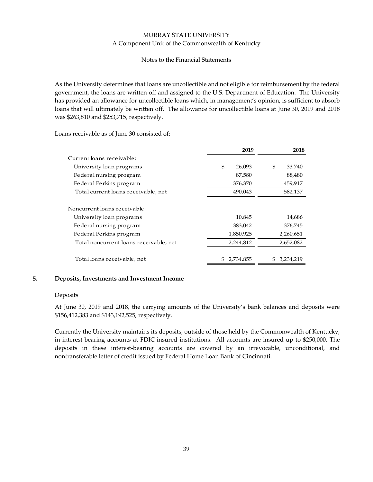#### Notes to the Financial Statements

As the University determines that loans are uncollectible and not eligible for reimbursement by the federal government, the loans are written off and assigned to the U.S. Department of Education. The University has provided an allowance for uncollectible loans which, in management's opinion, is sufficient to absorb loans that will ultimately be written off. The allowance for uncollectible loans at June 30, 2019 and 2018 was \$263,810 and \$253,715, respectively.

Loans receivable as of June 30 consisted of:

|                                        | 2019         | 2018            |
|----------------------------------------|--------------|-----------------|
| Current loans receivable:              |              |                 |
| University loan programs               | \$<br>26,093 | \$<br>33,740    |
| Federal nursing program                | 87,580       | 88,480          |
| Federal Perkins program                | 376,370      | 459,917         |
| Total current loans receivable, net    | 490,043      | 582,137         |
| Noncurrent loans receivable:           |              |                 |
| University loan programs               | 10,845       | 14,686          |
| Federal nursing program                | 383,042      | 376,745         |
| Federal Perkins program                | 1,850,925    | 2,260,651       |
| Total noncurrent loans receivable, net | 2,244,812    | 2,652,082       |
| Total loans receivable, net            | 2,734,855    | \$<br>3,234,219 |

# **5. Deposits, Investments and Investment Income**

#### **Deposits**

At June 30, 2019 and 2018, the carrying amounts of the University's bank balances and deposits were \$156,412,383 and \$143,192,525, respectively.

Currently the University maintains its deposits, outside of those held by the Commonwealth of Kentucky, in interest‐bearing accounts at FDIC‐insured institutions. All accounts are insured up to \$250,000. The deposits in these interest-bearing accounts are covered by an irrevocable, unconditional, and nontransferable letter of credit issued by Federal Home Loan Bank of Cincinnati.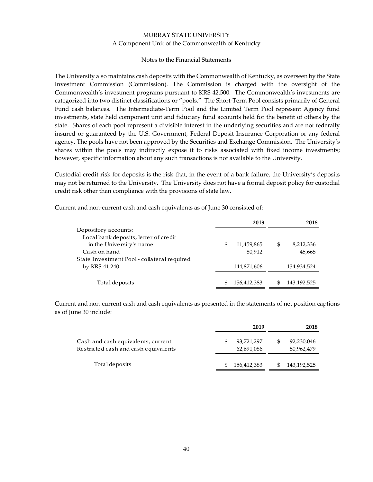#### Notes to the Financial Statements

The University also maintains cash deposits with the Commonwealth of Kentucky, as overseen by the State Investment Commission (Commission). The Commission is charged with the oversight of the Commonwealth's investment programs pursuant to KRS 42.500. The Commonwealth's investments are categorized into two distinct classifications or "pools." The Short‐Term Pool consists primarily of General Fund cash balances. The Intermediate-Term Pool and the Limited Term Pool represent Agency fund investments, state held component unit and fiduciary fund accounts held for the benefit of others by the state. Shares of each pool represent a divisible interest in the underlying securities and are not federally insured or guaranteed by the U.S. Government, Federal Deposit Insurance Corporation or any federal agency. The pools have not been approved by the Securities and Exchange Commission. The University's shares within the pools may indirectly expose it to risks associated with fixed income investments; however, specific information about any such transactions is not available to the University.

Custodial credit risk for deposits is the risk that, in the event of a bank failure, the University's deposits may not be returned to the University. The University does not have a formal deposit policy for custodial credit risk other than compliance with the provisions of state law.

|                                             | 2019             | 2018            |
|---------------------------------------------|------------------|-----------------|
| Depository accounts:                        |                  |                 |
| Local bank deposits, letter of credit       |                  |                 |
| in the University's name                    | \$<br>11,459,865 | \$<br>8,212,336 |
| Cash on hand                                | 80,912           | 45,665          |
| State Investment Pool - collateral required |                  |                 |
| by KRS 41.240                               | 144,871,606      | 134,934,524     |
|                                             |                  |                 |
| Total de posits                             | 156,412,383      | 143,192,525     |

Current and non‐current cash and cash equivalents as of June 30 consisted of:

Current and non‐current cash and cash equivalents as presented in the statements of net position captions as of June 30 include:

|                                                                            |  | 2019                            |     | 2018                     |  |
|----------------------------------------------------------------------------|--|---------------------------------|-----|--------------------------|--|
| Cash and cash equivalents, current<br>Restricted cash and cash equivalents |  | 93,721,297<br>\$.<br>62,691,086 |     | 92,230,046<br>50,962,479 |  |
| Total deposits                                                             |  | 156,412,383                     | SS. | 143,192,525              |  |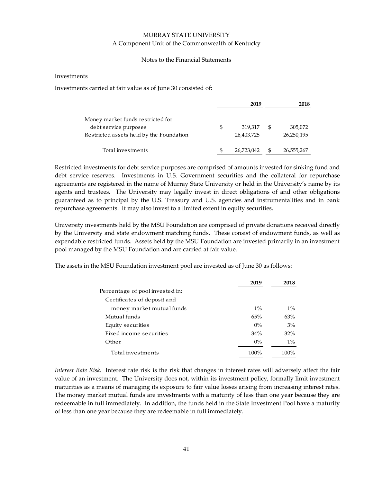### Notes to the Financial Statements

#### Investments

Investments carried at fair value as of June 30 consisted of:

|                                          |    | 2019       |   | 2018       |
|------------------------------------------|----|------------|---|------------|
| Money market funds restricted for        |    |            |   |            |
| debt service purposes                    | \$ | 319.317    | S | 305,072    |
| Restricted assets held by the Foundation |    | 26,403,725 |   | 26,250,195 |
|                                          |    |            |   |            |
| Total investments                        | S  | 26,723,042 | S | 26,555,267 |

Restricted investments for debt service purposes are comprised of amounts invested for sinking fund and debt service reserves. Investments in U.S. Government securities and the collateral for repurchase agreements are registered in the name of Murray State University or held in the University's name by its agents and trustees. The University may legally invest in direct obligations of and other obligations guaranteed as to principal by the U.S. Treasury and U.S. agencies and instrumentalities and in bank repurchase agreements. It may also invest to a limited extent in equity securities.

University investments held by the MSU Foundation are comprised of private donations received directly by the University and state endowment matching funds. These consist of endowment funds, as well as expendable restricted funds. Assets held by the MSU Foundation are invested primarily in an investment pool managed by the MSU Foundation and are carried at fair value.

The assets in the MSU Foundation investment pool are invested as of June 30 as follows:

|                                 | 2019  | 2018  |
|---------------------------------|-------|-------|
| Percentage of pool invested in: |       |       |
| Certificates of deposit and     |       |       |
| money market mutual funds       | $1\%$ | $1\%$ |
| Mutual funds                    | 65%   | 63%   |
| Equity securities               | $0\%$ | 3%    |
| Fixed income securities         | 34%   | 32%   |
| Other                           | $0\%$ | $1\%$ |
| Total investments               | 100%  | 100%  |

*Interest Rate Risk*. Interest rate risk is the risk that changes in interest rates will adversely affect the fair value of an investment. The University does not, within its investment policy, formally limit investment maturities as a means of managing its exposure to fair value losses arising from increasing interest rates. The money market mutual funds are investments with a maturity of less than one year because they are redeemable in full immediately. In addition, the funds held in the State Investment Pool have a maturity of less than one year because they are redeemable in full immediately.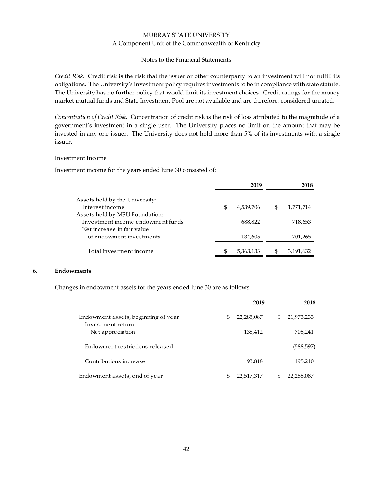#### Notes to the Financial Statements

*Credit Risk*. Credit risk is the risk that the issuer or other counterparty to an investment will not fulfill its obligations. The University's investment policy requires investments to be in compliance with state statute. The University has no further policy that would limit its investment choices. Credit ratings for the money market mutual funds and State Investment Pool are not available and are therefore, considered unrated.

*Concentration of Credit Risk*. Concentration of credit risk is the risk of loss attributed to the magnitude of a government's investment in a single user. The University places no limit on the amount that may be invested in any one issuer. The University does not hold more than 5% of its investments with a single issuer.

## Investment Income

Investment income for the years ended June 30 consisted of:

|                                   | 2019            |    | 2018      |
|-----------------------------------|-----------------|----|-----------|
| Assets held by the University:    |                 |    |           |
| Interest income                   | \$<br>4,539,706 | \$ | 1,771,714 |
| Assets held by MSU Foundation:    |                 |    |           |
| Investment income endowment funds | 688,822         |    | 718,653   |
| Net increase in fair value        |                 |    |           |
| of endowment investments          | 134,605         |    | 701,265   |
| Total investment income           | \$<br>5,363,133 | S  | 3,191,632 |

# **6. Endowments**

Changes in endowment assets for the years ended June 30 are as follows:

|                                                          | 2019 |            |    | 2018       |  |  |
|----------------------------------------------------------|------|------------|----|------------|--|--|
| Endowment assets, beginning of year<br>Investment return | \$   | 22,285,087 | \$ | 21,973,233 |  |  |
| Net appreciation                                         |      | 138,412    |    | 705,241    |  |  |
| Endowment restrictions released                          |      |            |    | (588,597)  |  |  |
| Contributions increase                                   |      | 93,818     |    | 195,210    |  |  |
| Endowment assets, end of year                            | \$   | 22,517,317 |    | 22,285,087 |  |  |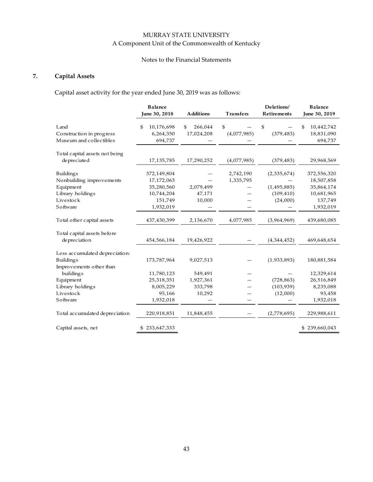# Notes to the Financial Statements

# **7. Capital Assets**

Capital asset activity for the year ended June 30, 2019 was as follows:

|                                  | <b>Balance</b><br>June 30, 2018 | <b>Additions</b>            | <b>Transfers</b>  | Deletions/<br>Retirements | <b>Balance</b><br>June 30, 2019 |
|----------------------------------|---------------------------------|-----------------------------|-------------------|---------------------------|---------------------------------|
| Land<br>Construction in progress | 10,176,698<br>\$<br>6,264,350   | 266,044<br>\$<br>17,024,208 | \$<br>(4,077,985) | \$<br>(379, 483)          | 10,442,742<br>\$<br>18,831,090  |
| Museum and collectibles          | 694,737                         |                             |                   |                           | 694,737                         |
| To tal capital assets not being  |                                 |                             |                   |                           |                                 |
| depreciated                      | 17, 135, 785                    | 17,290,252                  | (4,077,985)       | (379, 483)                | 29,968,569                      |
| <b>Buildings</b>                 | 372,149,804                     |                             | 2,742,190         | (2,335,674)               | 372,556,320                     |
| Nonbuilding improvements         | 17,172,063                      |                             | 1,335,795         |                           | 18,507,858                      |
| Equipment                        | 35,280,560                      | 2,079,499                   |                   | (1,495,885)               | 35,864,174                      |
| Library holdings                 | 10,744,204                      | 47,171                      |                   | (109, 410)                | 10,681,965                      |
| Livestock                        | 151,749                         | 10,000                      |                   | (24,000)                  | 137,749                         |
| Software                         | 1,932,019                       |                             |                   |                           | 1,932,019                       |
| To tal o ther capital assets     | 437,430,399                     | 2,136,670                   | 4,077,985         | (3,964,969)               | 439,680,085                     |
| To tal capital assets before     |                                 |                             |                   |                           |                                 |
| depreciation                     | 454,566,184                     | 19,426,922                  |                   | (4,344,452)               | 469,648,654                     |
| Less accumulated depreciation:   |                                 |                             |                   |                           |                                 |
| <b>Buildings</b>                 | 173,787,964                     | 9,027,513                   |                   | (1,933,893)               | 180,881,584                     |
| Improvements other than          |                                 |                             |                   |                           |                                 |
| building <sub>s</sub>            | 11,780,123                      | 549,491                     |                   |                           | 12,329,614                      |
| Equipment                        | 25,318,351                      | 1,927,361                   |                   | (728, 863)                | 26,516,849                      |
| Library holdings                 | 8,005,229                       | 333,798                     |                   | (103, 939)                | 8,235,088                       |
| Livestock                        | 95,166                          | 10,292                      |                   | (12,000)                  | 93,458                          |
| Software                         | 1,932,018                       |                             |                   |                           | 1,932,018                       |
| To tal accumulated depreciation  | 220,918,851                     | 11,848,455                  |                   | (2,778,695)               | 229,988,611                     |
| Capital assets, net              | \$233,647,333                   |                             |                   |                           | \$239,660,043                   |
|                                  |                                 |                             |                   |                           |                                 |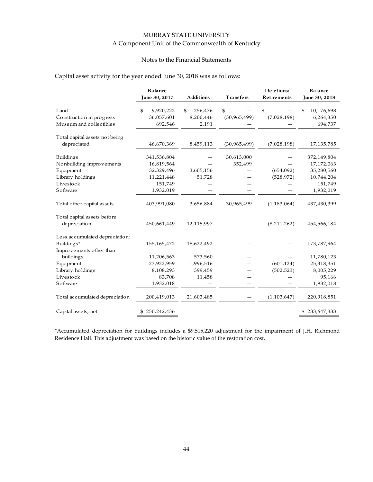#### Notes to the Financial Statements

## Capital asset activity for the year ended June 30, 2018 was as follows:

|                                | <b>Balance</b><br>June 30, 2017 | <b>Additions</b> | Transfers    | Deletions/<br>Retirements | <b>Balance</b><br>June 30, 2018 |
|--------------------------------|---------------------------------|------------------|--------------|---------------------------|---------------------------------|
| Land                           | \$<br>9,920,222                 | \$<br>256,476    | \$           | \$                        | 10,176,698<br>\$                |
| Construction in progress       | 36,057,601                      | 8,200,446        | (30,965,499) | (7,028,198)               | 6,264,350                       |
| Museum and collectibles        | 692,546                         | 2,191            |              |                           | 694,737                         |
| Total capital assets not being |                                 |                  |              |                           |                                 |
| depreciated                    | 46,670,369                      | 8,459,113        | (30,965,499) | (7,028,198)               | 17, 135, 785                    |
| <b>Buildings</b>               | 341,536,804                     |                  | 30,613,000   |                           | 372,149,804                     |
| Nonbuilding improvements       | 16,819,564                      |                  | 352,499      |                           | 17,172,063                      |
| Equipment                      | 32,329,496                      | 3,605,156        |              | (654, 092)                | 35,280,560                      |
| Library holdings               | 11,221,448                      | 51,728           |              | (528, 972)                | 10,744,204                      |
| Livestock                      | 151,749                         |                  |              |                           | 151,749                         |
| Software                       | 1,932,019                       |                  |              |                           | 1,932,019                       |
| To tal o ther capital assets   | 403,991,080                     | 3,656,884        | 30,965,499   | (1, 183, 064)             | 437,430,399                     |
| Total capital assets before    |                                 |                  |              |                           |                                 |
| depreciation                   | 450,661,449                     | 12,115,997       |              | (8,211,262)               | 454,566,184                     |
| Less accumulated depreciation: |                                 |                  |              |                           |                                 |
| Buildings*                     | 155,165,472                     | 18,622,492       |              |                           | 173,787,964                     |
| Improvements other than        |                                 |                  |              |                           |                                 |
| building <sub>s</sub>          | 11,206,563                      | 573,560          |              |                           | 11,780,123                      |
| Equipment                      | 23,922,959                      | 1,996,516        |              | (601, 124)                | 25,318,351                      |
| Library holdings               | 8,108,293                       | 399,459          |              | (502, 523)                | 8,005,229                       |
| Livestock                      | 83,708                          | 11,458           |              |                           | 95,166                          |
| Software                       | 1,932,018                       |                  |              |                           | 1,932,018                       |
| Total accumulated depreciation | 200,419,013                     | 21,603,485       |              | (1, 103, 647)             | 220,918,851                     |
| Capital assets, net            | 250,242,436                     |                  |              |                           | \$233,647,333                   |

\*Accumulated depreciation for buildings includes a \$9,515,220 adjustment for the impairment of J.H. Richmond Residence Hall. This adjustment was based on the historic value of the restoration cost.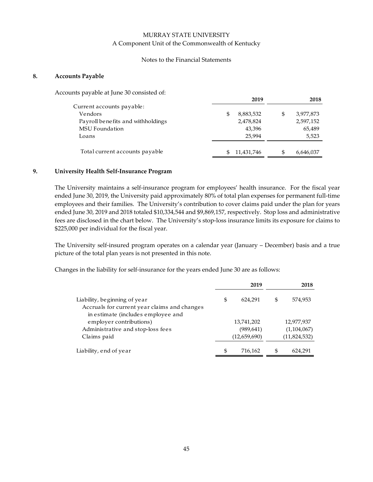### Notes to the Financial Statements

#### **8. Accounts Payable**

Accounts payable at June 30 consisted of:

|                                   | 2019            | 2018            |
|-----------------------------------|-----------------|-----------------|
| Current accounts payable:         |                 |                 |
| Vendors                           | \$<br>8,883,532 | \$<br>3,977,873 |
| Payroll benefits and withholdings | 2,478,824       | 2,597,152       |
| <b>MSU</b> Foundation             | 43,396          | 65,489          |
| Loans                             | 25.994          | 5,523           |
| Total current accounts payable    | 11,431,746<br>S | 6,646,037       |

## **9. University Health Self‐Insurance Program**

The University maintains a self‐insurance program for employees' health insurance. For the fiscal year ended June 30, 2019, the University paid approximately 80% of total plan expenses for permanent full‐time employees and their families. The University's contribution to cover claims paid under the plan for years ended June 30, 2019 and 2018 totaled \$10,334,544 and \$9,869,157, respectively. Stop loss and administrative fees are disclosed in the chart below. The University's stop-loss insurance limits its exposure for claims to \$225,000 per individual for the fiscal year.

The University self-insured program operates on a calendar year (January – December) basis and a true picture of the total plan years is not presented in this note.

Changes in the liability for self‐insurance for the years ended June 30 are as follows:

|                                              |   | 2019         | 2018          |  |
|----------------------------------------------|---|--------------|---------------|--|
| Liability, beginning of year                 | S | 624,291      | \$<br>574,953 |  |
| Accruals for current year claims and changes |   |              |               |  |
| in estimate (includes employee and           |   |              |               |  |
| employer contributions)                      |   | 13,741,202   | 12,977,937    |  |
| Administrative and stop-loss fees            |   | (989, 641)   | (1,104,067)   |  |
| Claims paid                                  |   | (12,659,690) | (11,824,532)  |  |
| Liability, end of year                       |   | 716,162      | 624.291       |  |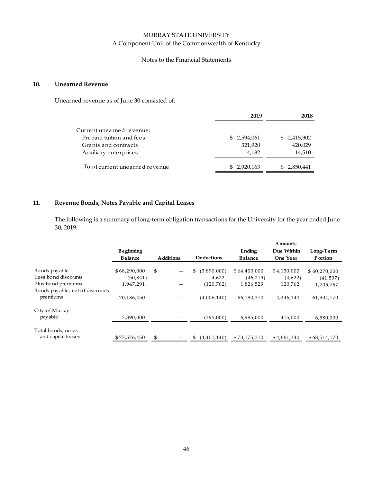## Notes to the Financial Statements

# **10. Unearned Revenue**

Unearned revenue as of June 30 consisted of:

|                                 | 2019        | 2018           |
|---------------------------------|-------------|----------------|
| Current unearned revenue:       |             |                |
| Prepaid tuition and fees        | \$2,594,061 | \$2,415,902    |
| Grants and contracts            | 321,920     | 420,029        |
| Auxiliary enterprises           | 4,182       | 14,510         |
| Total current une arned revenue | \$2,920,163 | 2,850,441<br>S |

# **11. Revenue Bonds, Notes Payable and Capital Leases**

The following is a summary of long-term obligation transactions for the University for the year ended June 30, 2019:

|                                             |                  |                  |                   |                | Amounts     |                           |
|---------------------------------------------|------------------|------------------|-------------------|----------------|-------------|---------------------------|
|                                             | <b>Beginning</b> |                  |                   | Ending         | Due Within  | Long-Term                 |
|                                             | <b>Balance</b>   | <b>Additions</b> | <b>Deductions</b> | <b>Balance</b> | One Year    | <b>P</b> ortion           |
| Bonds payable                               | \$68,290,000     | \$               | (3,890,000)<br>\$ | \$64,400,000   | \$4,130,000 |                           |
| Less bond discounts                         | (50, 841)        |                  | 4,622             | (46, 219)      | (4,622)     | \$60,270,000<br>(41, 597) |
| Plus bond premiums                          | 1,947,291        |                  | (120, 762)        | 1,826,529      | 120,762     | 1,705,767                 |
| Bonds payable, net of discounts<br>premiums | 70,186,450       |                  | (4,006,140)       | 66,180,310     | 4,246,140   | 61,934,170                |
| City of Murray                              |                  |                  |                   |                |             |                           |
| pay able                                    | 7,390,000        |                  | (395,000)         | 6,995,000      | 415,000     | 6,580,000                 |
| Total bonds, notes<br>and capital leases    | \$77,576,450     | \$               | (4,401,140)<br>\$ | \$73,175,310   | \$4,661,140 | \$68,514,170              |
|                                             |                  |                  |                   |                |             |                           |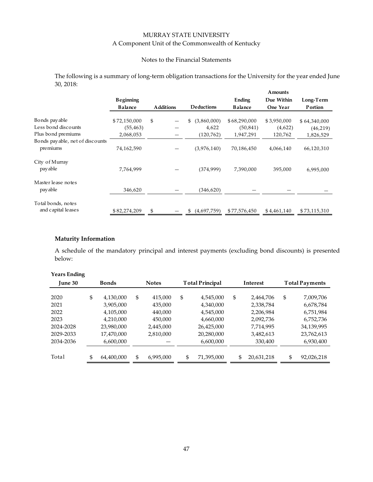#### Notes to the Financial Statements

The following is a summary of long-term obligation transactions for the University for the year ended June 30, 2018:

|                                 |                  |                  |                   |                | <b>Amounts</b> |                 |
|---------------------------------|------------------|------------------|-------------------|----------------|----------------|-----------------|
|                                 | <b>Beginning</b> |                  |                   | Ending         | Due Within     | Long-Term       |
|                                 | <b>Balance</b>   | <b>Additions</b> | Deductions        | <b>Balance</b> | One Year       | <b>P</b> ortion |
|                                 |                  |                  |                   |                |                |                 |
| Bonds payable                   | \$72,150,000     | \$               | (3,860,000)<br>\$ | \$68,290,000   | \$3,950,000    | \$64,340,000    |
| Less bond discounts             | (55, 463)        |                  | 4,622             | (50, 841)      | (4,622)        | (46, 219)       |
| Plus bond premiums              | 2,068,053        |                  | (120, 762)        | 1,947,291      | 120,762        | 1,826,529       |
| Bonds payable, net of discounts |                  |                  |                   |                |                |                 |
| premiums                        | 74,162,590       |                  | (3,976,140)       | 70,186,450     | 4,066,140      | 66,120,310      |
| City of Murray                  |                  |                  |                   |                |                |                 |
| pay able                        | 7,764,999        |                  | (374, 999)        | 7,390,000      | 395,000        | 6,995,000       |
| Master lease notes              |                  |                  |                   |                |                |                 |
| pay able                        | 346,620          |                  | (346, 620)        |                |                |                 |
| Total bonds, notes              |                  |                  |                   |                |                |                 |
| and capital leases              | \$82,274,209     | \$               | (4,697,759)<br>\$ | \$77,576,450   | \$4,461,140    | \$73,115,310    |

# **Maturity Information**

A schedule of the mandatory principal and interest payments (excluding bond discounts) is presented below:

#### **Years Ending**

| <b>June 30</b> | <b>Bonds</b> |            | <b>Notes</b> |           | <b>Total Principal</b> |            | Interest         | <b>Total Payments</b> |
|----------------|--------------|------------|--------------|-----------|------------------------|------------|------------------|-----------------------|
|                |              |            |              |           |                        |            |                  |                       |
| 2020           | \$           | 4,130,000  | \$           | 415,000   | \$                     | 4,545,000  | \$<br>2,464,706  | \$<br>7,009,706       |
| 2021           |              | 3,905,000  |              | 435,000   |                        | 4,340,000  | 2,338,784        | 6,678,784             |
| 2022           |              | 4,105,000  |              | 440,000   |                        | 4,545,000  | 2,206,984        | 6,751,984             |
| 2023           |              | 4,210,000  |              | 450,000   |                        | 4,660,000  | 2,092,736        | 6,752,736             |
| 2024-2028      |              | 23,980,000 |              | 2,445,000 |                        | 26,425,000 | 7,714,995        | 34,139,995            |
| 2029-2033      |              | 17,470,000 |              | 2,810,000 |                        | 20,280,000 | 3,482,613        | 23,762,613            |
| 2034-2036      |              | 6,600,000  |              |           |                        | 6,600,000  | 330,400          | 6,930,400             |
|                |              |            |              |           |                        |            |                  |                       |
| Total          | \$           | 64,400,000 | \$           | 6,995,000 | \$                     | 71,395,000 | \$<br>20,631,218 | \$<br>92,026,218      |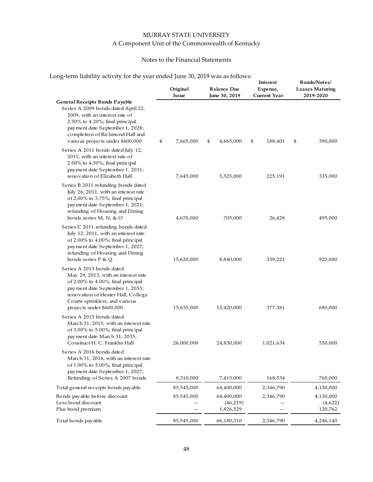# Notes to the Financial Statements

# Long-term liability activity for the year ended June 30, 2019 was as follows:

|                                                                                                                                                                                                                                                             |    | Original<br><b>Issue</b> |    | <b>Balance Due</b><br>June 30, 2019  |    | Interest<br>Expense,<br><b>Current Year</b> |    | <b>Bonds/Notes/</b><br><b>Leases Maturing</b><br>2019-2020 |  |
|-------------------------------------------------------------------------------------------------------------------------------------------------------------------------------------------------------------------------------------------------------------|----|--------------------------|----|--------------------------------------|----|---------------------------------------------|----|------------------------------------------------------------|--|
| <b>General Receipts Bonds Payable</b><br>Series A 2009 bonds dated April 22,<br>2009, with an interest rate of<br>2.50% to 4.20%; final principal<br>payment date September 1, 2028;<br>completion of Richmond Hall and<br>various projects under \$600,000 | \$ | 7,665,000                | \$ | 4,665,000                            | \$ | 188,401                                     | \$ | 390,000                                                    |  |
| Series A 2011 bonds dated July 12,<br>2011, with an interest rate of<br>2.00% to 4.50%; final principal<br>payment date September 1, 2031;<br>renovation of Elizabeth Hall                                                                                  |    | 7,645,000                |    | 5,525,000                            |    | 225,191                                     |    | 335,000                                                    |  |
| Series B 2011 refunding bonds dated<br>July 26, 2011, with an interest rate<br>of 2.00% to 3.75%; final principal<br>payment date September 1, 2021;<br>refunding of Housing and Dining<br>bonds series M, N, & O                                           |    | 4,670,000                |    | 705,000                              |    | 26,428                                      |    | 495,000                                                    |  |
| Series C 2011 refunding bonds dated<br>July 12, 2011, with an interest rate<br>of 2.00% to 4.00%; final principal<br>payment date September 1, 2027;<br>refunding of Housing and Dining<br>bonds series P & Q                                               |    | 15,620,000               |    | 8,840,000                            |    | 339,221                                     |    | 920,000                                                    |  |
| Series A 2013 bonds dated<br>May 29, 2013, with an interest rate<br>of 2.00% to 4.00%; final principal<br>payment date September 1, 2033;<br>renovation of Hester Hall, College<br>Courts sprinklers, and various<br>projects under \$600,000               |    | 15,635,000               |    | 12,420,000                           |    | 377,381                                     |    | 680,000                                                    |  |
| Series A 2015 bonds dated<br>March 31, 2015, with an interest rate<br>of 3.00% to 5.00%; final principal<br>payment date March 31, 2035;<br>Construct H. C. Franklin Hall                                                                                   |    | 26,000,000               |    | 24,830,000                           |    | 1,021,634                                   |    | 550,000                                                    |  |
| Series A 2016 bonds dated<br>March 31, 2016, with an interest rate<br>of 1.00% to 3.00%; final principal<br>payment date September 1, 2027;<br>Refunding of Series A 2007 bonds                                                                             |    | 8,310,000                |    | 7,415,000                            |    | 168,534                                     |    | 760,000                                                    |  |
| Total general receipts bonds payable                                                                                                                                                                                                                        |    | 85,545,000               |    | 64,400,000                           |    | 2,346,790                                   |    | 4,130,000                                                  |  |
| Bonds payable before discount<br>Less bond discount<br>Plus bond premium                                                                                                                                                                                    |    | 85,545,000               |    | 64,400,000<br>(46, 219)<br>1,826,529 |    | 2,346,790                                   |    | 4,130,000<br>(4,622)<br>120,762                            |  |
| Total bonds payable                                                                                                                                                                                                                                         |    | 85,545,000               |    | 66,180,310                           |    | 2,346,790                                   |    | 4,246,140                                                  |  |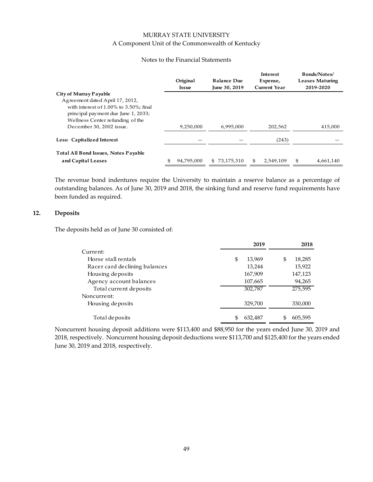#### Notes to the Financial Statements

|                                                                                                                                                                                       | Original<br>Issue | <b>Balance Due</b><br>June 30, 2019 | <b>Interest</b><br>Expense,<br><b>Current Year</b> | <b>Bonds/Notes/</b><br><b>Leases Maturing</b><br>2019-2020 |
|---------------------------------------------------------------------------------------------------------------------------------------------------------------------------------------|-------------------|-------------------------------------|----------------------------------------------------|------------------------------------------------------------|
| City of Murray Payable<br>Agreement dated April 17, 2012,<br>with interest of $1.00\%$ to $3.50\%$ ; final<br>principal payment due June 1, 2033;<br>Wellness Center refunding of the |                   |                                     |                                                    |                                                            |
| December 30, 2002 issue.                                                                                                                                                              | 9.250.000         | 6.995.000                           | 202.562                                            | 415,000                                                    |
| Less: Capitalized Interest                                                                                                                                                            |                   |                                     | (243)                                              |                                                            |
| Total All Bond Issues, Notes Payable<br>and Capital Leases                                                                                                                            | \$<br>94,795,000  | \$73,175,310                        | 2,549,109                                          | 4,661,140                                                  |

The revenue bond indentures require the University to maintain a reserve balance as a percentage of outstanding balances. As of June 30, 2019 and 2018, the sinking fund and reserve fund requirements have been funded as required.

# **12. Deposits**

The deposits held as of June 30 consisted of:

|                               | 2019         | 2018          |
|-------------------------------|--------------|---------------|
| Current:                      |              |               |
| Horse stall rentals           | \$<br>13,969 | 18,285<br>\$. |
| Racer card declining balances | 13,244       | 15,922        |
| Housing deposits              | 167,909      | 147,123       |
| Agency account balances       | 107,665      | 94,265        |
| Total current deposits        | 302,787      | 275,595       |
| Noncurrent:                   |              |               |
| Housing deposits              | 329,700      | 330,000       |
| Total de posits               | 632,487<br>S | 605,595       |

Noncurrent housing deposit additions were \$113,400 and \$88,950 for the years ended June 30, 2019 and 2018, respectively. Noncurrent housing deposit deductions were \$113,700 and \$125,400 for the years ended June 30, 2019 and 2018, respectively.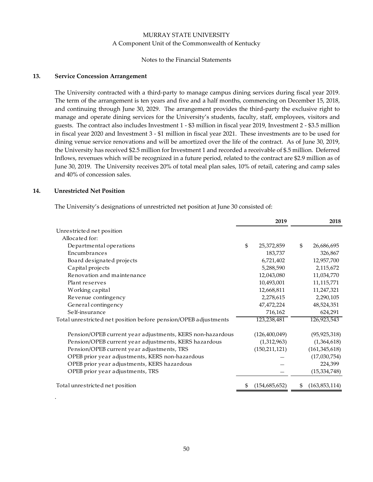#### Notes to the Financial Statements

#### **13. Service Concession Arrangement**

The University contracted with a third‐party to manage campus dining services during fiscal year 2019. The term of the arrangement is ten years and five and a half months, commencing on December 15, 2018, and continuing through June 30, 2029. The arrangement provides the third‐party the exclusive right to manage and operate dining services for the University's students, faculty, staff, employees, visitors and guests. The contract also includes Investment 1 ‐ \$3 million in fiscal year 2019, Investment 2 ‐ \$3.5 million in fiscal year 2020 and Investment 3 ‐ \$1 million in fiscal year 2021. These investments are to be used for dining venue service renovations and will be amortized over the life of the contract. As of June 30, 2019, the University has received \$2.5 million for Investment 1 and recorded a receivable of \$.5 million. Deferred Inflows, revenues which will be recognized in a future period, related to the contract are \$2.9 million as of June 30, 2019. The University receives 20% of total meal plan sales, 10% of retail, catering and camp sales and 40% of concession sales.

# **14. Unrestricted Net Position**

.

The University's designations of unrestricted net position at June 30 consisted of:

|                                                                 | 2019             | 2018                  |
|-----------------------------------------------------------------|------------------|-----------------------|
| Unrestricted net position                                       |                  |                       |
| Allocated for:                                                  |                  |                       |
| Departmental operations                                         | \$<br>25,372,859 | \$<br>26,686,695      |
| Encumbrances                                                    | 183,737          | 326,867               |
| Board designated projects                                       | 6,721,402        | 12,957,700            |
| Capital projects                                                | 5,288,590        | 2,115,672             |
| Renovation and maintenance                                      | 12,043,080       | 11,034,770            |
| Plant reserves                                                  | 10,493,001       | 11,115,771            |
| Working capital                                                 | 12,668,811       | 11,247,321            |
| Revenue contingency                                             | 2,278,615        | 2,290,105             |
| General contingency                                             | 47,472,224       | 48,524,351            |
| Self-insurance                                                  | 716,162          | 624,291               |
| Total unrestricted net position before pension/OPEB adjustments | 123,238,481      | 126,923,543           |
| Pension/OPEB current year adjustments, KERS non-hazardous       | (126, 400, 049)  | (95, 925, 318)        |
| Pension/OPEB current year adjustments, KERS hazardous           | (1,312,963)      | (1,364,618)           |
| Pension/OPEB current year adjustments, TRS                      | (150, 211, 121)  | (161, 345, 618)       |
| OPEB prior year adjustments, KERS non-hazardous                 |                  | (17,030,754)          |
| OPEB prior year adjustments, KERS hazardous                     |                  | 224,399               |
| OPEB prior year adjustments, TRS                                |                  | (15, 334, 748)        |
| Total unrestricted net position                                 | (154,685,652)    | \$<br>(163, 853, 114) |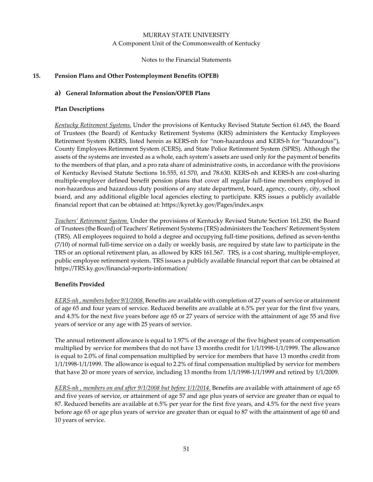Notes to the Financial Statements

# **15. Pension Plans and Other Postemployment Benefits (OPEB)**

# **a) General Information about the Pension/OPEB Plans**

# **Plan Descriptions**

*Kentucky Retirement Systems.* Under the provisions of Kentucky Revised Statute Section 61.645, the Board of Trustees (the Board) of Kentucky Retirement Systems (KRS) administers the Kentucky Employees Retirement System (KERS, listed herein as KERS‐nh for "non‐hazardous and KERS‐h for "hazardous"), County Employees Retirement System (CERS), and State Police Retirement System (SPRS). Although the assets of the systems are invested as a whole, each system's assets are used only for the payment of benefits to the members of that plan, and a pro rata share of administrative costs, in accordance with the provisions of Kentucky Revised Statute Sections 16.555, 61.570, and 78.630. KERS‐nh and KERS‐h are cost‐sharing multiple‐employer defined benefit pension plans that cover all regular full‐time members employed in non‐hazardous and hazardous duty positions of any state department, board, agency, county, city, school board, and any additional eligible local agencies electing to participate. KRS issues a publicly available financial report that can be obtained at: https://kyret.ky.gov/Pages/index.aspx

*Teachers' Retirement System.* Under the provisions of Kentucky Revised Statute Section 161.250, the Board of Trustees (the Board) of Teachers' Retirement Systems (TRS) administers the Teachers' Retirement System (TRS). All employees required to hold a degree and occupying full‐time positions, defined as seven‐tenths (7/10) of normal full‐time service on a daily or weekly basis, are required by state law to participate in the TRS or an optional retirement plan, as allowed by KRS 161.567. TRS, is a cost sharing, multiple‐employer, public employee retirement system. TRS issues a publicly available financial report that can be obtained at https://TRS.ky.gov/financial‐reports‐information/

# **Benefits Provided**

*KERS‐nh , members before 9/1/2008.* Benefits are available with completion of 27 years of service or attainment of age 65 and four years of service. Reduced benefits are available at 6.5% per year for the first five years, and 4.5% for the next five years before age 65 or 27 years of service with the attainment of age 55 and five years of service or any age with 25 years of service.

The annual retirement allowance is equal to 1.97% of the average of the five highest years of compensation multiplied by service for members that do not have 13 months credit for 1/1/1998‐1/1/1999. The allowance is equal to 2.0% of final compensation multiplied by service for members that have 13 months credit from 1/1/1998‐1/1/1999. The allowance is equal to 2.2% of final compensation multiplied by service for members that have 20 or more years of service, including 13 months from 1/1/1998‐1/1/1999 and retired by 1/1/2009.

*KERS‐nh , members on and after 9/1/2008 but before 1/1/2014.* Benefits are available with attainment of age 65 and five years of service, or attainment of age 57 and age plus years of service are greater than or equal to 87. Reduced benefits are available at 6.5% per year for the first five years, and 4.5% for the next five years before age 65 or age plus years of service are greater than or equal to 87 with the attainment of age 60 and 10 years of service.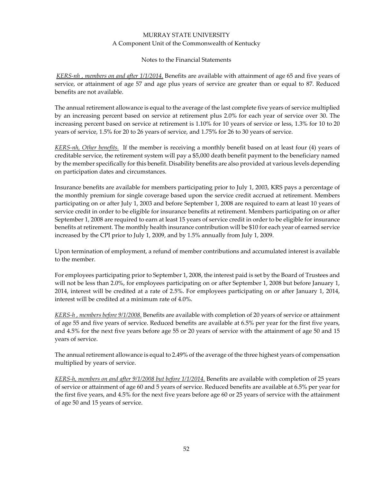### Notes to the Financial Statements

*KERS‐nh , members on and after 1/1/2014.* Benefits are available with attainment of age 65 and five years of service, or attainment of age 57 and age plus years of service are greater than or equal to 87. Reduced benefits are not available.

The annual retirement allowance is equal to the average of the last complete five years of service multiplied by an increasing percent based on service at retirement plus 2.0% for each year of service over 30. The increasing percent based on service at retirement is 1.10% for 10 years of service or less, 1.3% for 10 to 20 years of service, 1.5% for 20 to 26 years of service, and 1.75% for 26 to 30 years of service.

*KERS‐nh, Other benefits.* If the member is receiving a monthly benefit based on at least four (4) years of creditable service, the retirement system will pay a \$5,000 death benefit payment to the beneficiary named by the member specifically for this benefit. Disability benefits are also provided at various levels depending on participation dates and circumstances.

Insurance benefits are available for members participating prior to July 1, 2003, KRS pays a percentage of the monthly premium for single coverage based upon the service credit accrued at retirement. Members participating on or after July 1, 2003 and before September 1, 2008 are required to earn at least 10 years of service credit in order to be eligible for insurance benefits at retirement. Members participating on or after September 1, 2008 are required to earn at least 15 years of service credit in order to be eligible for insurance benefits at retirement. The monthly health insurance contribution will be \$10 for each year of earned service increased by the CPI prior to July 1, 2009, and by 1.5% annually from July 1, 2009.

Upon termination of employment, a refund of member contributions and accumulated interest is available to the member.

For employees participating prior to September 1, 2008, the interest paid is set by the Board of Trustees and will not be less than 2.0%, for employees participating on or after September 1, 2008 but before January 1, 2014, interest will be credited at a rate of 2.5%. For employees participating on or after January 1, 2014, interest will be credited at a minimum rate of 4.0%.

*KERS‐h , members before 9/1/2008.* Benefits are available with completion of 20 years of service or attainment of age 55 and five years of service. Reduced benefits are available at 6.5% per year for the first five years, and 4.5% for the next five years before age 55 or 20 years of service with the attainment of age 50 and 15 years of service.

The annual retirement allowance is equal to 2.49% of the average of the three highest years of compensation multiplied by years of service.

*KERS‐h, members on and after 9/1/2008 but before 1/1/2014.* Benefits are available with completion of 25 years of service or attainment of age 60 and 5 years of service. Reduced benefits are available at 6.5% per year for the first five years, and 4.5% for the next five years before age 60 or 25 years of service with the attainment of age 50 and 15 years of service.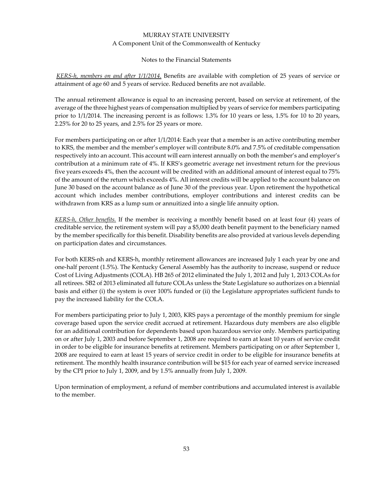### Notes to the Financial Statements

*KERS‐h, members on and after 1/1/2014.* Benefits are available with completion of 25 years of service or attainment of age 60 and 5 years of service. Reduced benefits are not available.

The annual retirement allowance is equal to an increasing percent, based on service at retirement, of the average of the three highest years of compensation multiplied by years of service for members participating prior to 1/1/2014. The increasing percent is as follows: 1.3% for 10 years or less, 1.5% for 10 to 20 years, 2.25% for 20 to 25 years, and 2.5% for 25 years or more.

For members participating on or after 1/1/2014: Each year that a member is an active contributing member to KRS, the member and the member's employer will contribute 8.0% and 7.5% of creditable compensation respectively into an account. This account will earn interest annually on both the member's and employer's contribution at a minimum rate of 4%. If KRS's geometric average net investment return for the previous five years exceeds 4%, then the account will be credited with an additional amount of interest equal to 75% of the amount of the return which exceeds 4%. All interest credits will be applied to the account balance on June 30 based on the account balance as of June 30 of the previous year. Upon retirement the hypothetical account which includes member contributions, employer contributions and interest credits can be withdrawn from KRS as a lump sum or annuitized into a single life annuity option.

*KERS‐h, Other benefits.* If the member is receiving a monthly benefit based on at least four (4) years of creditable service, the retirement system will pay a \$5,000 death benefit payment to the beneficiary named by the member specifically for this benefit. Disability benefits are also provided at various levels depending on participation dates and circumstances.

For both KERS‐nh and KERS‐h, monthly retirement allowances are increased July 1 each year by one and one‐half percent (1.5%). The Kentucky General Assembly has the authority to increase, suspend or reduce Cost of Living Adjustments (COLA). HB 265 of 2012 eliminated the July 1, 2012 and July 1, 2013 COLAs for all retirees. SB2 of 2013 eliminated all future COLAs unless the State Legislature so authorizes on a biennial basis and either (i) the system is over 100% funded or (ii) the Legislature appropriates sufficient funds to pay the increased liability for the COLA.

For members participating prior to July 1, 2003, KRS pays a percentage of the monthly premium for single coverage based upon the service credit accrued at retirement. Hazardous duty members are also eligible for an additional contribution for dependents based upon hazardous service only. Members participating on or after July 1, 2003 and before September 1, 2008 are required to earn at least 10 years of service credit in order to be eligible for insurance benefits at retirement. Members participating on or after September 1, 2008 are required to earn at least 15 years of service credit in order to be eligible for insurance benefits at retirement. The monthly health insurance contribution will be \$15 for each year of earned service increased by the CPI prior to July 1, 2009, and by 1.5% annually from July 1, 2009.

Upon termination of employment, a refund of member contributions and accumulated interest is available to the member.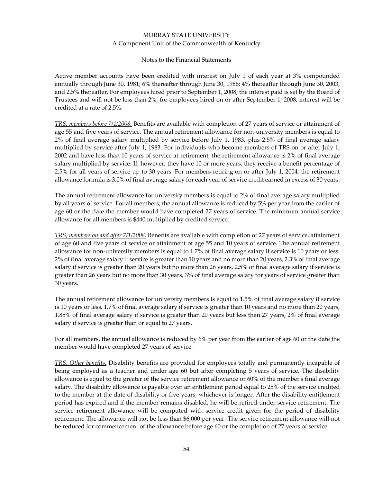### Notes to the Financial Statements

Active member accounts have been credited with interest on July 1 of each year at 3% compounded annually through June 30, 1981; 6% thereafter through June 30, 1986; 4% thereafter through June 30, 2003, and 2.5% thereafter. For employees hired prior to September 1, 2008, the interest paid is set by the Board of Trustees and will not be less than 2%, for employees hired on or after September 1, 2008, interest will be credited at a rate of 2.5%.

*TRS, members before 7/1/2008.* Benefits are available with completion of 27 years of service or attainment of age 55 and five years of service. The annual retirement allowance for non-university members is equal to 2% of final average salary multiplied by service before July 1, 1983, plus 2.5% of final average salary multiplied by service after July 1, 1983. For individuals who become members of TRS on or after July 1, 2002 and have less than 10 years of service at retirement, the retirement allowance is 2% of final average salary multiplied by service. If, however, they have 10 or more years, they receive a benefit percentage of 2.5% for all years of service up to 30 years. For members retiring on or after July 1, 2004, the retirement allowance formula is 3.0% of final average salary for each year of service credit earned in excess of 30 years.

The annual retirement allowance for university members is equal to 2% of final average salary multiplied by all years of service. For all members, the annual allowance is reduced by 5% per year from the earlier of age 60 or the date the member would have completed 27 years of service. The minimum annual service allowance for all members is \$440 multiplied by credited service.

*TRS, members on and after 7/1/2008.* Benefits are available with completion of 27 years of service, attainment of age 60 and five years of service or attainment of age 55 and 10 years of service. The annual retirement allowance for non‐university members is equal to 1.7% of final average salary if service is 10 years or less. 2% of final average salary if service is greater than 10 years and no more than 20 years, 2.3% of final average salary if service is greater than 20 years but no more than 26 years, 2.5% of final average salary if service is greater than 26 years but no more than 30 years, 3% of final average salary for years of service greater than 30 years.

The annual retirement allowance for university members is equal to 1.5% of final average salary if service is 10 years or less, 1.7% of final average salary if service is greater than 10 years and no more than 20 years, 1.85% of final average salary if service is greater than 20 years but less than 27 years, 2% of final average salary if service is greater than or equal to 27 years.

For all members, the annual allowance is reduced by 6% per year from the earlier of age 60 or the date the member would have completed 27 years of service.

*TRS, Other benefits.* Disability benefits are provided for employees totally and permanently incapable of being employed as a teacher and under age 60 but after completing 5 years of service. The disability allowance is equal to the greater of the service retirement allowance or 60% of the member's final average salary. The disability allowance is payable over an entitlement period equal to 25% of the service credited to the member at the date of disability or five years, whichever is longer. After the disability entitlement period has expired and if the member remains disabled, he will be retired under service retirement. The service retirement allowance will be computed with service credit given for the period of disability retirement. The allowance will not be less than \$6,000 per year. The service retirement allowance will not be reduced for commencement of the allowance before age 60 or the completion of 27 years of service.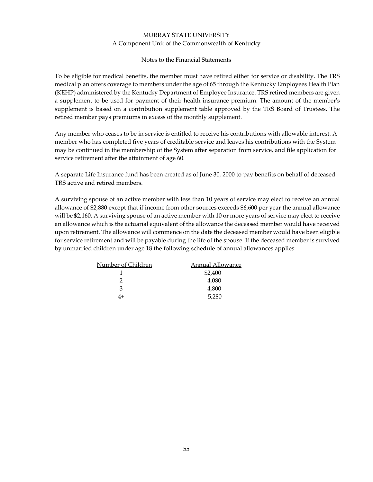#### Notes to the Financial Statements

To be eligible for medical benefits, the member must have retired either for service or disability. The TRS medical plan offers coverage to members under the age of 65 through the Kentucky Employees Health Plan (KEHP) administered by the Kentucky Department of Employee Insurance. TRS retired members are given a supplement to be used for payment of their health insurance premium. The amount of the member's supplement is based on a contribution supplement table approved by the TRS Board of Trustees. The retired member pays premiums in excess of the monthly supplement.

Any member who ceases to be in service is entitled to receive his contributions with allowable interest. A member who has completed five years of creditable service and leaves his contributions with the System may be continued in the membership of the System after separation from service, and file application for service retirement after the attainment of age 60.

A separate Life Insurance fund has been created as of June 30, 2000 to pay benefits on behalf of deceased TRS active and retired members.

A surviving spouse of an active member with less than 10 years of service may elect to receive an annual allowance of \$2,880 except that if income from other sources exceeds \$6,600 per year the annual allowance will be \$2,160. A surviving spouse of an active member with 10 or more years of service may elect to receive an allowance which is the actuarial equivalent of the allowance the deceased member would have received upon retirement. The allowance will commence on the date the deceased member would have been eligible for service retirement and will be payable during the life of the spouse. If the deceased member is survived by unmarried children under age 18 the following schedule of annual allowances applies:

| Number of Children | Annual Allowance |
|--------------------|------------------|
|                    | \$2,400          |
|                    | 4,080            |
| З                  | 4,800            |
| 4+                 | 5,280            |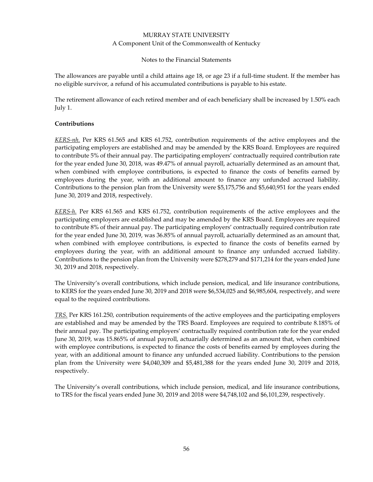Notes to the Financial Statements

The allowances are payable until a child attains age 18, or age 23 if a full‐time student. If the member has no eligible survivor, a refund of his accumulated contributions is payable to his estate.

The retirement allowance of each retired member and of each beneficiary shall be increased by 1.50% each July 1.

# **Contributions**

*KERS‐nh.* Per KRS 61.565 and KRS 61.752, contribution requirements of the active employees and the participating employers are established and may be amended by the KRS Board. Employees are required to contribute 5% of their annual pay. The participating employers' contractually required contribution rate for the year ended June 30, 2018, was 49.47% of annual payroll, actuarially determined as an amount that, when combined with employee contributions, is expected to finance the costs of benefits earned by employees during the year, with an additional amount to finance any unfunded accrued liability. Contributions to the pension plan from the University were \$5,175,756 and \$5,640,951 for the years ended June 30, 2019 and 2018, respectively.

*KERS‐h.* Per KRS 61.565 and KRS 61.752, contribution requirements of the active employees and the participating employers are established and may be amended by the KRS Board. Employees are required to contribute 8% of their annual pay. The participating employers' contractually required contribution rate for the year ended June 30, 2019, was 36.85% of annual payroll, actuarially determined as an amount that, when combined with employee contributions, is expected to finance the costs of benefits earned by employees during the year, with an additional amount to finance any unfunded accrued liability. Contributions to the pension plan from the University were \$278,279 and \$171,214 for the years ended June 30, 2019 and 2018, respectively.

The University's overall contributions, which include pension, medical, and life insurance contributions, to KERS for the years ended June 30, 2019 and 2018 were \$6,534,025 and \$6,985,604, respectively, and were equal to the required contributions.

*TRS.* Per KRS 161.250, contribution requirements of the active employees and the participating employers are established and may be amended by the TRS Board. Employees are required to contribute 8.185% of their annual pay. The participating employers' contractually required contribution rate for the year ended June 30, 2019, was 15.865% of annual payroll, actuarially determined as an amount that, when combined with employee contributions, is expected to finance the costs of benefits earned by employees during the year, with an additional amount to finance any unfunded accrued liability. Contributions to the pension plan from the University were \$4,040,309 and \$5,481,388 for the years ended June 30, 2019 and 2018, respectively.

The University's overall contributions, which include pension, medical, and life insurance contributions, to TRS for the fiscal years ended June 30, 2019 and 2018 were \$4,748,102 and \$6,101,239, respectively.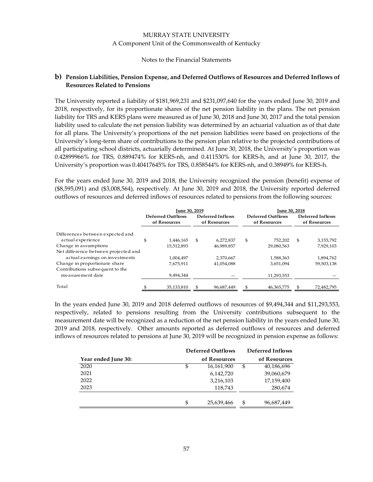#### Notes to the Financial Statements

# **b) Pension Liabilities, Pension Expense, and Deferred Outflows of Resources and Deferred Inflows of Resources Related to Pensions**

The University reported a liability of \$181,969,231 and \$231,097,640 for the years ended June 30, 2019 and 2018, respectively, for its proportionate shares of the net pension liability in the plans. The net pension liability for TRS and KERS plans were measured as of June 30, 2018 and June 30, 2017 and the total pension liability used to calculate the net pension liability was determined by an actuarial valuation as of that date for all plans. The University's proportions of the net pension liabilities were based on projections of the University's long‐term share of contributions to the pension plan relative to the projected contributions of all participating school districts, actuarially determined. At June 30, 2018, the University's proportion was 0.42899966% for TRS, 0.889474% for KERS‐nh, and 0.411530% for KERS‐h, and at June 30, 2017, the University's proportion was 0.40417645% for TRS, 0.858544% for KERS‐nh, and 0.38949% for KERS‐h.

For the years ended June 30, 2019 and 2018, the University recognized the pension (benefit) expense of (\$8,595,091) and (\$3,008,564), respectively. At June 30, 2019 and 2018, the University reported deferred outflows of resources and deferred inflows of resources related to pensions from the following sources:

|                                      | <b>Iune 30, 2019</b> |                                          |    |                                  | <b>June 30, 2018</b> |                                          |    |                                  |  |
|--------------------------------------|----------------------|------------------------------------------|----|----------------------------------|----------------------|------------------------------------------|----|----------------------------------|--|
|                                      |                      | <b>Deferred Outflows</b><br>of Resources |    | Deferred Inflows<br>of Resources |                      | <b>Deferred Outflows</b><br>of Resources |    | Deferred Inflows<br>of Resources |  |
| Differences between expected and     |                      |                                          |    |                                  |                      |                                          |    |                                  |  |
| actual experience                    |                      | 1.446.165                                | \$ | 6.272.837                        | \$                   | 752.202                                  | \$ | 3,155,792                        |  |
| Change in assumptions                |                      | 15,512,893                               |    | 46,989,857                       |                      | 29.080.563                               |    | 7,929,103                        |  |
| Net difference between projected and |                      |                                          |    |                                  |                      |                                          |    |                                  |  |
| actual earnings on investments       |                      | 1,004,497                                |    | 2,370,667                        |                      | 1,588,363                                |    | 1,894,762                        |  |
| Change in proportionate share        |                      | 7,675,911                                |    | 41,054,088                       |                      | 3,651,094                                |    | 59,503,138                       |  |
| Contributions subsequent to the      |                      |                                          |    |                                  |                      |                                          |    |                                  |  |
| measurement date                     |                      | 9,494,344                                |    |                                  |                      | 11,293,553                               |    |                                  |  |
| Total                                |                      | 35,133,810                               |    | 96,687,449                       | \$                   | 46, 365, 775                             | \$ | 72,482,795                       |  |

In the years ended June 30, 2019 and 2018 deferred outflows of resources of \$9,494,344 and \$11,293,553, respectively, related to pensions resulting from the University contributions subsequent to the measurement date will be recognized as a reduction of the net pension liability in the years ended June 30, 2019 and 2018, respectively. Other amounts reported as deferred outflows of resources and deferred inflows of resources related to pensions at June 30, 2019 will be recognized in pension expense as follows:

| <b>Deferred Outflows</b> |              |    | <b>Deferred Inflows</b> |
|--------------------------|--------------|----|-------------------------|
|                          | of Resources |    | of Resources            |
|                          | 16,161,900   | \$ | 40,186,696              |
|                          | 6,142,720    |    | 39,060,679              |
|                          | 3,216,103    |    | 17,159,400              |
|                          | 118,743      |    | 280,674                 |
|                          |              |    |                         |
| \$                       | 25,639,466   | S  | 96,687,449              |
|                          |              |    |                         |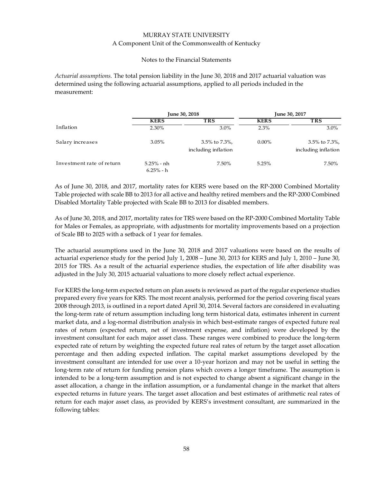### Notes to the Financial Statements

*Actuarial assumptions.* The total pension liability in the June 30, 2018 and 2017 actuarial valuation was determined using the following actuarial assumptions, applied to all periods included in the measurement:

|                           | <b>June 30, 2018</b>          |                                         |             | June 30, 2017                        |
|---------------------------|-------------------------------|-----------------------------------------|-------------|--------------------------------------|
|                           | <b>KERS</b>                   | <b>TRS</b>                              | <b>KERS</b> | <b>TRS</b>                           |
| Inflation                 | 2.30%                         | $3.0\%$                                 | $2.3\%$     | $3.0\%$                              |
| Salary increases          | 3.05%                         | $3.5\%$ to 7.3%,<br>including inflation | $0.00\%$    | 3.5% to 7.3%,<br>including inflation |
| Investment rate of return | $5.25\%$ - nh<br>$6.25\%$ - h | 7.50%                                   | 5.25%       | 7.50%                                |

As of June 30, 2018, and 2017, mortality rates for KERS were based on the RP‐2000 Combined Mortality Table projected with scale BB to 2013 for all active and healthy retired members and the RP‐2000 Combined Disabled Mortality Table projected with Scale BB to 2013 for disabled members.

As of June 30, 2018, and 2017, mortality rates for TRS were based on the RP‐2000 Combined Mortality Table for Males or Females, as appropriate, with adjustments for mortality improvements based on a projection of Scale BB to 2025 with a setback of 1 year for females.

The actuarial assumptions used in the June 30, 2018 and 2017 valuations were based on the results of actuarial experience study for the period July 1, 2008 – June 30, 2013 for KERS and July 1, 2010 – June 30, 2015 for TRS. As a result of the actuarial experience studies, the expectation of life after disability was adjusted in the July 30, 2015 actuarial valuations to more closely reflect actual experience.

For KERS the long‐term expected return on plan assets is reviewed as part of the regular experience studies prepared every five years for KRS. The most recent analysis, performed for the period covering fiscal years 2008 through 2013, is outlined in a report dated April 30, 2014. Several factors are considered in evaluating the long-term rate of return assumption including long term historical data, estimates inherent in current market data, and a log-normal distribution analysis in which best-estimate ranges of expected future real rates of return (expected return, net of investment expense, and inflation) were developed by the investment consultant for each major asset class. These ranges were combined to produce the long-term expected rate of return by weighting the expected future real rates of return by the target asset allocation percentage and then adding expected inflation. The capital market assumptions developed by the investment consultant are intended for use over a 10‐year horizon and may not be useful in setting the long-term rate of return for funding pension plans which covers a longer timeframe. The assumption is intended to be a long‐term assumption and is not expected to change absent a significant change in the asset allocation, a change in the inflation assumption, or a fundamental change in the market that alters expected returns in future years. The target asset allocation and best estimates of arithmetic real rates of return for each major asset class, as provided by KERS's investment consultant, are summarized in the following tables: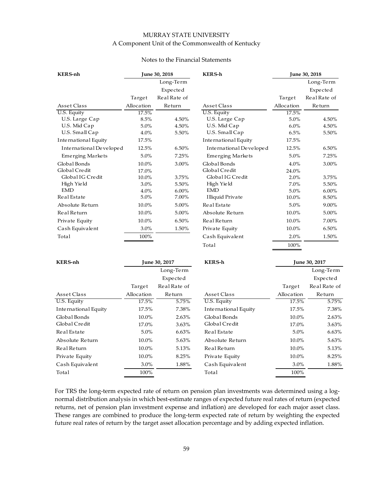#### Notes to the Financial Statements

| <b>KERS-nh</b>          |            | June 30, 2018 | <b>KERS-h</b>           |            | June 30, 2018 |
|-------------------------|------------|---------------|-------------------------|------------|---------------|
|                         |            | Long-Term     |                         |            | Long-Term     |
|                         |            | Expected      |                         |            | Expected      |
|                         | Target     | Real Rate of  |                         | Target     | Real Rate of  |
| Asset Class             | Allocation | <b>Return</b> | Asset Class             | Allocation | Return        |
| U.S. Equity             | 17.5%      |               | U.S. Equity             | 17.5%      |               |
| U.S. Large Cap          | 8.5%       | 4.50%         | U.S. Large Cap          | 5.0%       | 4.50%         |
| U.S. Mid Cap            | 5.0%       | 4.50%         | U.S. Mid Cap            | 6.0%       | 4.50%         |
| U.S. Small Cap          | 4.0%       | 5.50%         | U.S. Small Cap          | 6.5%       | 5.50%         |
| International Equity    | 17.5%      |               | International Equity    | 17.5%      |               |
| International Developed | 12.5%      | 6.50%         | International Developed | 12.5%      | 6.50%         |
| Emerging Markets        | 5.0%       | 7.25%         | Emerging Markets        | 5.0%       | 7.25%         |
| Global Bonds            | 10.0%      | 3.00%         | Global Bonds            | 4.0%       | 3.00%         |
| Global Credit           | 17.0%      |               | Global Credit           | 24.0%      |               |
| Global IG Credit        | 10.0%      | 3.75%         | Global IG Credit        | 2.0%       | 3.75%         |
| High Yield              | 3.0%       | 5.50%         | High Yield              | 7.0%       | 5.50%         |
| <b>EMD</b>              | 4.0%       | 6.00%         | <b>EMD</b>              | 5.0%       | $6.00\%$      |
| Real Estate             | 5.0%       | 7.00%         | <b>Illiquid Private</b> | 10.0%      | 8.50%         |
| Absolute Return         | 10.0%      | 5.00%         | Real Estate             | 5.0%       | 9.00%         |
| Real Return             | 10.0%      | 5.00%         | Absolute Return         | 10.0%      | 5.00%         |
| Private Equity          | $10.0\%$   | 6.50%         | Real Return             | 10.0%      | 7.00%         |
| Cash Equivalent         | 3.0%       | 1.50%         | Private Equity          | 10.0%      | 6.50%         |
| Total                   | 100%       |               | Cash Equivalent         | 2.0%       | 1.50%         |
|                         |            |               | Total                   | 100%       |               |
| KERS-nh                 |            | June 30, 2017 | <b>KERS-h</b>           |            | June 30, 2017 |
|                         |            | Long-Term     |                         |            | Long-Term     |
|                         |            | Expected      |                         |            | Expected      |
|                         | Target     | Real Rate of  |                         | Target     | Real Rate of  |
| Asset Class             | Allocation | Re turn       | Asset Class             | Allocation | <b>Return</b> |
| U.S. Equity             | 17.5%      | 5.75%         | U.S. Equity             | 17.5%      | 5.75%         |
| International Equity    | 17.5%      | 7.38%         | International Equity    | 17.5%      | 7.38%         |
| Global Bonds            | 10.0%      | 2.63%         | Global Bonds            | 10.0%      | 2.63%         |
| Global Credit           | 17.0%      | 3.63%         | Global Credit           | 17.0%      | 3.63%         |
| Real Estate             | 5.0%       | 6.63%         | Real Estate             | 5.0%       | 6.63%         |
| Absolute Return         | 10.0%      | 5.63%         | Absolute Return         | 10.0%      | 5.63%         |
| Real Return             | 10.0%      | 5.13%         | Real Return             | $10.0\%$   | 5.13%         |
| Private Equity          | 10.0%      | 8.25%         | Private Equity          | 10.0%      | 8.25%         |
| Cash Equivalent         | 3.0%       | 1.88%         | Cash Equivalent         | 3.0%       | 1.88%         |
| Total                   | 100%       |               | Total                   | 100%       |               |

For TRS the long-term expected rate of return on pension plan investments was determined using a lognormal distribution analysis in which best‐estimate ranges of expected future real rates of return (expected returns, net of pension plan investment expense and inflation) are developed for each major asset class. These ranges are combined to produce the long-term expected rate of return by weighting the expected future real rates of return by the target asset allocation percentage and by adding expected inflation.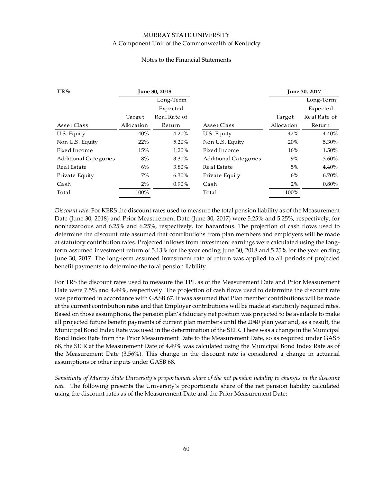### Notes to the Financial Statements

| TRS:                  | June 30, 2018 |              |                       |            | June 30, 2017 |
|-----------------------|---------------|--------------|-----------------------|------------|---------------|
|                       |               | Long-Term    |                       |            | Long-Term     |
|                       |               | Expected     |                       |            | Expected      |
|                       | Target        | Real Rate of |                       | Target     | Real Rate of  |
| Asset Class           | Allocation    | Return       | Asset Class           | Allocation | Return        |
| U.S. Equity           | 40%           | 4.20%        | U.S. Equity           | 42%        | 4.40%         |
| Non U.S. Equity       | 22%           | 5.20%        | Non U.S. Equity       | 20%        | 5.30%         |
| Fixed Income          | 15%           | 1.20%        | Fixed Income          | 16%        | 1.50%         |
| Additional Categories | 8%            | 3.30%        | Additional Categories | 9%         | $3.60\%$      |
| Real Estate           | 6%            | 3.80%        | Real Estate           | $5\%$      | 4.40%         |
| Private Equity        | $7\%$         | 6.30%        | Private Equity        | 6%         | 6.70%         |
| Cash                  | 2%            | $0.90\%$     | Cash                  | 2%         | $0.80\%$      |
| Total                 | 100%          |              | Total                 | 100%       |               |

*Discount rate.* For KERS the discount rates used to measure the total pension liability as of the Measurement Date (June 30, 2018) and Prior Measurement Date (June 30, 2017) were 5.25% and 5.25%, respectively, for nonhazardous and 6.25% and 6.25%, respectively, for hazardous. The projection of cash flows used to determine the discount rate assumed that contributions from plan members and employers will be made at statutory contribution rates. Projected inflows from investment earnings were calculated using the long‐ term assumed investment return of 5.13% for the year ending June 30, 2018 and 5.25% for the year ending June 30, 2017. The long‐term assumed investment rate of return was applied to all periods of projected benefit payments to determine the total pension liability.

For TRS the discount rates used to measure the TPL as of the Measurement Date and Prior Measurement Date were 7.5% and 4.49%, respectively. The projection of cash flows used to determine the discount rate was performed in accordance with GASB 67. It was assumed that Plan member contributions will be made at the current contribution rates and that Employer contributions will be made at statutorily required rates. Based on those assumptions, the pension plan's fiduciary net position was projected to be available to make all projected future benefit payments of current plan members until the 2040 plan year and, as a result, the Municipal Bond Index Rate was used in the determination of the SEIR. There was a change in the Municipal Bond Index Rate from the Prior Measurement Date to the Measurement Date, so as required under GASB 68, the SEIR at the Measurement Date of 4.49% was calculated using the Municipal Bond Index Rate as of the Measurement Date (3.56%). This change in the discount rate is considered a change in actuarial assumptions or other inputs under GASB 68.

Sensitivity of Murray State University's proportionate share of the net pension liability to changes in the discount *rate.* The following presents the University's proportionate share of the net pension liability calculated using the discount rates as of the Measurement Date and the Prior Measurement Date: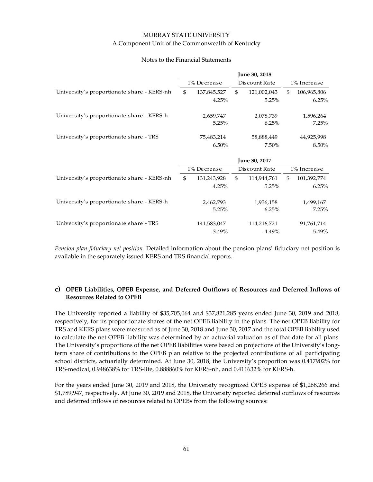#### Notes to the Financial Statements

|                                            | June 30, 2018  |             |               |               |                |             |
|--------------------------------------------|----------------|-------------|---------------|---------------|----------------|-------------|
|                                            |                | 1% Decrease | Discount Rate |               |                | 1% Increase |
| University's proportionate share - KERS-nh | \$             | 137,845,527 | \$            | 121,002,043   | \$             | 106,965,806 |
|                                            |                | 4.25%       |               | 5.25%         |                | 6.25%       |
| University's proportionate share - KERS-h  |                | 2,659,747   |               | 2,078,739     |                | 1,596,264   |
|                                            |                | 5.25%       |               | 6.25%         |                | 7.25%       |
| University's proportionate share - TRS     |                | 75,483,214  |               | 58,888,449    |                | 44,925,998  |
|                                            |                | 6.50%       |               | 7.50%         |                | 8.50%       |
|                                            |                |             |               | June 30, 2017 |                |             |
|                                            |                | 1% Decrease |               | Discount Rate |                | 1% Increase |
| University's proportionate share - KERS-nh | $\mathfrak{S}$ |             |               |               |                |             |
|                                            |                | 131,243,928 | \$            | 114,944,761   | $\mathfrak{F}$ | 101,392,774 |
|                                            |                | 4.25%       |               | 5.25%         |                | 6.25%       |
| University's proportionate share - KERS-h  |                | 2,462,793   |               | 1,936,158     |                | 1,499,167   |
|                                            |                | 5.25%       |               | 6.25%         |                | 7.25%       |
| University's proportionate share - TRS     |                | 141,583,047 |               | 114,216,721   |                | 91,761,714  |

*Pension plan fiduciary net position.* Detailed information about the pension plans' fiduciary net position is available in the separately issued KERS and TRS financial reports.

# **c) OPEB Liabilities, OPEB Expense, and Deferred Outflows of Resources and Deferred Inflows of Resources Related to OPEB**

The University reported a liability of \$35,705,064 and \$37,821,285 years ended June 30, 2019 and 2018, respectively, for its proportionate shares of the net OPEB liability in the plans. The net OPEB liability for TRS and KERS plans were measured as of June 30, 2018 and June 30, 2017 and the total OPEB liability used to calculate the net OPEB liability was determined by an actuarial valuation as of that date for all plans. The University's proportions of the net OPEB liabilities were based on projections of the University's long‐ term share of contributions to the OPEB plan relative to the projected contributions of all participating school districts, actuarially determined. At June 30, 2018, the University's proportion was 0.417902% for TRS‐medical, 0.948638% for TRS‐life, 0.888860% for KERS‐nh, and 0.411632% for KERS‐h.

For the years ended June 30, 2019 and 2018, the University recognized OPEB expense of \$1,268,266 and \$1,789,947, respectively. At June 30, 2019 and 2018, the University reported deferred outflows of resources and deferred inflows of resources related to OPEBs from the following sources: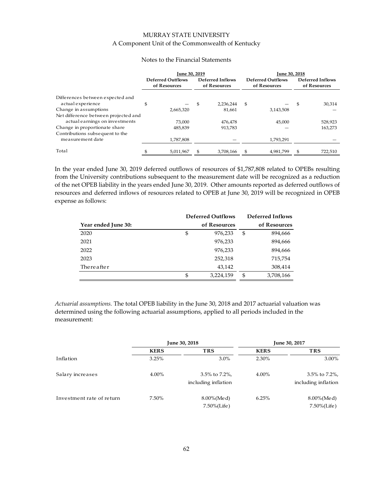#### Notes to the Financial Statements

|                                      |                                          |           |                                                                 |           |                                          | Deferred Inflows<br>of Resources |
|--------------------------------------|------------------------------------------|-----------|-----------------------------------------------------------------|-----------|------------------------------------------|----------------------------------|
|                                      |                                          |           |                                                                 |           |                                          |                                  |
| \$                                   | \$                                       | 2,236,244 | \$                                                              |           | - \$                                     | 30,314                           |
| 2,665,320                            |                                          | 81,661    |                                                                 | 3,143,508 |                                          |                                  |
|                                      |                                          |           |                                                                 |           |                                          |                                  |
| 73.000                               |                                          | 476,478   |                                                                 | 45.000    |                                          | 528,923                          |
| 485.839                              |                                          | 913,783   |                                                                 |           |                                          | 163,273                          |
|                                      |                                          |           |                                                                 |           |                                          |                                  |
| 1,787,808                            |                                          |           |                                                                 | 1,793,291 |                                          |                                  |
| 5,011,967                            |                                          | 3,708,166 | \$                                                              | 4,981,799 | \$                                       | 722,510                          |
| Net difference between projected and | <b>Deferred Outflows</b><br>of Resources |           | <b>June 30, 2019</b><br><b>Deferred Inflows</b><br>of Resources |           | <b>Deferred Outflows</b><br>of Resources | <b>June 30, 2018</b>             |

In the year ended June 30, 2019 deferred outflows of resources of \$1,787,808 related to OPEBs resulting from the University contributions subsequent to the measurement date will be recognized as a reduction of the net OPEB liability in the years ended June 30, 2019. Other amounts reported as deferred outflows of resources and deferred inflows of resources related to OPEB at June 30, 2019 will be recognized in OPEB expense as follows:

|                     | <b>Deferred Outflows</b> |    | <b>Deferred Inflows</b> |
|---------------------|--------------------------|----|-------------------------|
| Year ended June 30: | of Resources             |    | of Resources            |
| 2020                | \$<br>976,233            | \$ | 894,666                 |
| 2021                | 976,233                  |    | 894,666                 |
| 2022                | 976,233                  |    | 894,666                 |
| 2023                | 252,318                  |    | 715,754                 |
| Thereafter          | 43,142                   |    | 308,414                 |
|                     | \$<br>3,224,159          | \$ | 3,708,166               |
|                     |                          |    |                         |

*Actuarial assumptions.* The total OPEB liability in the June 30, 2018 and 2017 actuarial valuation was determined using the following actuarial assumptions, applied to all periods included in the measurement:

|                           | <b>June 30, 2018</b> |                     |             | June 30, 2017       |
|---------------------------|----------------------|---------------------|-------------|---------------------|
|                           | <b>KERS</b>          | <b>TRS</b>          | <b>KERS</b> | TRS                 |
| Inflation                 | 3.25%                | $3.0\%$             | 2.30%       | 3.00%               |
| Salary increases          | 4.00%                | $3.5\%$ to 7.2%,    | 4.00%       | $3.5\%$ to 7.2%,    |
|                           |                      | including inflation |             | including inflation |
| Investment rate of return | 7.50%                | $8.00\%$ (Med)      | 6.25%       | $8.00\%$ (Med)      |
|                           |                      | $7.50\%$ (Life)     |             | $7.50\%$ (Life)     |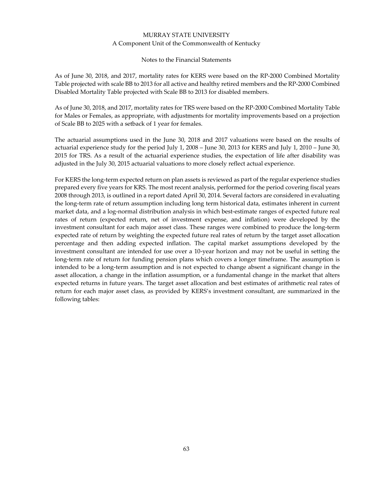#### Notes to the Financial Statements

As of June 30, 2018, and 2017, mortality rates for KERS were based on the RP‐2000 Combined Mortality Table projected with scale BB to 2013 for all active and healthy retired members and the RP‐2000 Combined Disabled Mortality Table projected with Scale BB to 2013 for disabled members.

As of June 30, 2018, and 2017, mortality rates for TRS were based on the RP‐2000 Combined Mortality Table for Males or Females, as appropriate, with adjustments for mortality improvements based on a projection of Scale BB to 2025 with a setback of 1 year for females.

The actuarial assumptions used in the June 30, 2018 and 2017 valuations were based on the results of actuarial experience study for the period July 1, 2008 – June 30, 2013 for KERS and July 1, 2010 – June 30, 2015 for TRS. As a result of the actuarial experience studies, the expectation of life after disability was adjusted in the July 30, 2015 actuarial valuations to more closely reflect actual experience.

For KERS the long‐term expected return on plan assets is reviewed as part of the regular experience studies prepared every five years for KRS. The most recent analysis, performed for the period covering fiscal years 2008 through 2013, is outlined in a report dated April 30, 2014. Several factors are considered in evaluating the long‐term rate of return assumption including long term historical data, estimates inherent in current market data, and a log-normal distribution analysis in which best-estimate ranges of expected future real rates of return (expected return, net of investment expense, and inflation) were developed by the investment consultant for each major asset class. These ranges were combined to produce the long-term expected rate of return by weighting the expected future real rates of return by the target asset allocation percentage and then adding expected inflation. The capital market assumptions developed by the investment consultant are intended for use over a 10‐year horizon and may not be useful in setting the long-term rate of return for funding pension plans which covers a longer timeframe. The assumption is intended to be a long‐term assumption and is not expected to change absent a significant change in the asset allocation, a change in the inflation assumption, or a fundamental change in the market that alters expected returns in future years. The target asset allocation and best estimates of arithmetic real rates of return for each major asset class, as provided by KERS's investment consultant, are summarized in the following tables: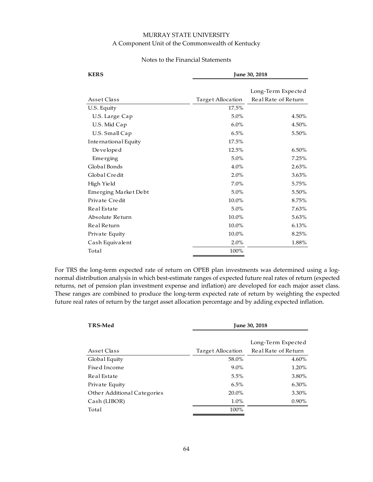#### Notes to the Financial Statements

| <b>KERS</b>                 | June 30, 2018     |                                           |  |  |  |
|-----------------------------|-------------------|-------------------------------------------|--|--|--|
| Asset Class                 | Target Allocation | Long-Term Expected<br>Real Rate of Return |  |  |  |
| U.S. Equity                 | 17.5%             |                                           |  |  |  |
| U.S. Large Cap              | 5.0%              | 4.50%                                     |  |  |  |
| U.S. Mid Cap                | $6.0\%$           | 4.50%                                     |  |  |  |
| U.S. Small Cap              | 6.5%              | 5.50%                                     |  |  |  |
| International Equity        | 17.5%             |                                           |  |  |  |
| Developed                   | 12.5%             | 6.50%                                     |  |  |  |
| Emerging                    | 5.0%              | 7.25%                                     |  |  |  |
| Global Bonds                | 4.0%              | 2.63%                                     |  |  |  |
| Global Credit               | 2.0%              | 3.63%                                     |  |  |  |
| High Yield                  | 7.0%              | 5.75%                                     |  |  |  |
| <b>Emerging Market Debt</b> | 5.0%              | 5.50%                                     |  |  |  |
| Private Credit              | 10.0%             | 8.75%                                     |  |  |  |
| Real Estate                 | 5.0%              | 7.63%                                     |  |  |  |
| Absolute Return             | 10.0%             | 5.63%                                     |  |  |  |
| Real Return                 | 10.0%             | 6.13%                                     |  |  |  |
| Private Equity              | 10.0%             | 8.25%                                     |  |  |  |
| Cash Equivalent             | 2.0%              | 1.88%                                     |  |  |  |
| Total                       | 100%              |                                           |  |  |  |

For TRS the long-term expected rate of return on OPEB plan investments was determined using a lognormal distribution analysis in which best‐estimate ranges of expected future real rates of return (expected returns, net of pension plan investment expense and inflation) are developed for each major asset class. These ranges are combined to produce the long-term expected rate of return by weighting the expected future real rates of return by the target asset allocation percentage and by adding expected inflation.

| <b>TRS-Med</b>              | June 30, 2018     |                     |  |  |  |
|-----------------------------|-------------------|---------------------|--|--|--|
|                             |                   |                     |  |  |  |
|                             |                   | Long-Term Expected  |  |  |  |
| Asset Class                 | Target Allocation | Real Rate of Return |  |  |  |
| Global Equity               | 58.0%             | 4.60%               |  |  |  |
| Fixed Income                | $9.0\%$           | 1.20%               |  |  |  |
| Real Estate                 | 5.5%              | 3.80%               |  |  |  |
| Private Equity              | 6.5%              | $6.30\%$            |  |  |  |
| Other Additional Categories | 20.0%             | 3.30%               |  |  |  |
| Cash (LIBOR)                | 1.0%              | $0.90\%$            |  |  |  |
| Total                       | 100%              |                     |  |  |  |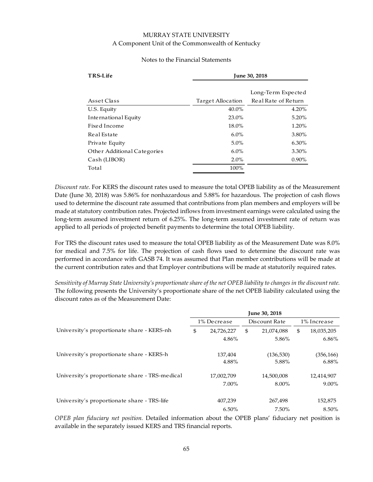#### Notes to the Financial Statements

| June 30, 2018     |                                           |  |  |  |  |
|-------------------|-------------------------------------------|--|--|--|--|
| Target Allocation | Long-Term Expected<br>Real Rate of Return |  |  |  |  |
| 40.0%             | 4.20%                                     |  |  |  |  |
| 23.0%             | 5.20%                                     |  |  |  |  |
| 18.0%             | 1.20%                                     |  |  |  |  |
| $6.0\%$           | 3.80%                                     |  |  |  |  |
| $5.0\%$           | 6.30%                                     |  |  |  |  |
| $6.0\%$           | 3.30%                                     |  |  |  |  |
| 2.0%              | $0.90\%$                                  |  |  |  |  |
| 100%              |                                           |  |  |  |  |
|                   |                                           |  |  |  |  |

*Discount rate.* For KERS the discount rates used to measure the total OPEB liability as of the Measurement Date (June 30, 2018) was 5.86% for nonhazardous and 5.88% for hazardous. The projection of cash flows used to determine the discount rate assumed that contributions from plan members and employers will be made at statutory contribution rates. Projected inflows from investment earnings were calculated using the long-term assumed investment return of 6.25%. The long-term assumed investment rate of return was applied to all periods of projected benefit payments to determine the total OPEB liability.

For TRS the discount rates used to measure the total OPEB liability as of the Measurement Date was 8.0% for medical and 7.5% for life. The projection of cash flows used to determine the discount rate was performed in accordance with GASB 74. It was assumed that Plan member contributions will be made at the current contribution rates and that Employer contributions will be made at statutorily required rates.

Sensitivity of Murray State University's proportionate share of the net OPEB liability to changes in the discount rate. The following presents the University's proportionate share of the net OPEB liability calculated using the discount rates as of the Measurement Date:

|                                                | <b>June 30, 2018</b> |             |    |               |    |             |
|------------------------------------------------|----------------------|-------------|----|---------------|----|-------------|
|                                                |                      | 1% Decrease |    | Discount Rate |    | 1% Increase |
| University's proportionate share - KERS-nh     | \$                   | 24,726,227  | \$ | 21,074,088    | \$ | 18,035,205  |
|                                                |                      | 4.86%       |    | 5.86%         |    | 6.86%       |
| University's proportionate share - KERS-h      |                      | 137,404     |    | (136, 530)    |    | (356, 166)  |
|                                                |                      | 4.88%       |    | 5.88%         |    | 6.88%       |
| University's proportionate share - TRS-medical |                      | 17,002,709  |    | 14,500,008    |    | 12,414,907  |
|                                                |                      | 7.00%       |    | 8.00%         |    | 9.00%       |
| University's proportionate share - TRS-life    |                      | 407,239     |    | 267,498       |    | 152,875     |
|                                                |                      | 6.50%       |    | 7.50%         |    | 8.50%       |

*OPEB plan fiduciary net position.* Detailed information about the OPEB plans' fiduciary net position is available in the separately issued KERS and TRS financial reports.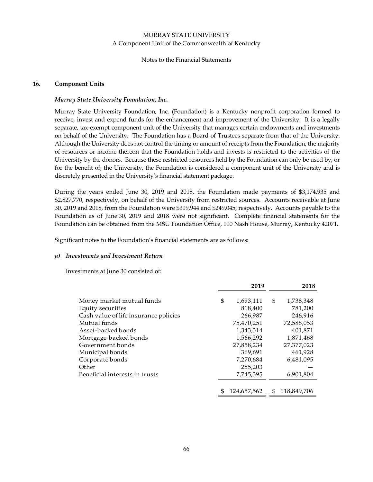#### Notes to the Financial Statements

#### **16. Component Units**

#### *Murray State University Foundation, Inc.*

Murray State University Foundation, Inc. (Foundation) is a Kentucky nonprofit corporation formed to receive, invest and expend funds for the enhancement and improvement of the University. It is a legally separate, tax-exempt component unit of the University that manages certain endowments and investments on behalf of the University. The Foundation has a Board of Trustees separate from that of the University. Although the University does not control the timing or amount of receipts from the Foundation, the majority of resources or income thereon that the Foundation holds and invests is restricted to the activities of the University by the donors. Because these restricted resources held by the Foundation can only be used by, or for the benefit of, the University, the Foundation is considered a component unit of the University and is discretely presented in the University's financial statement package.

During the years ended June 30, 2019 and 2018, the Foundation made payments of \$3,174,935 and \$2,827,770, respectively, on behalf of the University from restricted sources. Accounts receivable at June 30, 2019 and 2018, from the Foundation were \$319,944 and \$249,045, respectively. Accounts payable to the Foundation as of June 30, 2019 and 2018 were not significant. Complete financial statements for the Foundation can be obtained from the MSU Foundation Office, 100 Nash House, Murray, Kentucky 42071.

Significant notes to the Foundation's financial statements are as follows:

#### *a) Investments and Investment Return*

Investments at June 30 consisted of:

|                                       | 2019              | 2018              |
|---------------------------------------|-------------------|-------------------|
| Money market mutual funds             | \$<br>1,693,111   | \$<br>1,738,348   |
| Equity securities                     | 818,400           | 781,200           |
| Cash value of life insurance policies | 266,987           | 246,916           |
| Mutual funds                          | 75,470,251        | 72,588,053        |
| Asset-backed bonds                    | 1,343,314         | 401,871           |
| Mortgage-backed bonds                 | 1,566,292         | 1,871,468         |
| Government bonds                      | 27,858,234        | 27,377,023        |
| Municipal bonds                       | 369,691           | 461,928           |
| Corporate bonds                       | 7,270,684         | 6,481,095         |
| Other                                 | 255,203           |                   |
| Beneficial interests in trusts        | 7,745,395         | 6,901,804         |
|                                       |                   |                   |
|                                       | \$<br>124,657,562 | \$<br>118,849,706 |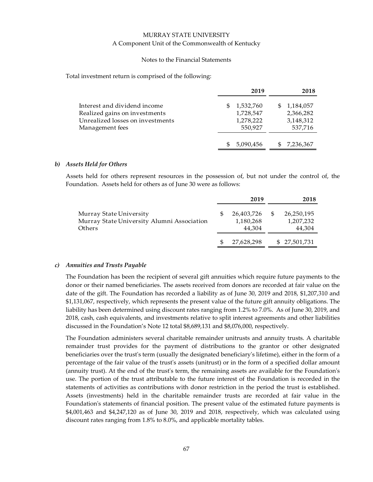#### Notes to the Financial Statements

Total investment return is comprised of the following:

|                                                                                                                      | 2019                                           | 2018                                                  |
|----------------------------------------------------------------------------------------------------------------------|------------------------------------------------|-------------------------------------------------------|
| Interest and dividend income<br>Realized gains on investments<br>Unrealized losses on investments<br>Management fees | 1,532,760<br>1,728,547<br>1,278,222<br>550,927 | 1,184,057<br>SS.<br>2,366,282<br>3,148,312<br>537,716 |
|                                                                                                                      | 5,090,456                                      | 7,236,367<br>SS.                                      |

## *b) Assets Held for Others*

Assets held for others represent resources in the possession of, but not under the control of, the Foundation. Assets held for others as of June 30 were as follows:

|                                                                                 | 2019                              | 2018                              |
|---------------------------------------------------------------------------------|-----------------------------------|-----------------------------------|
| Murray State University<br>Murray State University Alumni Association<br>Others | 26,403,726<br>1,180,268<br>44.304 | 26,250,195<br>1,207,232<br>44,304 |
|                                                                                 | 27,628,298                        | \$ 27,501,731                     |

#### *c) Annuities and Trusts Payable*

The Foundation has been the recipient of several gift annuities which require future payments to the donor or their named beneficiaries. The assets received from donors are recorded at fair value on the date of the gift. The Foundation has recorded a liability as of June 30, 2019 and 2018, \$1,207,310 and \$1,131,067, respectively, which represents the present value of the future gift annuity obligations. The liability has been determined using discount rates ranging from 1.2% to 7.0%. As of June 30, 2019, and 2018, cash, cash equivalents, and investments relative to split interest agreements and other liabilities discussed in the Foundation's Note 12 total \$8,689,131 and \$8,076,000, respectively.

The Foundation administers several charitable remainder unitrusts and annuity trusts. A charitable remainder trust provides for the payment of distributions to the grantor or other designated beneficiaries over the trustʹs term (usually the designated beneficiaryʹs lifetime), either in the form of a percentage of the fair value of the trustʹs assets (unitrust) or in the form of a specified dollar amount (annuity trust). At the end of the trust's term, the remaining assets are available for the Foundation's use. The portion of the trust attributable to the future interest of the Foundation is recorded in the statements of activities as contributions with donor restriction in the period the trust is established. Assets (investments) held in the charitable remainder trusts are recorded at fair value in the Foundation's statements of financial position. The present value of the estimated future payments is \$4,001,463 and \$4,247,120 as of June 30, 2019 and 2018, respectively, which was calculated using discount rates ranging from 1.8% to 8.0%, and applicable mortality tables.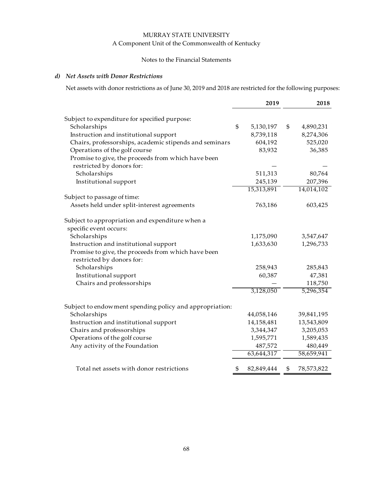# Notes to the Financial Statements

## *d) Net Assets with Donor Restrictions*

Net assets with donor restrictions as of June 30, 2019 and 2018 are restricted for the following purposes:

|                                                                           | 2019             | 2018             |
|---------------------------------------------------------------------------|------------------|------------------|
|                                                                           |                  |                  |
| Subject to expenditure for specified purpose:<br>Scholarships             | \$<br>5,130,197  | \$<br>4,890,231  |
| Instruction and institutional support                                     | 8,739,118        | 8,274,306        |
| Chairs, professorships, academic stipends and seminars                    | 604,192          | 525,020          |
| Operations of the golf course                                             | 83,932           | 36,385           |
| Promise to give, the proceeds from which have been                        |                  |                  |
| restricted by donors for:                                                 |                  |                  |
| Scholarships                                                              | 511,313          | 80,764           |
| Institutional support                                                     | 245,139          | 207,396          |
|                                                                           | 15,313,891       | 14,014,102       |
| Subject to passage of time:                                               |                  |                  |
| Assets held under split-interest agreements                               | 763,186          | 603,425          |
|                                                                           |                  |                  |
| Subject to appropriation and expenditure when a<br>specific event occurs: |                  |                  |
| Scholarships                                                              | 1,175,090        | 3,547,647        |
| Instruction and institutional support                                     | 1,633,630        | 1,296,733        |
| Promise to give, the proceeds from which have been                        |                  |                  |
| restricted by donors for:                                                 |                  |                  |
| Scholarships                                                              | 258,943          | 285,843          |
| Institutional support                                                     | 60,387           | 47,381           |
| Chairs and professorships                                                 |                  | 118,750          |
|                                                                           | 3,128,050        | 5,296,354        |
|                                                                           |                  |                  |
| Subject to endow ment spending policy and appropriation:                  |                  |                  |
| Scholarships                                                              | 44,058,146       | 39,841,195       |
| Instruction and institutional support                                     | 14,158,481       | 13,543,809       |
| Chairs and professorships                                                 | 3,344,347        | 3,205,053        |
| Operations of the golf course                                             | 1,595,771        | 1,589,435        |
| Any activity of the Foundation                                            | 487,572          | 480,449          |
|                                                                           | 63,644,317       | 58,659,941       |
| Total net assets with donor restrictions                                  | \$<br>82,849,444 | \$<br>78,573,822 |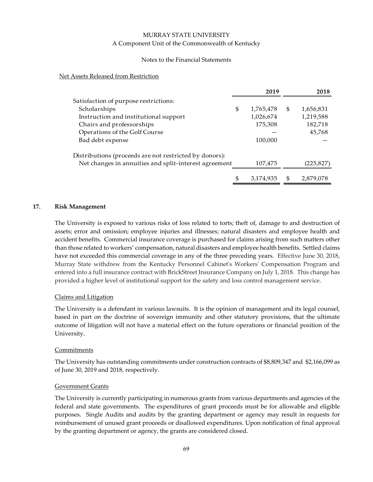#### Notes to the Financial Statements

#### Net Assets Released from Restriction

|                                                        | 2019            |     | 2018      |
|--------------------------------------------------------|-----------------|-----|-----------|
| Satisfaction of purpose restrictions:                  |                 |     |           |
| Scholarships                                           | \$<br>1,765,478 | \$  | 1,656,831 |
| Instruction and institutional support                  | 1,026,674       |     | 1,219,588 |
| Chairs and professorships                              | 175,308         |     | 182,718   |
| Operations of the Golf Course                          |                 |     | 45,768    |
| Bad debt expense                                       | 100,000         |     |           |
| Distributions (proceeds are not restricted by donors): |                 |     |           |
| Net changes in annuities and split-interest agreement  | 107,475         |     | (225,827) |
|                                                        | \$<br>3.174.935 | \$. | 2.879.078 |

#### **17. Risk Management**

The University is exposed to various risks of loss related to torts; theft of, damage to and destruction of assets; error and omission; employee injuries and illnesses; natural disasters and employee health and accident benefits. Commercial insurance coverage is purchased for claims arising from such matters other than those related to workers' compensation, natural disasters and employee health benefits. Settled claims have not exceeded this commercial coverage in any of the three preceding years. Effective June 30, 2018, Murray State withdrew from the Kentucky Personnel Cabinetʹs Workersʹ Compensation Program and entered into a full insurance contract with BrickStreet Insurance Company on July 1, 2018. This change has provided a higher level of institutional support for the safety and loss control management service.

#### Claims and Litigation

The University is a defendant in various lawsuits. It is the opinion of management and its legal counsel, based in part on the doctrine of sovereign immunity and other statutory provisions, that the ultimate outcome of litigation will not have a material effect on the future operations or financial position of the University.

#### Commitments

The University has outstanding commitments under construction contracts of \$8,809,347 and \$2,166,099 as of June 30, 2019 and 2018, respectively.

#### Government Grants

The University is currently participating in numerous grants from various departments and agencies of the federal and state governments. The expenditures of grant proceeds must be for allowable and eligible purposes. Single Audits and audits by the granting department or agency may result in requests for reimbursement of unused grant proceeds or disallowed expenditures. Upon notification of final approval by the granting department or agency, the grants are considered closed.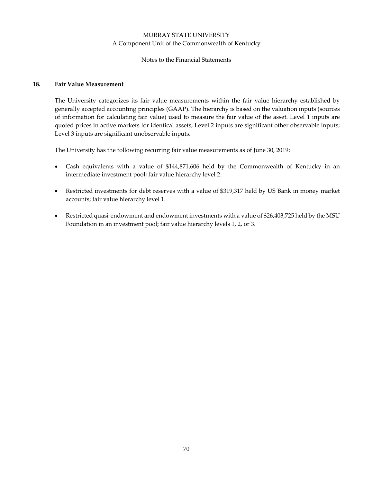### Notes to the Financial Statements

# **18. Fair Value Measurement**

The University categorizes its fair value measurements within the fair value hierarchy established by generally accepted accounting principles (GAAP). The hierarchy is based on the valuation inputs (sources of information for calculating fair value) used to measure the fair value of the asset. Level 1 inputs are quoted prices in active markets for identical assets; Level 2 inputs are significant other observable inputs; Level 3 inputs are significant unobservable inputs.

The University has the following recurring fair value measurements as of June 30, 2019:

- Cash equivalents with a value of \$144,871,606 held by the Commonwealth of Kentucky in an intermediate investment pool; fair value hierarchy level 2.
- Restricted investments for debt reserves with a value of \$319,317 held by US Bank in money market accounts; fair value hierarchy level 1.
- Restricted quasi-endowment and endowment investments with a value of \$26,403,725 held by the MSU Foundation in an investment pool; fair value hierarchy levels 1, 2, or 3.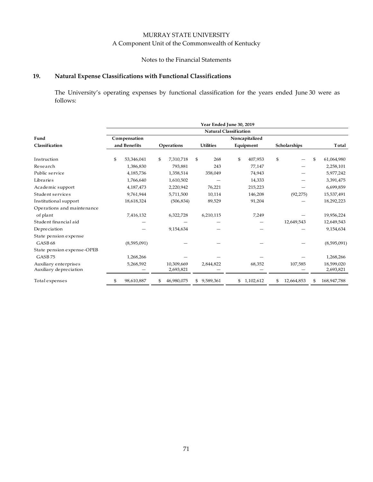## Notes to the Financial Statements

## **19. Natural Expense Classifications with Functional Classifications**

The University's operating expenses by functional classification for the years ended June 30 were as follows:

|                                                 |                               |              |            |                         |    | Year Ended June 30, 2019 |    |                |                |              |       |                         |  |  |
|-------------------------------------------------|-------------------------------|--------------|------------|-------------------------|----|--------------------------|----|----------------|----------------|--------------|-------|-------------------------|--|--|
|                                                 | <b>Natural Classification</b> |              |            |                         |    |                          |    |                |                |              |       |                         |  |  |
| Fund                                            |                               | Compensation |            |                         |    |                          |    | Noncapitalized |                |              |       |                         |  |  |
| Classification                                  |                               | and Benefits | Operations |                         |    | <b>Utilities</b>         |    | Equipment      |                | Scholarships | Total |                         |  |  |
| Instruction                                     | \$                            | 53,346,041   | \$         | 7,310,718               | \$ | 268                      | \$ | 407,953        | $\mathfrak{s}$ |              | \$    | 61,064,980              |  |  |
| Research                                        |                               | 1,386,830    |            | 793,881                 |    | 243                      |    | 77,147         |                |              |       | 2,258,101               |  |  |
| Public service                                  |                               | 4,185,736    |            | 1,358,514               |    | 358,049                  |    | 74,943         |                |              |       | 5,977,242               |  |  |
| Libraries                                       |                               | 1,766,640    |            | 1,610,502               |    |                          |    | 14,333         |                |              |       | 3,391,475               |  |  |
| Academic support                                |                               | 4,187,473    |            | 2,220,942               |    | 76,221                   |    | 215,223        |                |              |       | 6,699,859               |  |  |
| Student services                                |                               | 9,761,944    |            | 5,711,500               |    | 10,114                   |    | 146,208        |                | (92, 275)    |       | 15,537,491              |  |  |
| Institutional support                           |                               | 18,618,324   |            | (506, 834)              |    | 89,529                   |    | 91,204         |                |              |       | 18,292,223              |  |  |
| Operations and maintenance                      |                               |              |            |                         |    |                          |    |                |                |              |       |                         |  |  |
| of plant                                        |                               | 7,416,132    |            | 6,322,728               |    | 6,210,115                |    | 7,249          |                |              |       | 19,956,224              |  |  |
| Student financial aid                           |                               |              |            |                         |    |                          |    |                |                | 12,649,543   |       | 12,649,543              |  |  |
| Depreciation                                    |                               |              |            | 9,154,634               |    |                          |    |                |                |              |       | 9,154,634               |  |  |
| State pension expense                           |                               |              |            |                         |    |                          |    |                |                |              |       |                         |  |  |
| GASB <sub>68</sub>                              |                               | (8,595,091)  |            |                         |    |                          |    |                |                |              |       | (8,595,091)             |  |  |
| State pension expense-OPEB                      |                               |              |            |                         |    |                          |    |                |                |              |       |                         |  |  |
| GASB <sub>75</sub>                              |                               | 1,268,266    |            |                         |    |                          |    |                |                |              |       | 1,268,266               |  |  |
| Auxiliary enterprises<br>Auxiliary depreciation |                               | 5,268,592    |            | 10,309,669<br>2,693,821 |    | 2,844,822                |    | 68,352         |                | 107,585      |       | 18,599,020<br>2,693,821 |  |  |
| Total expenses                                  |                               | 98,610,887   | \$         | 46,980,075              |    | 9,589,361                | \$ | 1,102,612      | \$             | 12,664,853   |       | 168,947,788             |  |  |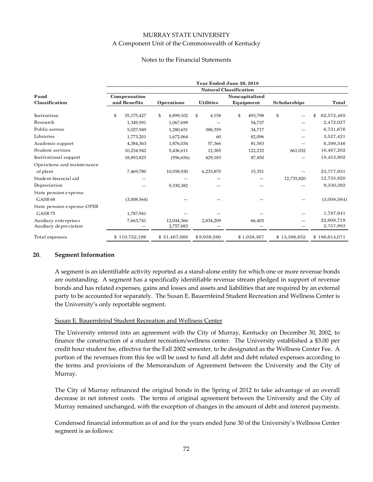#### Notes to the Financial Statements

|                                                 | Year Ended June 30, 2018      |               |                   |                         |    |                  |    |             |    |              |       |                         |  |  |
|-------------------------------------------------|-------------------------------|---------------|-------------------|-------------------------|----|------------------|----|-------------|----|--------------|-------|-------------------------|--|--|
|                                                 | <b>Natural Classification</b> |               |                   |                         |    |                  |    |             |    |              |       |                         |  |  |
| Fund                                            |                               | Compensation  |                   |                         |    |                  |    |             |    |              |       |                         |  |  |
| Classification                                  | and Benefits                  |               | <b>Operations</b> |                         |    | <b>Utilities</b> |    | Equipment   |    | Scholarships | Total |                         |  |  |
| Instruction                                     | \$                            | 55,175,427    | \$                | 6,899,102               | \$ | 4,158            | \$ | 493,798     | \$ |              | \$    | 62,572,485              |  |  |
| Research                                        |                               | 1,349,591     |                   | 1,067,699               |    |                  |    | 54,737      |    |              |       | 2,472,027               |  |  |
| Public service                                  |                               | 5,027,949     |                   | 1,280,651               |    | 388,359          |    | 34,717      |    |              |       | 6,731,676               |  |  |
| Libraries                                       |                               | 1,773,201     |                   | 1,672,064               |    | 60               |    | 82,096      |    |              |       | 3,527,421               |  |  |
| Academic support                                |                               | 4,384,363     |                   | 1,876,034               |    | 57,366           |    | 81,583      |    |              |       | 6,399,346               |  |  |
| Student services                                |                               | 10,234,942    |                   | 5,436,611               |    | 12,385           |    | 122,232     |    | 661,032      |       | 16,467,202              |  |  |
| Institutional support                           |                               | 18,893,825    |                   | (956, 656)              |    | 429,183          |    | 87,450      |    |              |       | 18,453,802              |  |  |
| Operations and maintenance                      |                               |               |                   |                         |    |                  |    |             |    |              |       |                         |  |  |
| of plant                                        |                               | 7,469,780     |                   | 10,058,930              |    | 6,233,870        |    | 15,351      |    |              |       | 23,777,931              |  |  |
| Student financial aid                           |                               |               |                   |                         |    |                  |    |             |    | 12,735,820   |       | 12,735,820              |  |  |
| Depreciation                                    |                               |               |                   | 9,330,382               |    |                  |    |             |    |              |       | 9,330,382               |  |  |
| State pension expense                           |                               |               |                   |                         |    |                  |    |             |    |              |       |                         |  |  |
| GASB <sub>68</sub>                              |                               | (3,008,564)   |                   |                         |    |                  |    |             |    |              |       | (3,008,564)             |  |  |
| State pension expense-OPEB                      |                               |               |                   |                         |    |                  |    |             |    |              |       |                         |  |  |
| GASB <sub>75</sub>                              |                               | 1,787,941     |                   |                         |    |                  |    |             |    |              |       | 1,787,941               |  |  |
| Auxiliary enterprises<br>Auxiliary depreciation |                               | 7,663,741     |                   | 12,044,366<br>2,757,883 |    | 2,834,209        |    | 66,403      |    |              |       | 22,608,719<br>2,757,883 |  |  |
| Total expenses                                  |                               | \$110,752,196 |                   | \$51,467,066            |    | \$9,959,590      |    | \$1,038,367 |    | \$13,396,852 |       | \$186,614,071           |  |  |

#### **20. Segment Information**

A segment is an identifiable activity reported as a stand‐alone entity for which one or more revenue bonds are outstanding. A segment has a specifically identifiable revenue stream pledged in support of revenue bonds and has related expenses, gains and losses and assets and liabilities that are required by an external party to be accounted for separately. The Susan E. Bauernfeind Student Recreation and Wellness Center is the University's only reportable segment.

#### Susan E. Bauernfeind Student Recreation and Wellness Center

The University entered into an agreement with the City of Murray, Kentucky on December 30, 2002, to finance the construction of a student recreation/wellness center. The University established a \$3.00 per credit hour student fee, effective for the Fall 2002 semester, to be designated as the Wellness Center Fee. A portion of the revenues from this fee will be used to fund all debt and debt related expenses according to the terms and provisions of the Memorandum of Agreement between the University and the City of Murray.

The City of Murray refinanced the original bonds in the Spring of 2012 to take advantage of an overall decrease in net interest costs. The terms of original agreement between the University and the City of Murray remained unchanged, with the exception of changes in the amount of debt and interest payments.

Condensed financial information as of and for the years ended June 30 of the University's Wellness Center segment is as follows: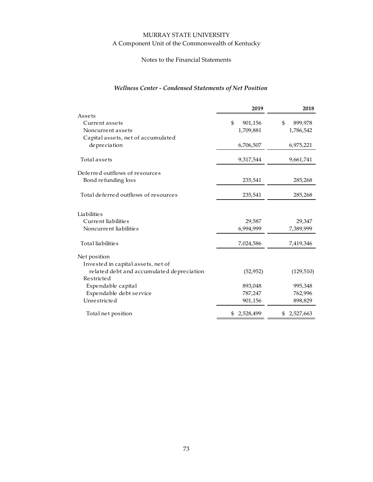## Notes to the Financial Statements

## *Wellness Center ‐ Condensed Statements of Net Position*

|                                                                                               | 2019            | 2018            |
|-----------------------------------------------------------------------------------------------|-----------------|-----------------|
| Assets                                                                                        |                 |                 |
| Current assets                                                                                | \$<br>901,156   | \$<br>899,978   |
| Noncurrent assets                                                                             | 1,709,881       | 1,786,542       |
| Capital assets, net of accumulated<br>depreciation                                            | 6,706,507       | 6,975,221       |
| Total assets                                                                                  | 9,317,544       | 9,661,741       |
| Deferred outflows of resources                                                                |                 |                 |
| Bond refunding loss                                                                           | 235,541         | 285,268         |
| Total deferred outflows of resources                                                          | 235,541         | 285,268         |
| Liabilities                                                                                   |                 |                 |
| Current liabilities                                                                           | 29,587          | 29,347          |
| Noncurrent liabilities                                                                        | 6,994,999       | 7,389,999       |
| Total liabilities                                                                             | 7,024,586       | 7,419,346       |
| Net position                                                                                  |                 |                 |
| Invested in capital assets, net of<br>related debt and accumulated depreciation<br>Restricted | (52, 952)       | (129, 510)      |
| Expendable capital                                                                            | 893,048         | 995,348         |
| Expendable debt service                                                                       | 787,247         | 762,996         |
| Unrestricted                                                                                  | 901,156         | 898,829         |
| Total net position                                                                            | 2,528,499<br>\$ | \$<br>2,527,663 |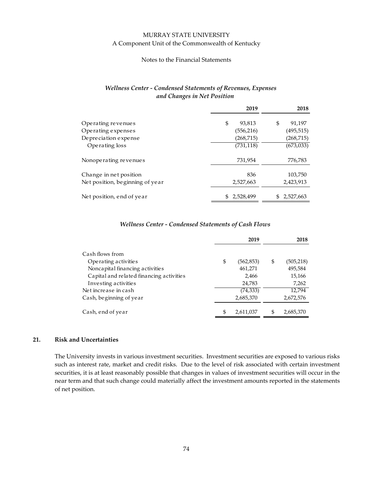#### Notes to the Financial Statements

## *Wellness Center ‐ Condensed Statements of Revenues, Expenses and Changes in Net Position*

|                                 | 2019            | 2018                |
|---------------------------------|-----------------|---------------------|
| Operating revenues              | \$<br>93,813    | \$<br>91,197        |
| Operating expenses              | (556, 216)      | (495, 515)          |
| Depreciation expense            | (268, 715)      | (268, 715)          |
| Operating loss                  | (731, 118)      | $\sqrt{(673, 033)}$ |
| Nonoperating revenues           | 731,954         | 776,783             |
| Change in net position          | 836             | 103,750             |
| Net position, beginning of year | 2,527,663       | 2,423,913           |
| Net position, end of year       | 2,528,499<br>\$ | 2,527,663           |

#### *Wellness Center ‐ Condensed Statements of Cash Flows*

|                                          | 2019             | 2018             |
|------------------------------------------|------------------|------------------|
| Cash flows from                          |                  |                  |
| Operating activities                     | \$<br>(562, 853) | \$<br>(505, 218) |
| Noncapital financing activities          | 461,271          | 495,584          |
| Capital and related financing activities | 2,466            | 15,166           |
| Investing activities                     | 24,783           | 7,262            |
| Net increase in cash                     | (74, 333)        | 12,794           |
| Cash, beginning of year                  | 2,685,370        | 2,672,576        |
| Cash, end of year                        | \$<br>2,611,037  | \$<br>2,685,370  |

## **21. Risk and Uncertainties**

The University invests in various investment securities. Investment securities are exposed to various risks such as interest rate, market and credit risks. Due to the level of risk associated with certain investment securities, it is at least reasonably possible that changes in values of investment securities will occur in the near term and that such change could materially affect the investment amounts reported in the statements of net position.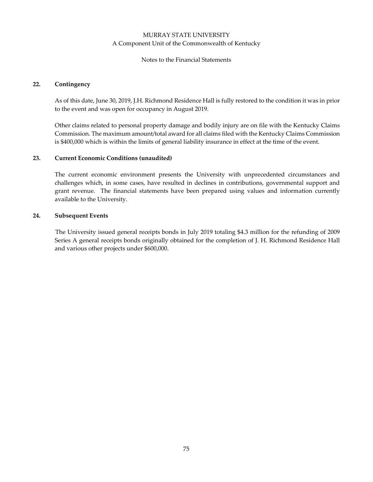#### Notes to the Financial Statements

## **22. Contingency**

As of this date, June 30, 2019, J.H. Richmond Residence Hall is fully restored to the condition it was in prior to the event and was open for occupancy in August 2019.

Other claims related to personal property damage and bodily injury are on file with the Kentucky Claims Commission. The maximum amount/total award for all claims filed with the Kentucky Claims Commission is \$400,000 which is within the limits of general liability insurance in effect at the time of the event.

#### **23. Current Economic Conditions (unaudited)**

The current economic environment presents the University with unprecedented circumstances and challenges which, in some cases, have resulted in declines in contributions, governmental support and grant revenue. The financial statements have been prepared using values and information currently available to the University.

#### **24. Subsequent Events**

The University issued general receipts bonds in July 2019 totaling \$4.3 million for the refunding of 2009 Series A general receipts bonds originally obtained for the completion of J. H. Richmond Residence Hall and various other projects under \$600,000.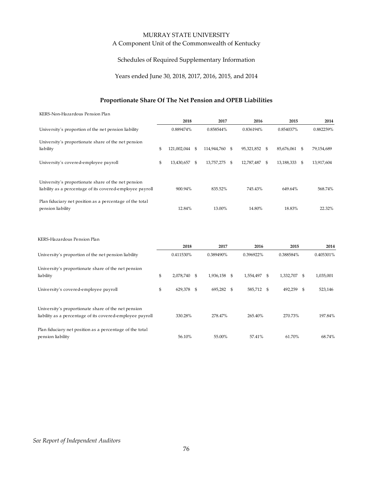## Schedules of Required Supplementary Information

Years ended June 30, 2018, 2017, 2016, 2015, and 2014

## **Proportionate Share Of The Net Pension and OPEB Liabilities**

| KERS-Non-Hazardous Pension Plan                                                                                  |                   |      |                |               |      |               |      |            |
|------------------------------------------------------------------------------------------------------------------|-------------------|------|----------------|---------------|------|---------------|------|------------|
|                                                                                                                  | 2018              |      | 2017           | 2016          |      | 2015          |      | 2014       |
| University's proportion of the net pension liability                                                             | 0.889474%         |      | 0.858544%      | 0.836194%     |      | 0.854037%     |      | 0.882259%  |
| University's proportionate share of the net pension                                                              |                   |      |                |               |      |               |      |            |
| liability                                                                                                        | \$<br>121,002,044 | - \$ | 114,944,760 \$ | 95,321,852 \$ |      | 85,676,061 \$ |      | 79,154,689 |
| University's covered-employee payroll                                                                            | \$<br>13,430,657  | -S   | 13,757,275 \$  | 12,787,487    | - \$ | 13,188,333    | - \$ | 13,917,604 |
| University's proportionate share of the net pension<br>liability as a percentage of its covered-employee payroll | 900.94%           |      | 835.52%        | 745.43%       |      | 649.64%       |      | 568.74%    |
|                                                                                                                  |                   |      |                |               |      |               |      |            |
| Plan fiduciary net position as a percentage of the total<br>pension liability                                    | 12.84%            |      | 13.00%         | 14.80%        |      | 18.83%        |      | 22.32%     |
|                                                                                                                  |                   |      |                |               |      |               |      |            |
| KERS-Hazardous Pension Plan                                                                                      | 884 Q             |      | 0.017          | 0.01C         |      | 0.015         |      | 0.014      |

|                                                           | 2018            |      | 2017         | 2016      |      | 2015      |      | 2014      |
|-----------------------------------------------------------|-----------------|------|--------------|-----------|------|-----------|------|-----------|
| University's proportion of the net pension liability      | 0.411530%       |      | 0.389490%    | 0.396922% |      | 0.388584% |      | 0.405301% |
| University's proportionate share of the net pension       |                 |      |              |           |      |           |      |           |
| liability                                                 | \$<br>2,078,740 | - \$ | 1,936,158 \$ | 1,554,497 | - \$ | 1,332,707 | S.   | 1,035,001 |
| University's covered-employee payroll                     | \$<br>629,378   | - \$ | 695,282 \$   | 585,712   | - \$ | 492,259   | - \$ | 523,146   |
| University's proportionate share of the net pension       |                 |      |              |           |      |           |      |           |
| liability as a percentage of its covered-employee payroll | 330.28%         |      | 278.47%      | 265.40%   |      | 270.73%   |      | 197.84%   |
| Plan fiduciary net position as a percentage of the total  |                 |      |              |           |      |           |      |           |
| pension liability                                         | 56.10%          |      | 55.00%       | 57.41%    |      | 61.70%    |      | 68.74%    |

## *See Report of Independent Auditors*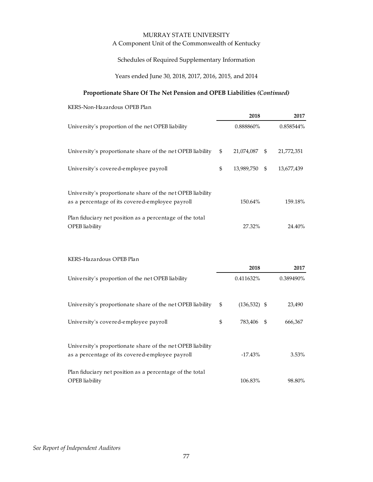# A Component Unit of the Commonwealth of Kentucky

Schedules of Required Supplementary Information

Years ended June 30, 2018, 2017, 2016, 2015, and 2014

# **Proportionate Share Of The Net Pension and OPEB Liabilities** *(Continued)*

| KERS-Non-Hazardous OPEB Plan                                                                                  |                        |            |
|---------------------------------------------------------------------------------------------------------------|------------------------|------------|
|                                                                                                               | 2018                   | 2017       |
| University's proportion of the net OPEB liability                                                             | 0.888860%              | 0.858544%  |
| University's proportionate share of the net OPEB liability                                                    | \$<br>21,074,087 \$    | 21,772,351 |
| University's covered-employee payroll                                                                         | \$<br>13.989.750<br>\$ | 13,677,439 |
| University's proportionate share of the net OPEB liability<br>as a percentage of its covered-employee payroll | 150.64%                | 159.18%    |
| Plan fiduciary net position as a percentage of the total<br>OPEB liability                                    | 27.32%                 | 24.40%     |

#### KERS‐Hazardous OPEB Plan

|                                                                                                               | 2018                 | 2017      |
|---------------------------------------------------------------------------------------------------------------|----------------------|-----------|
| University's proportion of the net OPEB liability                                                             | 0.411632%            | 0.389490% |
| University's proportionate share of the net OPEB liability                                                    | \$<br>$(136,532)$ \$ | 23,490    |
| University's covered-employee payroll                                                                         | \$<br>783.406 \$     | 666,367   |
| University's proportionate share of the net OPEB liability<br>as a percentage of its covered-employee payroll | $-17.43\%$           | $3.53\%$  |
| Plan fiduciary net position as a percentage of the total<br>OPEB liability                                    | 106.83%              | 98.80%    |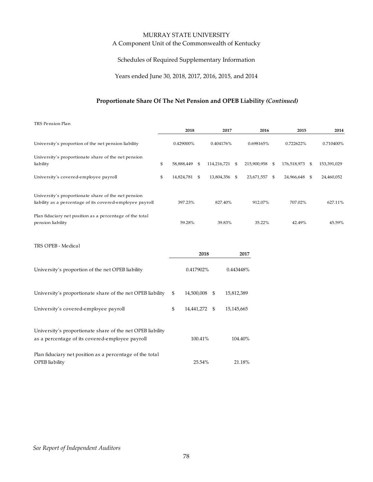Schedules of Required Supplementary Information

Years ended June 30, 2018, 2017, 2016, 2015, and 2014

## **Proportionate Share Of The Net Pension and OPEB Liability** *(Continued)*

#### TRS Pension Plan

|                                                           | 2018             |      | 2017          |     | 2016        |              | 2015        |      | 2014        |
|-----------------------------------------------------------|------------------|------|---------------|-----|-------------|--------------|-------------|------|-------------|
| University's proportion of the net pension liability      | 0.429000%        |      | 0.404176%     |     | 0.698165%   |              | 0.722622%   |      | 0.710400%   |
| University's proportionate share of the net pension       |                  |      |               |     |             |              |             |      |             |
| liability                                                 | \$<br>58,888,449 | -S   | 114,216,721   | -SS | 215,900,958 | \$.          | 176,518,973 | - \$ | 153,391,029 |
| University's covered-employee payroll                     | \$<br>14,824,781 | - \$ | 13,804,356 \$ |     | 23,671,557  | $\mathbf{F}$ | 24,966,648  | \$   | 24,460,052  |
| University's proportionate share of the net pension       |                  |      |               |     |             |              |             |      |             |
| liability as a percentage of its covered-employee payroll | 397.23%          |      | 827.40%       |     | 912.07%     |              | 707.02%     |      | 627.11%     |
| Plan fiduciary net position as a percentage of the total  |                  |      |               |     |             |              |             |      |             |
| pension liability                                         | 59.28%           |      | 39.83%        |     | 35.22%      |              | 42.49%      |      | 45.59%      |

TRS OPEB ‐ Medical

|                                                                                                               | 2018                | 2017       |
|---------------------------------------------------------------------------------------------------------------|---------------------|------------|
| University's proportion of the net OPEB liability                                                             | 0.417902%           | 0.443448%  |
| University's proportionate share of the net OPEB liability                                                    | \$<br>14,500,008 \$ | 15,812,389 |
| University's covered-employee payroll                                                                         | \$<br>14,441,272 \$ | 15,145,665 |
| University's proportionate share of the net OPEB liability<br>as a percentage of its covered-employee payroll | 100.41%             | 104.40%    |
| Plan fiduciary net position as a percentage of the total<br>OPEB liability                                    | 25.54%              | 21.18%     |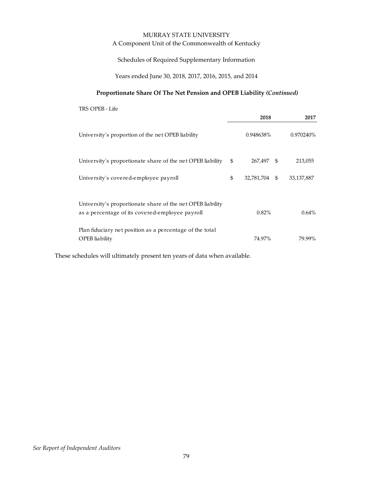Schedules of Required Supplementary Information

Years ended June 30, 2018, 2017, 2016, 2015, and 2014

## **Proportionate Share Of The Net Pension and OPEB Liability** *(Continued)*

| TRS OPEB - Life                                                                                               | 2018                | 2017          |
|---------------------------------------------------------------------------------------------------------------|---------------------|---------------|
| University's proportion of the net OPEB liability                                                             | 0.948638%           | 0.970240%     |
| University's proportionate share of the net OPEB liability                                                    | \$<br>267,497       | \$<br>213,055 |
| University's covered-employee payroll                                                                         | \$<br>32,781,704 \$ | 33,137,887    |
| University's proportionate share of the net OPEB liability<br>as a percentage of its covered-employee payroll | $0.82\%$            | $0.64\%$      |
| Plan fiduciary net position as a percentage of the total<br>OPEB liability                                    | 74.97%              | 79.99%        |

These schedules will ultimately present ten years of data when available.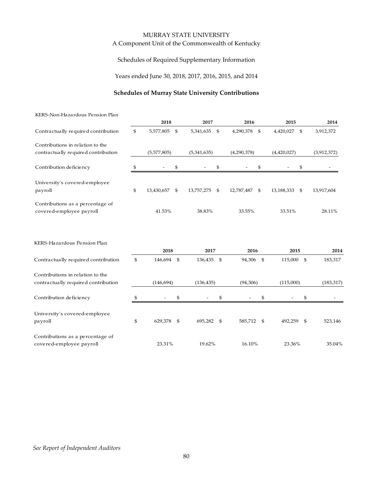A Component Unit of the Commonwealth of Kentucky

Schedules of Required Supplementary Information

Years ended June 30, 2018, 2017, 2016, 2015, and 2014

## **Schedules of Murray State University Contributions**

| KERS-Non-Hazardous Pension Plan                              |                                      |                   |                  |                  |             |
|--------------------------------------------------------------|--------------------------------------|-------------------|------------------|------------------|-------------|
|                                                              | 2018                                 | 2017              | 2016             | 2015             | 2014        |
| Contractually required contribution                          | \$<br>5,577,805<br>\$                | 5,341,635<br>-\$  | 4,290,378<br>\$  | 4,420,027<br>\$  | 3,912,372   |
| Contributions in relation to the                             |                                      |                   |                  |                  |             |
| contractually required contribution                          | (5,577,805)                          | (5,341,635)       | (4,290,378)      | (4,420,027)      | (3,912,372) |
| Contribution deficiency                                      | \$<br>\$<br>$\overline{\phantom{a}}$ | \$                | \$               | \$               |             |
| University's covered-employee<br>payroll                     | \$<br>13,430,657<br>-SS              | 13,757,275<br>-SS | 12,787,487<br>\$ | 13,188,333<br>\$ | 13,917,604  |
| Contributions as a percentage of<br>covered-employee payroll | 41.53%                               | 38.83%            | 33.55%           | 33.51%           | 28.11%      |

#### KERS‐Hazardous Pension Plan

|                                                                         | 2018                  | 2017       | 2016             | 2015          | 2014          |
|-------------------------------------------------------------------------|-----------------------|------------|------------------|---------------|---------------|
| Contractually required contribution                                     | \$<br>146,694<br>- \$ | 136,435    | \$<br>94,306     | \$<br>115,000 | \$<br>183,317 |
| Contributions in relation to the<br>contractually required contribution | (146, 694)            | (136, 435) | (94, 306)        | (115,000)     | (183, 317)    |
| Contribution deficiency                                                 |                       |            | \$               | \$            | \$            |
| University's covered-employee<br>payroll                                | \$<br>629,378 \$      | 695,282    | \$<br>585,712 \$ | 492,259       | \$<br>523,146 |
| Contributions as a percentage of<br>covered-employee payroll            | 23.31%                | 19.62%     | 16.10%           | 23.36%        | 35.04%        |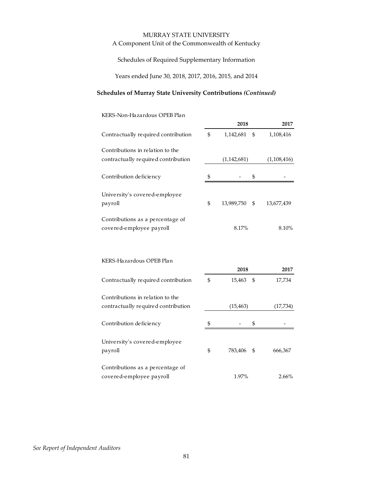## A Component Unit of the Commonwealth of Kentucky

Schedules of Required Supplementary Information

Years ended June 30, 2018, 2017, 2016, 2015, and 2014

## **Schedules of Murray State University Contributions** *(Continued)*

| KERS-Non-Hazardous OPEB Plan        |                  |                  |
|-------------------------------------|------------------|------------------|
|                                     | 2018             | 2017             |
| Contractually required contribution | \$<br>1,142,681  | \$<br>1,108,416  |
| Contributions in relation to the    |                  |                  |
|                                     |                  |                  |
| contractually required contribution | (1, 142, 681)    | (1, 108, 416)    |
| Contribution deficiency             | \$               | \$               |
| University's covered-employee       |                  |                  |
| payroll                             | \$<br>13,989,750 | \$<br>13,677,439 |
|                                     |                  |                  |
| Contributions as a percentage of    |                  |                  |
| covered-employee payroll            | 8.17%            | 8.10%            |
|                                     |                  |                  |
|                                     |                  |                  |
| KERS-Hazardous OPEB Plan            |                  |                  |
|                                     | 2018             | 2017             |
| Contractually required contribution | \$<br>15,463     | \$<br>17,734     |
|                                     |                  |                  |
| Contributions in relation to the    |                  |                  |
| contractually required contribution | (15, 463)        | (17, 734)        |
|                                     |                  |                  |
| Contribution deficiency             | \$               | \$               |
| University's covered-employee       |                  |                  |
|                                     |                  |                  |
| payroll                             | \$<br>783,406    | \$<br>666,367    |
| Contributions as a percentage of    |                  |                  |
| covered-employee payroll            | 1.97%            | 2.66%            |
|                                     |                  |                  |

## *See Report of Independent Auditors*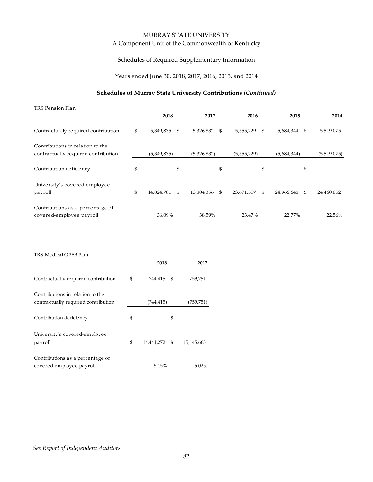## Schedules of Required Supplementary Information

## Years ended June 30, 2018, 2017, 2016, 2015, and 2014

## **Schedules of Murray State University Contributions** *(Continued)*

#### TRS Pension Plan

|                                                                         | 2018                   | 2017             | 2016             | 2015                           | 2014        |
|-------------------------------------------------------------------------|------------------------|------------------|------------------|--------------------------------|-------------|
| Contractually required contribution                                     | \$<br>5,349,835<br>\$  | 5,326,832<br>\$  | 5,555,229<br>\$  | 5,684,344<br>\$                | 5,519,075   |
| Contributions in relation to the<br>contractually required contribution | (5,349,835)            | (5,326,832)      | (5,555,229)      | (5,684,344)                    | (5,519,075) |
| Contribution deficiency                                                 | \$<br>\$               | \$               | \$               | \$<br>$\overline{\phantom{a}}$ |             |
| University's covered-employee<br>payroll                                | \$<br>14,824,781<br>\$ | 13,804,356<br>\$ | 23,671,557<br>\$ | 24,966,648<br>\$               | 24,460,052  |
| Contributions as a percentage of<br>covered-employee payroll            | 36.09%                 | 38.59%           | 23.47%           | 22.77%                         | 22.56%      |

#### TRS‐Medical OPEB Plan

|                                                                         | 2018                  | 2017       |
|-------------------------------------------------------------------------|-----------------------|------------|
| Contractually required contribution                                     | \$<br>744,415<br>- \$ | 759,751    |
| Contributions in relation to the<br>contractually required contribution | (744, 415)            | (759, 751) |
| Contribution deficiency                                                 | \$                    |            |
| University's covered-employee<br>payroll                                | \$<br>14,441,272 \$   | 15,145,665 |
| Contributions as a percentage of<br>covered-employee payroll            | 5.15%                 | $5.02\%$   |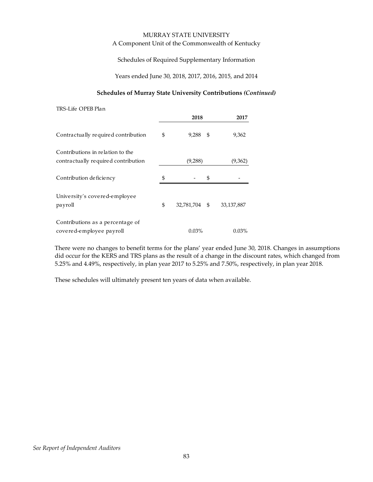Schedules of Required Supplementary Information

Years ended June 30, 2018, 2017, 2016, 2015, and 2014

#### **Schedules of Murray State University Contributions** *(Continued)*

| TRS-Life OPEB Plan                                                      |                     |      |            |
|-------------------------------------------------------------------------|---------------------|------|------------|
|                                                                         | 2018                | 2017 |            |
| Contractually required contribution                                     | \$<br>9,288         | \$   | 9,362      |
| Contributions in relation to the<br>contractually required contribution | (9,288)             |      | (9,362)    |
| Contribution deficiency                                                 | \$                  | \$   |            |
| University's covered-employee<br>payroll                                | \$<br>32,781,704 \$ |      | 33,137,887 |
| Contributions as a percentage of<br>covered-employee payroll            | 0.03%               |      | 0.03%      |

There were no changes to benefit terms for the plans' year ended June 30, 2018. Changes in assumptions did occur for the KERS and TRS plans as the result of a change in the discount rates, which changed from 5.25% and 4.49%, respectively, in plan year 2017 to 5.25% and 7.50%, respectively, in plan year 2018.

These schedules will ultimately present ten years of data when available.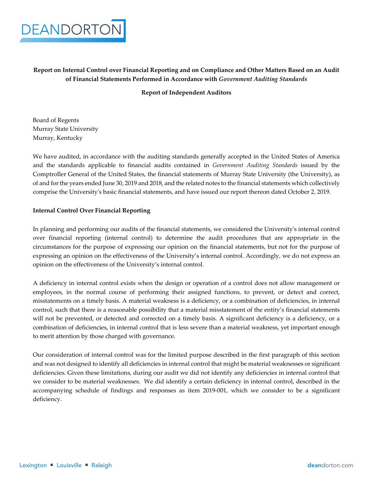

## **Report on Internal Control over Financial Reporting and on Compliance and Other Matters Based on an Audit of Financial Statements Performed in Accordance with** *Government Auditing Standards*

**Report of Independent Auditors**

Board of Regents Murray State University Murray, Kentucky

We have audited, in accordance with the auditing standards generally accepted in the United States of America and the standards applicable to financial audits contained in *Government Auditing Standards* issued by the Comptroller General of the United States, the financial statements of Murray State University (the University), as of and forthe years ended June 30, 2019 and 2018, and the related notes to the financial statements which collectively comprise the Universityʹs basic financial statements, and have issued our report thereon dated October 2, 2019.

## **Internal Control Over Financial Reporting**

In planning and performing our audits of the financial statements, we considered the Universityʹs internal control over financial reporting (internal control) to determine the audit procedures that are appropriate in the circumstances for the purpose of expressing our opinion on the financial statements, but not for the purpose of expressing an opinion on the effectiveness of the University's internal control. Accordingly, we do not express an opinion on the effectiveness of the University's internal control.

A deficiency in internal control exists when the design or operation of a control does not allow management or employees, in the normal course of performing their assigned functions, to prevent, or detect and correct, misstatements on a timely basis. A material weakness is a deficiency, or a combination of deficiencies, in internal control, such that there is a reasonable possibility that a material misstatement of the entity's financial statements will not be prevented, or detected and corrected on a timely basis. A significant deficiency is a deficiency, or a combination of deficiencies, in internal control that is less severe than a material weakness, yet important enough to merit attention by those charged with governance.

Our consideration of internal control was for the limited purpose described in the first paragraph of this section and was not designed to identify all deficiencies in internal control that might be material weaknesses or significant deficiencies. Given these limitations, during our audit we did not identify any deficiencies in internal control that we consider to be material weaknesses. We did identify a certain deficiency in internal control, described in the accompanying schedule of findings and responses as item 2019‐001, which we consider to be a significant deficiency.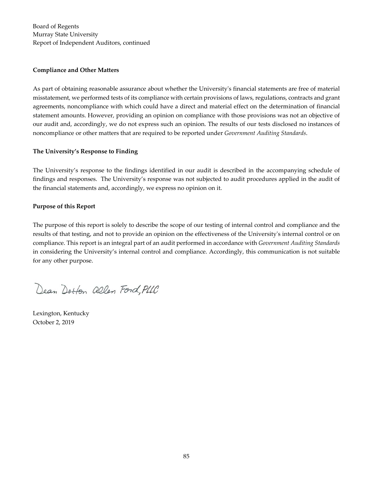Board of Regents Murray State University Report of Independent Auditors, continued

#### **Compliance and Other Matters**

As part of obtaining reasonable assurance about whether the Universityʹs financial statements are free of material misstatement, we performed tests of its compliance with certain provisions of laws, regulations, contracts and grant agreements, noncompliance with which could have a direct and material effect on the determination of financial statement amounts. However, providing an opinion on compliance with those provisions was not an objective of our audit and, accordingly, we do not express such an opinion. The results of our tests disclosed no instances of noncompliance or other matters that are required to be reported under *Government Auditing Standards*.

#### **The University's Response to Finding**

The University's response to the findings identified in our audit is described in the accompanying schedule of findings and responses. The University's response was not subjected to audit procedures applied in the audit of the financial statements and, accordingly, we express no opinion on it.

#### **Purpose of this Report**

The purpose of this report is solely to describe the scope of our testing of internal control and compliance and the results of that testing, and not to provide an opinion on the effectiveness of the University's internal control or on compliance. This report is an integral part of an audit performed in accordance with *Government Auditing Standards* in considering the University's internal control and compliance. Accordingly, this communication is not suitable for any other purpose.

Dean Dorfon allen Ford, PLC

Lexington, Kentucky October 2, 2019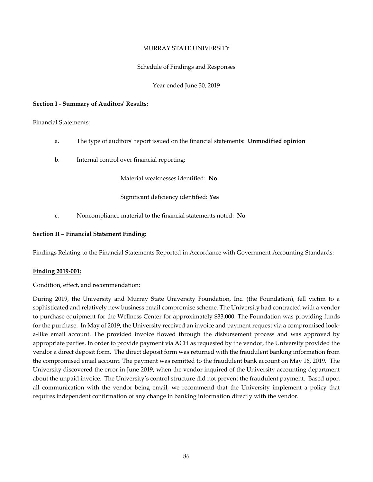#### Schedule of Findings and Responses

#### Year ended June 30, 2019

#### **Section I ‐ Summary of Auditorsʹ Results:**

Financial Statements:

- a. The type of auditorsʹ report issued on the financial statements: **Unmodified opinion**
- b. Internal control over financial reporting:

Material weaknesses identified: **No**

Significant deficiency identified: **Yes**

c. Noncompliance material to the financial statements noted: **No**

#### **Section II – Financial Statement Finding:**

Findings Relating to the Financial Statements Reported in Accordance with Government Accounting Standards:

#### **Finding 2019‐001:**

#### Condition, effect, and recommendation:

During 2019, the University and Murray State University Foundation, Inc. (the Foundation), fell victim to a sophisticated and relatively new business email compromise scheme. The University had contracted with a vendor to purchase equipment for the Wellness Center for approximately \$33,000. The Foundation was providing funds for the purchase. In May of 2019, the University received an invoice and payment request via a compromised looka-like email account. The provided invoice flowed through the disbursement process and was approved by appropriate parties. In order to provide payment via ACH as requested by the vendor, the University provided the vendor a direct deposit form. The direct deposit form was returned with the fraudulent banking information from the compromised email account. The payment was remitted to the fraudulent bank account on May 16, 2019. The University discovered the error in June 2019, when the vendor inquired of the University accounting department about the unpaid invoice. The University's control structure did not prevent the fraudulent payment. Based upon all communication with the vendor being email, we recommend that the University implement a policy that requires independent confirmation of any change in banking information directly with the vendor.